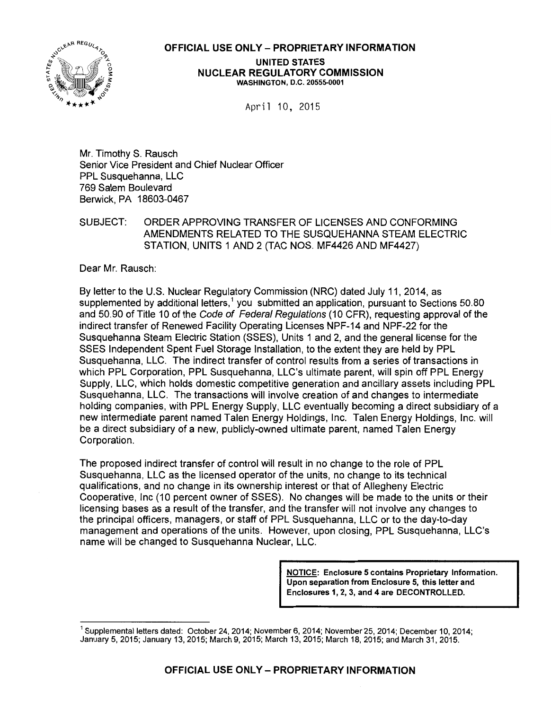

#### OFFICIAL USE ONLY- PROPRIETARY INFORMATION

UNITED STATES NUCLEAR REGULATORY COMMISSION WASHINGTON, D.C. 20555-0001

April 10, 2015

Mr. Timothy S. Rausch Senior Vice President and Chief Nuclear Officer PPL Susquehanna, LLC 769 Salem Boulevard Berwick, PA 18603-0467

SUBJECT: ORDER APPROVING TRANSFER OF LICENSES AND CONFORMING AMENDMENTS RELATED TO THE SUSQUEHANNA STEAM ELECTRIC STATION, UNITS 1 AND 2 (TAC NOS. MF4426 AND MF4427)

Dear Mr. Rausch:

By letter to the U.S. Nuclear Regulatory Commission (NRC) dated July 11, 2014, as supplemented by additional letters,<sup>1</sup> you submitted an application, pursuant to Sections 50.80 and 50.90 of Title 10 of the Code of Federal Regulations (10 CFR), requesting approval of the indirect transfer of Renewed Facility Operating Licenses NPF-14 and NPF-22 for the Susquehanna Steam Electric Station (SSES), Units 1 and 2, and the general license for the SSES Independent Spent Fuel Storage Installation, to the extent they are held by PPL Susquehanna, LLC. The indirect transfer of control results from a series of transactions in which PPL Corporation, PPL Susquehanna, LLC's ultimate parent, will spin off PPL Energy Supply, LLC, which holds domestic competitive generation and ancillary assets including PPL Susquehanna, LLC. The transactions will involve creation of and changes to intermediate holding companies, with PPL Energy Supply, LLC eventually becoming a direct subsidiary of a new intermediate parent named Talen Energy Holdings, Inc. Talen Energy Holdings, Inc. will be a direct subsidiary of a new, publicly-owned ultimate parent, named Talen Energy Corporation.

The proposed indirect transfer of control will result in no change to the role of PPL Susquehanna, LLC as the licensed operator of the units, no change to its technical qualifications, and no change in its ownership interest or that of Allegheny Electric Cooperative, Inc (10 percent owner of SSES). No changes will be made to the units or their licensing bases as a result of the transfer, and the transfer will not involve any changes to the principal officers, managers, or staff of PPL Susquehanna, LLC or to the day-to-day management and operations of the units. However, upon closing, PPL Susquehanna, LLC's name will be changed to Susquehanna Nuclear, LLC.

> NOTICE: Enclosure 5 contains Proprietary Information. Upon separation from Enclosure 5, this letter and Enclosures 1, 2, 3, and 4 are DECONTROLLED.

<sup>&</sup>lt;sup>1</sup> Supplemental letters dated: October 24, 2014; November 6, 2014; November 25, 2014; December 10, 2014; January 5, 2015; January 13, 2015; March 9, 2015; March 13, 2015; March 18, 2015; and March 31, 2015.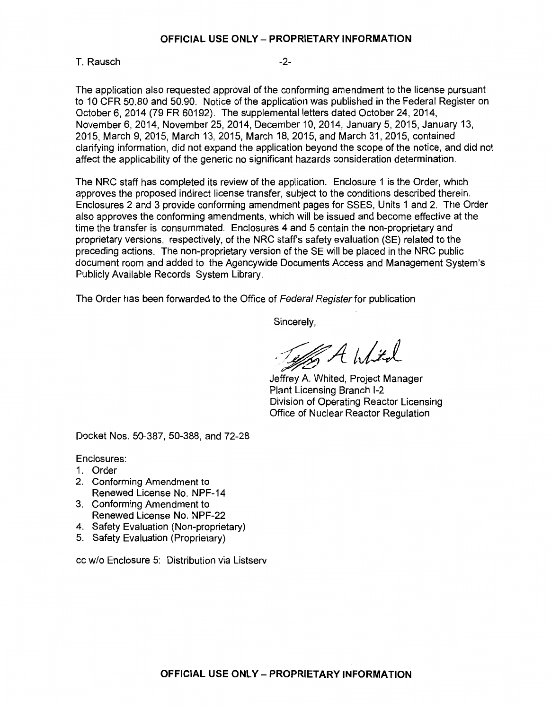#### **OFFICIAL USE ONLY- PROPRIETARY INFORMATION**

#### T. Rausch and the contract of the contract of the contract of the contract of the contract of the contract of the contract of the contract of the contract of the contract of the contract of the contract of the contract of

The application also requested approval of the conforming amendment to the license pursuant to 10 CFR 50.80 and 50.90. Notice of the application was published in the Federal Register on October 6, 2014 (79 FR 60192). The supplemental letters dated October 24, 2014, November 6, 2014, November 25, 2014, December 10, 2014, January 5, 2015, January 13, 2015, March 9, 2015, March 13, 2015, March 18, 2015, and March 31, 2015, contained clarifying information, did not expand the application beyond the scope of the notice, and did not affect the applicability of the generic no significant hazards consideration determination.

The NRC staff has completed its review of the application. Enclosure 1 is the Order, which approves the proposed indirect license transfer, subject to the conditions described therein. Enclosures 2 and 3 provide conforming amendment pages for SSES, Units 1 and 2. The Order also approves the conforming amendments, which will be issued and become effective at the time the transfer is consummated. Enclosures 4 and 5 contain the non-proprietary and proprietary versions, respectively, of the NRC staff's safety evaluation (SE) related to the preceding actions. The non-proprietary version of the SE will be placed in the NRC public document room and added to the Agencywide Documents Access and Management System's Publicly Available Records System Library.

The Order has been forwarded to the Office of Federal Register for publication

Sincerely,

of Ahlta

Jeffrey A. Whited, Project Manager Plant Licensing Branch 1-2 Division of Operating Reactor Licensing Office of Nuclear Reactor Regulation

Docket Nos. 50-387, 50-388, and 72-28

Enclosures:

- 1. Order
- 2. Conforming Amendment to Renewed License No. NPF-14
- 3. Conforming Amendment to Renewed License No. NPF-22
- 4. Safety Evaluation (Non-proprietary)
- 5. Safety Evaluation (Proprietary)

cc w/o Enclosure 5: Distribution via Listserv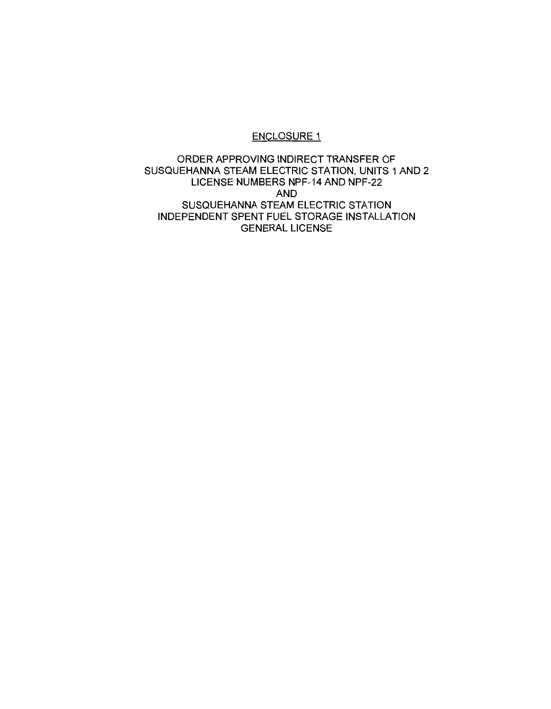## ENCLOSURE 1

ORDER APPROVING INDIRECT TRANSFER OF SUSQUEHANNA STEAM ELECTRIC STATION, UNITS 1AND2 LICENSE NUMBERS NPF-14 AND NPF-22 AND SUSQUEHANNA STEAM ELECTRIC STATION INDEPENDENT SPENT FUEL STORAGE INSTALLATION GENERAL LICENSE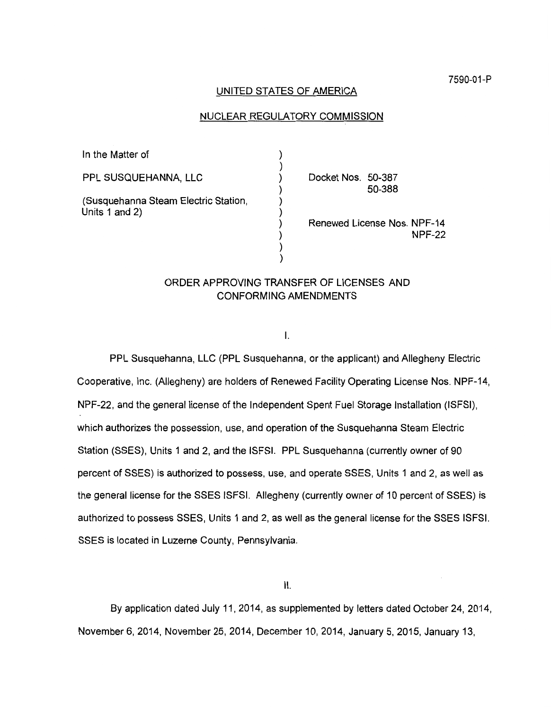#### UNITED STATES OF AMERICA

## NUCLEAR REGULATORY COMMISSION

| In the Matter of                                       |                                       |
|--------------------------------------------------------|---------------------------------------|
| PPL SUSQUEHANNA, LLC                                   | Docket Nos. 50-387<br>50-388          |
| (Susquehanna Steam Electric Station,<br>Units 1 and 2) | Renewed License Nos. NPF-14<br>NPF-22 |

## ORDER APPROVING TRANSFER OF LICENSES AND CONFORMING AMENDMENTS

I.

PPL Susquehanna, LLC (PPL Susquehanna, or the applicant) and Allegheny Electric Cooperative, Inc. (Allegheny) are holders of Renewed Facility Operating License Nos. NPF-14, NPF-22, and the general license of the Independent Spent Fuel Storage Installation (ISFSI), which authorizes the possession, use, and operation of the Susquehanna Steam Electric Station (SSES), Units 1 and 2, and the ISFSI. PPL Susquehanna (currently owner of 90 percent of SSES) is authorized to possess, use, and operate SSES, Units 1 and 2, as well as the general license for the SSES ISFSI. Allegheny (currently owner of 10 percent of SSES) is authorized to possess SSES, Units 1 and 2, as well as the general license for the SSES ISFSI. SSES is located in Luzerne County, Pennsylvania.

11.

By application dated July 11, 2014, as supplemented by letters dated October 24, 2014, November 6, 2014, November 25, 2014, December 10, 2014, January 5, 2015, January 13,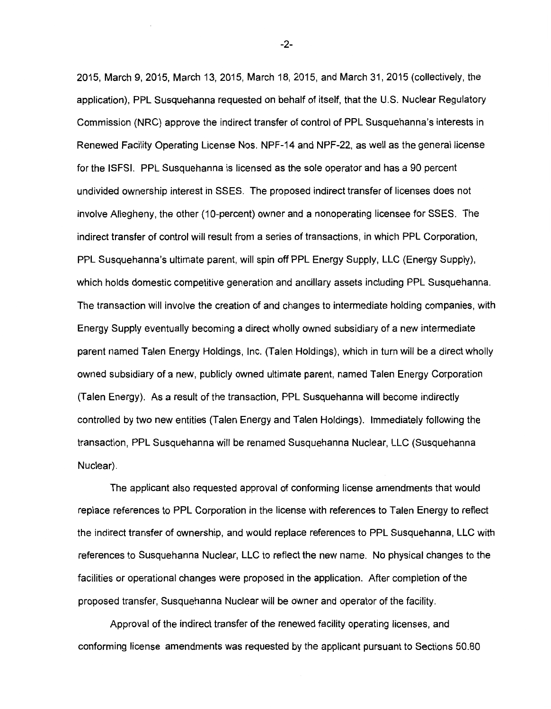2015, March 9, 2015, March 13, 2015, March 18, 2015, and March 31, 2015 (collectively, the application), PPL Susquehanna requested on behalf of itself, that the U.S. Nuclear Regulatory Commission (NRC) approve the indirect transfer of control of PPL Susquehanna's interests in Renewed Facility Operating License Nos. NPF-14 and NPF-22, as well as the general license for the ISFSI. PPL Susquehanna is licensed as the sole operator and has a 90 percent undivided ownership interest in SSES. The proposed indirect transfer of licenses does not involve Allegheny, the other (10-percent) owner and a nonoperating licensee for SSES. The indirect transfer of control will result from a series of transactions, in which PPL Corporation, PPL Susquehanna's ultimate parent, will spin off PPL Energy Supply, LLC (Energy Supply), which holds domestic competitive generation and ancillary assets including PPL Susquehanna. The transaction will involve the creation of and changes to intermediate holding companies, with Energy Supply eventually becoming a direct wholly owned subsidiary of a new intermediate parent named Talen Energy Holdings, Inc. (Talen Holdings), which in turn will be a direct wholly owned subsidiary of a new, publicly owned ultimate parent, named Talen Energy Corporation (Talen Energy). As a result of the transaction, PPL Susquehanna will become indirectly controlled by two new entities (Talen Energy and Talen Holdings). Immediately following the transaction, PPL Susquehanna will be renamed Susquehanna Nuclear, LLC (Susquehanna Nuclear).

The applicant also requested approval of conforming license amendments that would replace references to PPL Corporation in the license with references to Talen Energy to reflect the indirect transfer of ownership, and would replace references to PPL Susquehanna, LLC with references to Susquehanna Nuclear, LLC to reflect the new name. No physical changes to the facilities or operational changes were proposed in the application. After completion of the proposed transfer, Susquehanna Nuclear will be owner and operator of the facility.

Approval of the indirect transfer of the renewed facility operating licenses, and conforming license amendments was requested by the applicant pursuant to Sections 50.80

-2-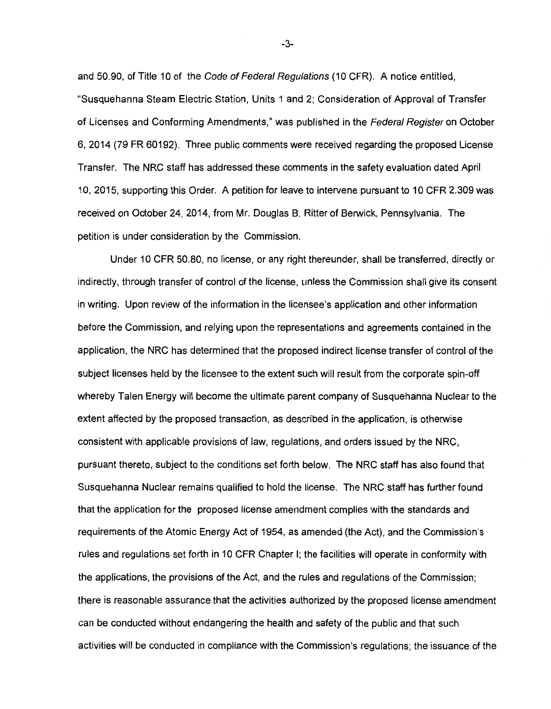and 50.90, of Title 10 of the Code of Federal Regulations (10 CFR). A notice entitled, "Susquehanna Steam Electric Station, Units 1 and 2; Consideration of Approval of Transfer of Licenses and Conforming Amendments," was published in the Federal Register on October 6, 2014 (79 FR 60192). Three public comments were received regarding the proposed License Transfer. The NRC staff has addressed these comments in the safety evaluation dated April 10, 2015, supporting this Order. A petition for leave to intervene pursuant to 10 CFR 2.309 was received on October 24, 2014, from Mr. Douglas B. Ritter of Berwick, Pennsylvania. The petition is under consideration by the Commission.

Under 10 CFR 50.80, no license, or any right thereunder, shall be transferred, directly or indirectly, through transfer of control of the license, unless the Commission shall give its consent in writing. Upon review of the information in the licensee's application and other information before the Commission, and relying upon the representations and agreements contained in the application, the NRC has determined that the proposed indirect license transfer of control of the subject licenses held by the licensee to the extent such will result from the corporate spin-off whereby Talen Energy will become the ultimate parent company of Susquehanna Nuclear to the extent affected by the proposed transaction, as described in the application, is otherwise consistent with applicable provisions of law, regulations, and orders issued by the NRC, pursuant thereto, subject to the conditions set forth below. The NRC staff has also found that Susquehanna Nuclear remains qualified to hold the license. The NRC staff has further found that the application for the proposed license amendment complies with the standards and requirements of the Atomic Energy Act of 1954, as amended (the Act), and the Commission's rules and regulations set forth in 10 CFR Chapter I; the facilities will operate in conformity with the applications, the provisions of the Act, and the rules and regulations of the Commission; there is reasonable assurance that the activities authorized by the proposed license amendment can be conducted without endangering the health and safety of the public and that such activities will be conducted in compliance with the Commission's regulations; the issuance of the

-3-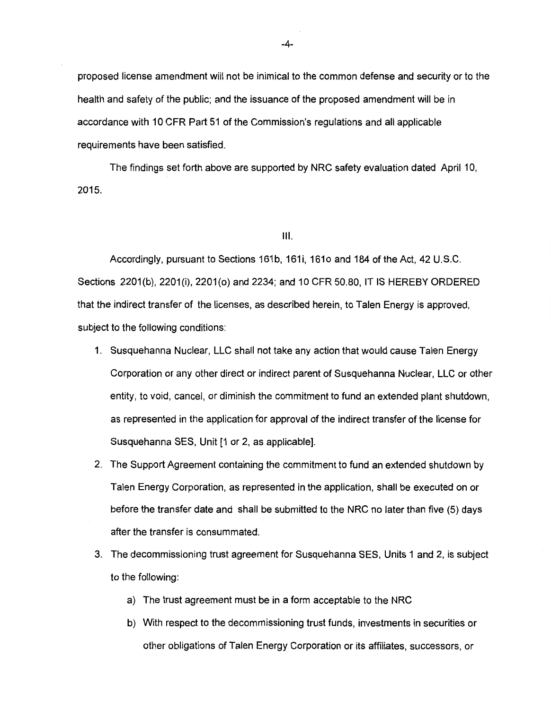proposed license amendment will not be inimical to the common defense and security or to the health and safety of the public; and the issuance of the proposed amendment will be in accordance with 10 CFR Part 51 of the Commission's regulations and all applicable requirements have been satisfied.

The findings set forth above are supported by NRC safety evaluation dated April 10, 2015.

111.

Accordingly, pursuant to Sections 161b, 161i, 161o and 184 of the Act, 42 U.S.C. Sections 2201(b), 2201(i), 2201(0) and 2234; and 10 CFR 50.80, IT IS HEREBY ORDERED that the indirect transfer of the licenses, as described herein, to Talen Energy is approved, subject to the following conditions:

- 1. Susquehanna Nuclear, LLC shall not take any action that would cause Talen Energy Corporation or any other direct or indirect parent of Susquehanna Nuclear, LLC or other entity, to void, cancel, or diminish the commitment to fund an extended plant shutdown, as represented in the application for approval of the indirect transfer of the license for Susquehanna SES, Unit [1 or 2, as applicable].
- 2. The Support Agreement containing the commitment to fund an extended shutdown by Talen Energy Corporation, as represented in the application, shall be executed on or before the transfer date and shall be submitted to the NRC no later than five (5) days after the transfer is consummated.
- 3. The decommissioning trust agreement for Susquehanna SES, Units 1 and 2, is subject to the following:
	- a) The trust agreement must be in a form acceptable to the NRC
	- b) With respect to the decommissioning trust funds, investments in securities or other obligations of Talen Energy Corporation or its affiliates, successors, or

-4-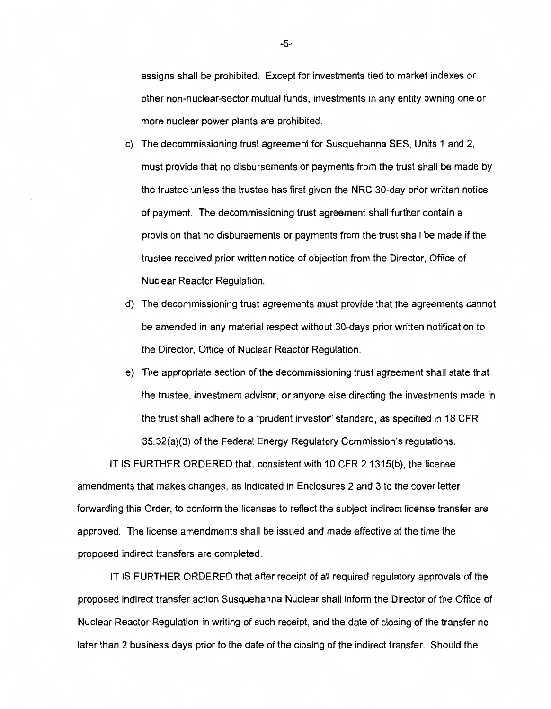assigns shall be prohibited. Except for investments tied to market indexes or other non-nuclear-sector mutual funds, investments in any entity owning one or more nuclear power plants are prohibited.

- c) The decommissioning trust agreement for Susquehanna SES, Units 1 and 2, must provide that no disbursements or payments from the trust shall be made by the trustee unless the trustee has first given the NRC 30-day prior written notice of payment. The decommissioning trust agreement shall further contain a provision that no disbursements or payments from the trust shall be made if the trustee received prior written notice of objection from the Director, Office of Nuclear Reactor Regulation.
- d) The decommissioning trust agreements must provide that the agreements cannot be amended in any material respect without 30-days prior written notification to the Director, Office of Nuclear Reactor Regulation.
- e) The appropriate section of the decommissioning trust agreement shall state that the trustee, investment advisor, or anyone else directing the investments made in the trust shall adhere to a "prudent investor'' standard, as specified in 18 CFR 35.32(a)(3) of the Federal Energy Regulatory Commission's regulations.

IT IS FURTHER ORDERED that, consistent with 10 CFR 2.1315(b), the license amendments that makes changes, as indicated in Enclosures 2 and 3 to the cover letter forwarding this Order, to conform the licenses to reflect the subject indirect license transfer are approved. The license amendments shall be issued and made effective at the time the proposed indirect transfers are completed.

IT IS FURTHER ORDERED that after receipt of all required regulatory approvals of the proposed indirect transfer action Susquehanna Nuclear shall inform the Director of the Office of Nuclear Reactor Regulation in writing of such receipt, and the date of closing of the transfer no later than 2 business days prior to the date of the closing of the indirect transfer. Should the

-5-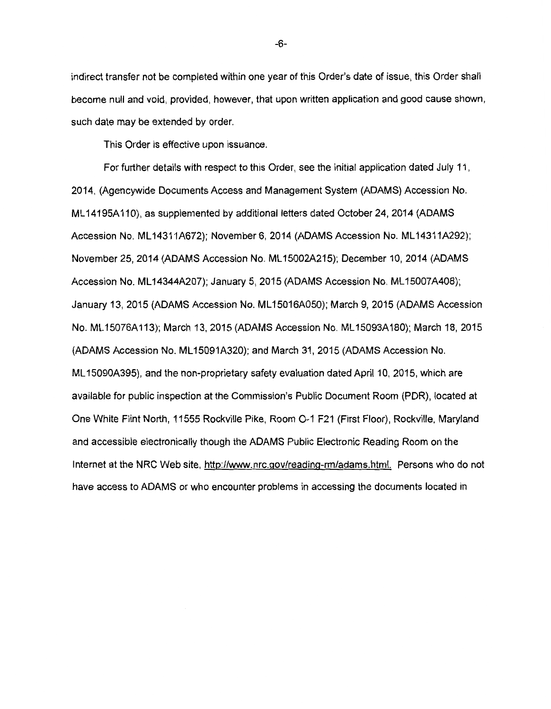indirect transfer not be completed within one year of this Order's date of issue, this Order shall become null and void, provided, however, that upon written application and good cause shown, such date may be extended by order.

This Order is effective upon issuance.

For further details with respect to this Order, see the initial application dated July 11, 2014, (Agencywide Documents Access and Management System (ADAMS) Accession No. ML 14195A110}, as supplemented by additional letters dated October 24, 2014 (ADAMS Accession No. ML14311A672); November 6, 2014 (ADAMS Accession No. ML14311A292); November 25, 2014 (ADAMS Accession No. ML 15002A215); December 10, 2014 (ADAMS Accession No. ML14344A207); January 5, 2015 (ADAMS Accession No. ML15007A408); January 13, 2015 (ADAMS Accession No. ML 15016A050); March 9, 2015 (ADAMS Accession No. ML 15076A113); March 13, 2015 (ADAMS Accession No. ML 15093A180); March 18, 2015 (ADAMS Accession No. ML 15091A320); and March 31, 2015 (ADAMS Accession No. ML 15090A395}, and the non-proprietary safety evaluation dated April 10, 2015, which are available for public inspection at the Commission's Public Document Room (PDR), located at One White Flint North, 11555 Rockville Pike, Room 0-1 F21 (First Floor}, Rockville, Maryland and accessible electronically though the ADAMS Public Electronic Reading Room on the Internet at the NRC Web site, http://www.nrc.gov/reading-rm/adams.html. Persons who do not have access to ADAMS or who encounter problems in accessing the documents located in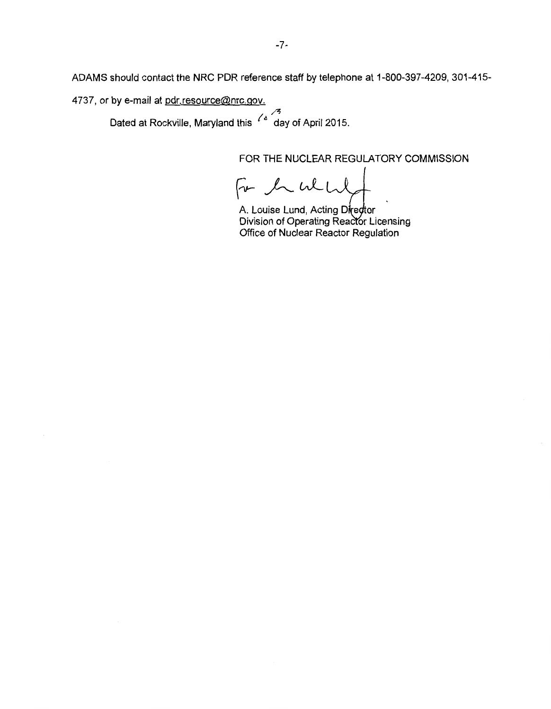ADAMS should contact the NRC PDR reference staff by telephone at 1-800-397-4209, 301-415-

4737, or by e-mail at pdr.resource@nrc.gov.

/~ Dated at Rockville, Maryland this <sup>ro</sup>day of April 2015.

FOR THE NUCLEAR REGULATORY COMMISSION

For the which

A. Louise Lund, Acting Dire*d*tor Division of Operating Reactor Licensing Office of Nuclear Reactor Regulation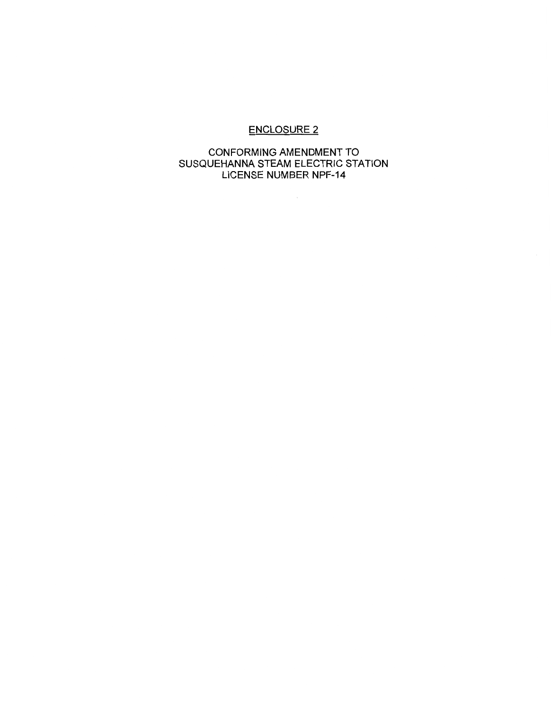## ENCLOSURE 2

## CONFORMING AMENDMENT TO SUSQUEHANNA STEAM ELECTRIC STATION LICENSE NUMBER NPF-14

 $\sim 10^7$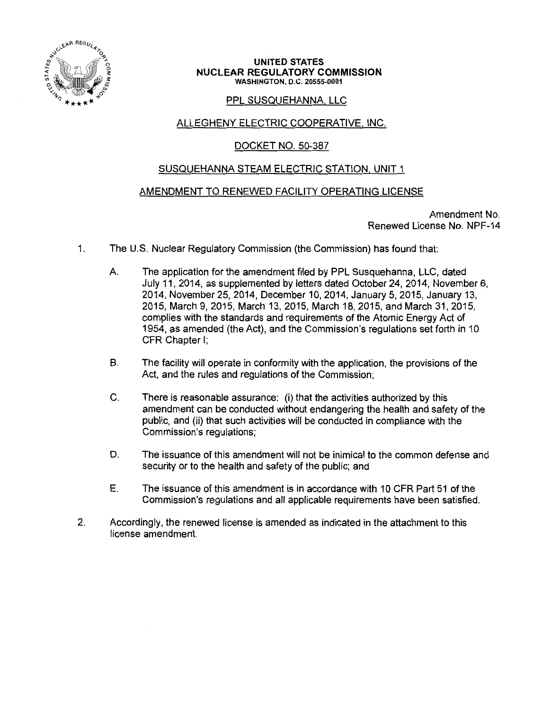

#### UNITED STATES NUCLEAR REGULATORY COMMISSION WASHINGTON, D.C. 20555-0001

## PPL SUSQUEHANNA. LLC

## ALLEGHENY ELECTRIC COOPERATIVE, INC.

## DOCKET NO. 50-387

## SUSQUEHANNA STEAM ELECTRIC STATION, UNIT 1

## AMENDMENT TO RENEWED FACILITY OPERATING LICENSE

Amendment No. Renewed License No. NPF-14

- 1. The U.S. Nuclear Regulatory Commission (the Commission) has found that:
	- A. The application for the amendment filed by PPL Susquehanna, LLC, dated July 11, 2014, as supplemented by letters dated October 24, 2014, November 6, 2014, November 25, 2014, December 10, 2014, January 5, 2015, January 13, 2015, March 9, 2015, March 13, 2015, March 18, 2015, and March 31, 2015, complies with the standards and requirements of the Atomic Energy Act of 1954, as amended (the Act), and the Commission's regulations set forth in 1 O CFR Chapter I;
	- B. The facility will operate in conformity with the application, the provisions of the Act, and the rules and regulations of the Commission;
	- C. There is reasonable assurance: (i) that the activities authorized by this amendment can be conducted without endangering the health and safety of the public, and (ii) that such activities will be conducted in compliance with the Commission's regulations;
	- D. The issuance of this amendment will not be inimical to the common defense and security or to the health and safety of the public; and
	- E. The issuance of this amendment is in accordance with 1 O CFR Part 51 of the Commission's regulations and all applicable requirements have been satisfied.
- 2. Accordingly, the renewed license is amended as indicated in the attachment to this license amendment.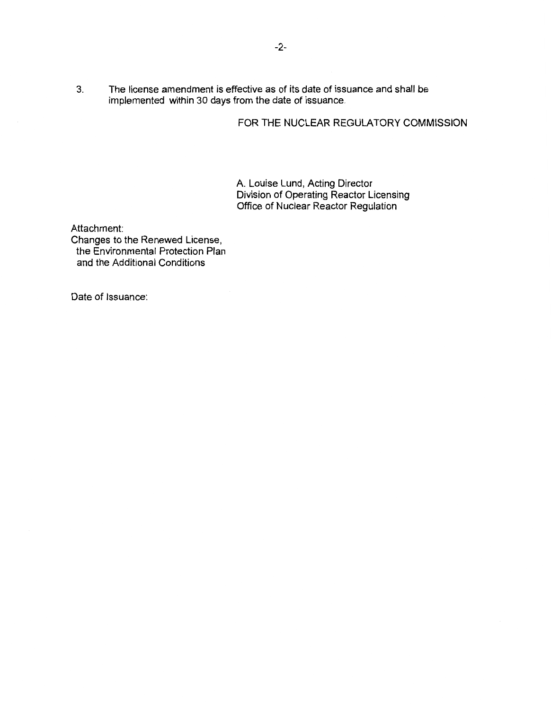3. The license amendment is effective as of its date of issuance and shall be implemented within 30 days from the date of issuance.

## FOR THE NUCLEAR REGULATORY COMMISSION

A. Louise Lund, Acting Director Division of Operating Reactor Licensing Office of Nuclear Reactor Regulation

Attachment:

Changes to the Renewed License, the Environmental Protection Plan and the Additional Conditions

Date of Issuance: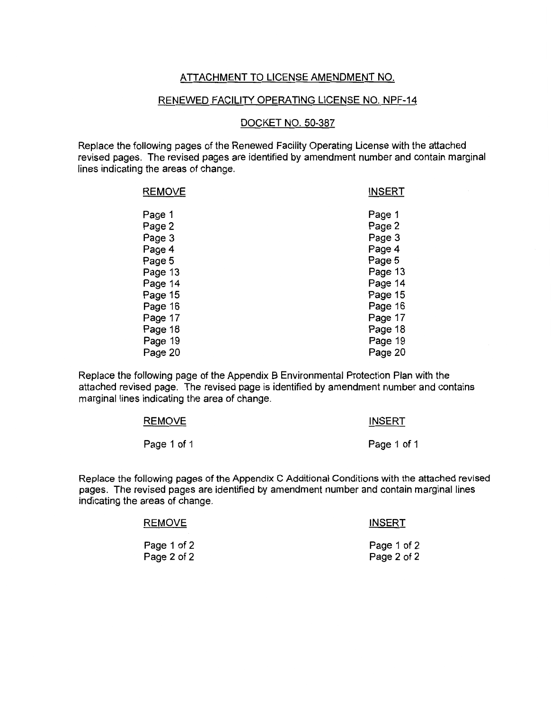## ATTACHMENT TO LICENSE AMENDMENT NO.

#### RENEWED FACILITY OPERATING LICENSE NO. NPF-14

#### DOCKET NO. 50-387

Replace the following pages of the Renewed Facility Operating License with the attached revised pages. The revised pages are identified by amendment number and contain marginal lines indicating the areas of change.

| Page 1<br>Page 2<br>Page 3 | <b>INSERT</b> |
|----------------------------|---------------|
|                            | Page 1        |
|                            | Page 2        |
|                            | Page 3        |
| Page 4                     | Page 4        |
| Page 5                     | Page 5        |
| Page 13                    | Page 13       |
| Page 14                    | Page 14       |
| Page 15                    | Page 15       |
| Page 16                    | Page 16       |
| Page 17                    | Page 17       |
| Page 18                    | Page 18       |
| Page 19                    | Page 19       |
| Page 20                    | Page 20       |

Replace the following page of the Appendix B Environmental Protection Plan with the attached revised page. The revised page is identified by amendment number and contains marginal lines indicating the area of change.

| REMOVE      | <b>INSERT</b> |
|-------------|---------------|
| Page 1 of 1 | Page 1 of 1   |

Replace the following pages of the Appendix C Additional Conditions with the attached revised pages. The revised pages are identified by amendment number and contain marginal lines indicating the areas of change.

| <b>REMOVE</b> | <b>INSERT</b> |  |
|---------------|---------------|--|
| Page 1 of 2   | Page 1 of 2   |  |
| Page 2 of 2   | Page 2 of 2   |  |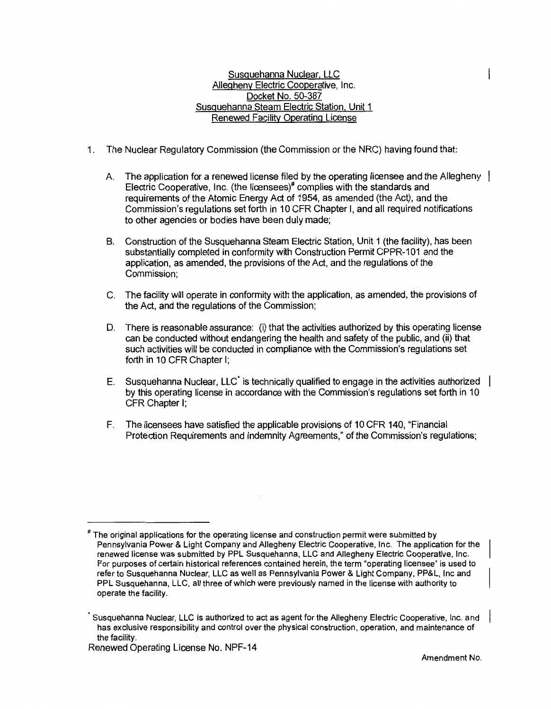#### Susquehanna Nuclear. LLC Allegheny Electric Cooperative, Inc. Docket No. 50-387 Susquehanna Steam Electric Station. Unit 1 Renewed Facility Operating License

- 1. The Nuclear Regulatory Commission (the Commission or the NRC) having found that:
	- A. The application for a renewed license filed by the operating licensee and the Allegheny | Electric Cooperative, Inc. (the licensees)<sup>#</sup> complies with the standards and requirements of the Atomic Energy Act of 1954, as amended (the Act}, and the Commission's regulations set forth in 10 CFR Chapter I, and all required notifications to other agencies or bodies have been duly made;
	- B. Construction of the Susquehanna Steam Electric Station, Unit 1 (the facility), has been substantially completed in conformity with Construction Permit CPPR-101 and the application, as amended, the provisions of the Act, and the regulations of the Commission;
	- C. The facility will operate in conformity with the application, as amended, the provisions of the Act, and the regulations of the Commission;
	- D. There is reasonable assurance: (i) that the activities authorized by this operating license can be conducted without endangering the health and safety of the public, and (ii) that such activities will be conducted in compliance with the Commission's regulations set forth in 10 CFR Chapter I;
	- E. Susquehanna Nuclear, LLC<sup> $\cdot$ </sup> is technically qualified to engage in the activities authorized by this operating license in accordance with the Commission's regulations set forth in 10 CFR Chapter I;
	- F. The licensees have satisfied the applicable provisions of 10 CFR 140, "Financial Protection Requirements and Indemnity Agreements," of the Commission's regulations;

The original applications for the operating license and construction permit were submitted by Pennsylvania Power & Light Company and Allegheny Electric Cooperative, Inc. The application for the renewed license was submitted by PPL Susquehanna, LLC and Allegheny Electric Cooperative, Inc. For purposes of certain historical references contained herein, the term "operating licensee" is used to refer to Susquehanna Nuclear, LLC as well as Pennsylvania Power & Light Company, PP&L, Inc and PPL Susquehanna, LLC, all three of which were previously named in the license with authority to operate the facility.

Susquehanna Nuclear, LLC is authorized to act as agent for the Allegheny Electric Cooperative, Inc. and has exclusive responsibility and control over the physical construction, operation, and maintenance of the facility.

Renewed Operating License No. NPF-14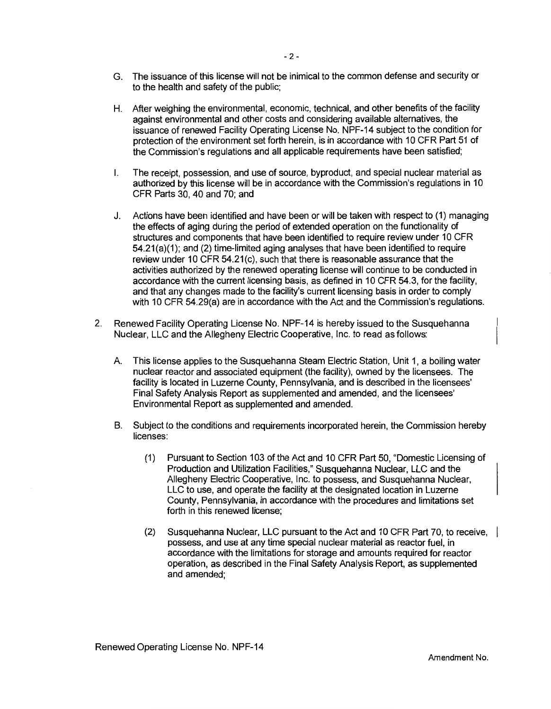- G. The issuance of this license will not be inimical to the common defense and security or to the health and safety of the public;
- H. After weighing the environmental, economic, technical, and other benefits of the facility against environmental and other costs and considering available alternatives, the issuance of renewed Facility Operating License No. NPF-14 subject to the condition for protection of the environment set forth herein, is in accordance with 10 CFR Part 51 of the Commission's regulations and all applicable requirements have been satisfied;
- I. The receipt, possession, and use of source, byproduct, and special nuclear material as authorized by this license will be in accordance with the Commission's regulations in 10 CFR Parts 30, 40 and 70; and
- J. Actions have been identified and have been or will be taken with respect to (1) managing the effects of aging during the period of extended operation on the functionality of structures and components that have been identified to require review under 10 CFR 54.21(a)(1); and (2) time-limited aging analyses that have been identified to require review under 10 CFR 54.21(c), such that there is reasonable assurance that the activities authorized by the renewed operating license will continue to be conducted in accordance with the current licensing basis, as defined in 10 CFR 54.3, for the facility, and that any changes made to the facility's current licensing basis in order to comply with 10 CFR 54.29(a) are in accordance with the Act and the Commission's regulations.
- 2. Renewed Facility Operating License No. NPF-14 is hereby issued to the Susquehanna Nuclear, LLC and the Allegheny Electric Cooperative, Inc. to read as follows:
	- A This license applies to the Susquehanna Steam Electric Station, Unit 1, a boiling water nuclear reactor and associated equipment (the facility), owned by the licensees. The facility is located in Luzerne County, Pennsylvania, and is described in the licensees' Final Safety Analysis Report as supplemented and amended, and the licensees' Environmental Report as supplemented and amended.
	- B. Subject to the conditions and requirements incorporated herein, the Commission hereby licenses:
		- (1) Pursuant to Section 103 of the Act and 10 CFR Part 50, "Domestic Licensing of Production and Utilization Facilities," Susquehanna Nuclear, LLC and the Allegheny Electric Cooperative, Inc. to possess, and Susquehanna Nuclear, LLC to use, and operate the facility at the designated location in Luzerne County, Pennsylvania, in accordance with the procedures and limitations set forth in this renewed license;
		- (2) Susquehanna Nuclear, LLC pursuant to the Act and 10 CFR Part 70, to receive, possess, and use at any time special nuclear material as reactor fuel, in accordance with the limitations for storage and amounts required for reactor operation, as described in the Final Safety Analysis Report, as supplemented and amended;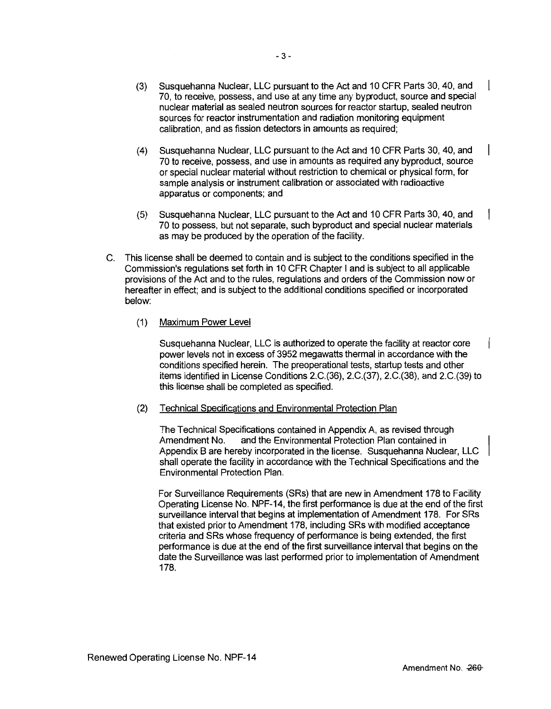- (3) Susquehanna Nuclear, LLC pursuant to the Act and 10 CFR Parts 30, 40, and 70, to receive, possess, and use at any time any byproduct, source and special nuclear material as sealed neutron sources for reactor startup, sealed neutron sources for reactor instrumentation and radiation monitoring equipment calibration, and as fission detectors in amounts as required;
- (4) Susquehanna Nuclear, LLC pursuant to the Act and 10 CFR Parts 30, 40, and 70 to receive, possess, and use in amounts as required any byproduct, source or special nuclear material without restriction to chemical or physical form, for sample analysis or instrument calibration or associated with radioactive apparatus or components; and
- (5) Susquehanna Nuclear, LLC pursuant to the Act and 10 CFR Parts 30, 40, and 70 to possess, but not separate, such byproduct and special nuclear materials as may be produced by the operation of the facility.
- C. This license shall be deemed to contain and is subject to the conditions specified in the Commission's regulations set forth in 10 CFR Chapter I and is subject to all applicable provisions of the Act and to the rules, regulations and orders of the Commission now or hereafter in effect; and is subject to the additional conditions specified or incorporated below:
	- (1) Maximum Power Level

Susquehanna Nuclear, LLC is authorized to operate the facility at reactor core power levels not in excess of 3952 megawatts thermal in accordance with the conditions specified herein. The preoperational tests, startup tests and other items identified in License Conditions 2.C.(36), 2.C.(37), 2.C.(38), and 2.C.(39) to this license shall be completed as specified.

(2) Technical Specifications and Environmental Protection Plan

The Technical Specifications contained in Appendix A, as revised through Amendment No. and the Environmental Protection Plan contained in Appendix B are hereby incorporated in the license. Susquehanna Nuclear, LLC shall operate the facility in accordance with the Technical Specifications and the Environmental Protection Plan.

For Surveillance Requirements (SRs) that are new in Amendment 178 to Facility Operating License No. NPF-14, the first performance is due at the end of the first surveillance interval that begins at implementation of Amendment 178. For SRs that existed prior to Amendment 178, including SRs with modified acceptance criteria and SRs whose frequency of performance is being extended, the first performance is due at the end of the first surveillance interval that begins on the date the Surveillance was last performed prior to implementation of Amendment 178.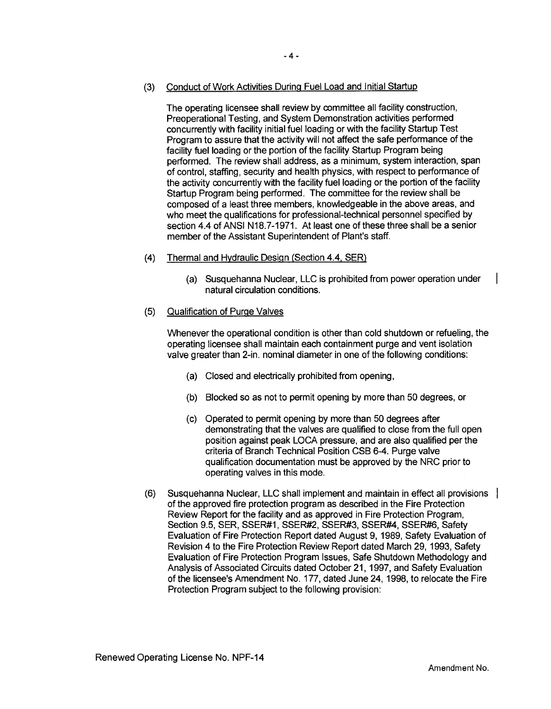The operating licensee shall review by committee all facility construction, Preoperational Testing, and System Demonstration activities performed concurrently wtth facility initial fuel loading or with the facility Startup Test Program to assure that the activity will not affect the safe performance of the facility fuel loading or the portion of the facility Startup Program being performed. The review shall address, as a minimum, system interaction, span of control, staffing, security and health physics, with respect to performance of the activity concurrently wtth the facility fuel loading or the portion of the facility Startup Program being performed. The committee for the review shall be composed of a least three members, knowledgeable in the above areas, and who meet the qualifications for professional-technical personnel specified by section 4.4 of ANSI N18.7-1971. At least one of these three shall be a senior member of the Assistant Superintendent of Plant's staff.

- (4) Thermal and Hydraulic Design (Section 4.4, SER)
	- (a) Susquehanna Nuclear, LLC is prohibited from power operation under natural circulation conditions.

## (5) Qualification of Purge Valves

Whenever the operational condition is other than cold shutdown or refueling, the operating licensee shall maintain each containment purge and vent isolation valve greater than 2-in. nominal diameter in one of the following conditions:

- (a) Closed and electrically prohibited from opening,
- (b) Blocked so as not to permit opening by more than 50 degrees, or
- (c) Operated to permit opening by more than 50 degrees after demonstrating that the valves are qualified to close from the full open position against peak LOCA pressure, and are also qualified per the criteria of Branch Technical Position CSB 6-4. Purge valve qualification documentation must be approved by the NRC prior to operating valves in this mode.
- (6) Susquehanna Nuclear, LLC shall implement and maintain in effect all provisions of the approved fire protection program as described in the Fire Protection Review Report for the facility and as approved in Fire Protection Program, Section 9.5, SER, SSER#1, SSER#2, SSER#3, SSER#4, SSER#6, Safety Evaluation of Fire Protection Report dated August 9, 1989, Safety Evaluation of Revision 4 to the Fire Protection Review Report dated March 29, 1993, Safety Evaluation of Fire Protection Program Issues, Safe Shutdown Methodology and Analysis of Associated Circuits dated October 21, 1997, and Safety Evaluation of the licensee's Amendment No. 177, dated June 24, 1998, to relocate the Fire Protection Program subject to the following provision: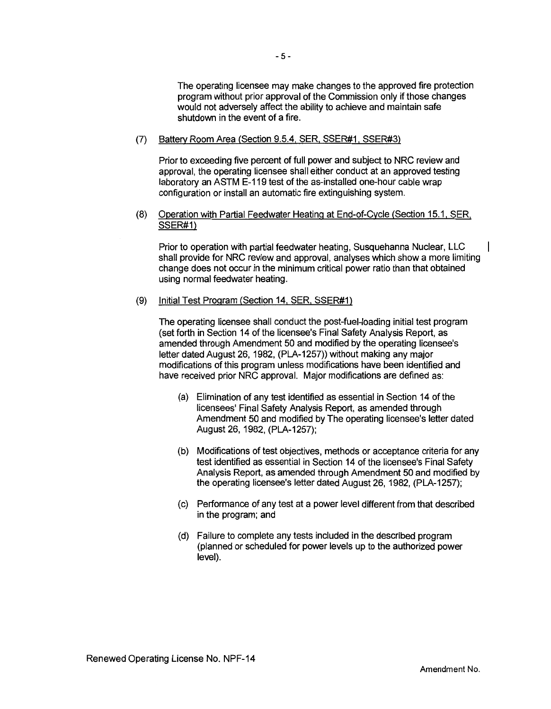The operating licensee may make changes to the approved fire protection program without prior approval of the Commission only if those changes would not adversely affect the ability to achieve and maintain safe shutdown in the event of a fire.

#### (7) Battery Room Area (Section 9.5.4. SER. SSER#1. SSER#3)

Prior to exceeding five percent of full power and subject to NRC review and approval, the operating licensee shall either conduct at an approved testing laboratory an ASTM E-119 test of the as-installed one-hour cable wrap configuration or install an automatic fire extinguishing system.

### (8) Operation with Partial Feedwater Heating at End-of-Cycle (Section 15.1. SER. SSER#1)

Prior to operation with partial feedwater heating, Susquehanna Nuclear, LLC shall provide for NRC review and approval, analyses which show a more limiting change does not occur in the minimum critical power ratio than that obtained using normal feedwater heating.

#### (9) Initial Test Program (Section 14. SER. SSER#1)

The operating licensee shall conduct the post-fuel-loading initial test program (set forth in Section 14 of the licensee's Final Safety Analysis Report, as amended through Amendment 50 and modified by the operating licensee's letter dated August 26, 1982, (PLA-1257)) without making any major modifications of this program unless modifications have been identified and have received prior NRC approval. Major modifications are defined as:

- (a) Elimination of any test identified as essential in Section 14 of the licensees' Final Safety Analysis Report, as amended through Amendment 50 and modified by The operating licensee's letter dated August 26, 1982, (PLA-1257);
- (b) Modifications of test objectives, methods or acceptance criteria for any test identified as essential in Section 14 of the licensee's Final Safety Analysis Report, as amended through Amendment 50 and modified by the operating licensee's letter dated August 26, 1982, (PLA-1257);
- (c) Performance of any test at a power level different from that described in the program; and
- (d) Failure to complete any tests included in the described program (planned or scheduled for power levels up to the authorized power level).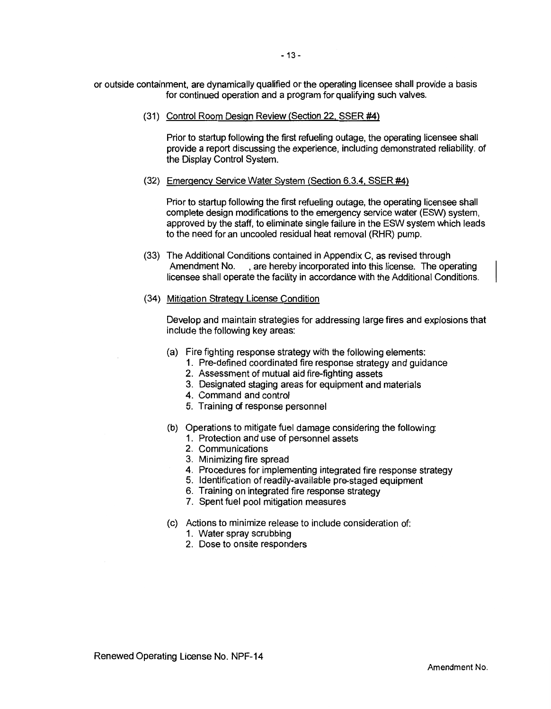or outside containment, are dynamically qualified or the operating licensee shall provide a basis for continued operation and a program for qualifying such valves.

(31) Control Room Design Review (Section 22, SSER #4)

Prior to startup following the first refueling outage, the operating licensee shall provide a report discussing the experience, including demonstrated reliability, of the Display Control System.

(32) Emergency Service Water System (Section 6.3.4. SSER #4)

Prior to startup following the first refueling outage, the operating licensee shall complete design modifications to the emergency service water (ESW) system, approved by the staff, to eliminate single failure in the ESW system which leads to the need for an uncooled residual heat removal (RHR) pump.

- (33) The Additional Conditions contained in Appendix C, as revised through Amendment No. , are hereby incorporated into this license. The operating licensee shall operate the facility in accordance with the Additional Conditions.
- (34) Mitigation Strategy License Condition

Develop and maintain strategies for addressing large fires and explosions that include the following key areas:

- (a) Fire fighting response strategy with the following elements:
	- 1. Pre-defined coordinated fire response strategy and guidance
	- 2. Assessment of mutual aid fire-fighting assets
	- 3. Designated staging areas for equipment and materials
	- 4. Command and control
	- 5. Training of response personnel
- (b) Operations to mitigate fuel damage considering the following:
	- 1. Protection and use of personnel assets
	- 2. Communications
	- 3. Minimizing fire spread
	- 4. Procedures for implementing integrated fire response strategy
	- 5. Identification of readily-available pre-staged equipment
	- 6. Training on integrated fire response strategy
	- 7. Spent fuel pool mitigation measures
- (c) Actions to minimize release to include consideration of:
	- 1. Water spray scrubbing
	- 2. Dose to onsite responders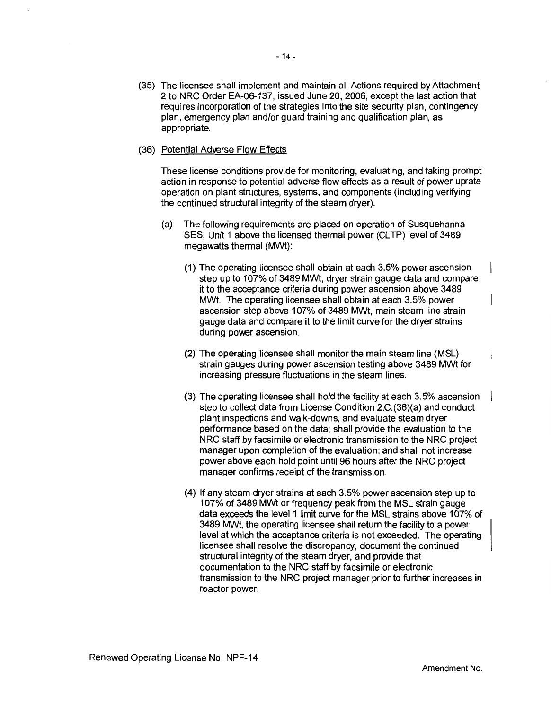- (35) The licensee shall implement and maintain all Actions required by Attachment 2 to NRC Order EA-06-137, issued June 20, 2006, except the last action that requires incorporation of the strategies into the site security plan, contingency plan, emergency plan and/or guard training and qualification plan, as appropriate.
- (36) Potential Adverse Flow Effects

These license conditions provide for monitoring, evaluating, and taking prompt action in response to potential adverse flow effects as a result of power uprate operation on plant structures, systems, and components (including verifying the continued structural integrity of the steam dryer).

- (a) The following requirements are placed on operation of Susquehanna SES. Unit 1 above the licensed thermal power (CLTP) level of 3489 megawatts thermal (MWt):
	- (1) The operating licensee shall obtain at each 3.5% power ascension step up to 107% of 3489 MWt, dryer strain gauge data and compare it to the acceptance criteria during power ascension above 3489 MWt. The operating licensee shall obtain at each 3.5% power ascension step above 107% of 3489 MWt, main steam line strain gauge data and compare it to the limit curve for the dryer strains during power ascension.
	- (2) The operating licensee shall monitor the main steam line (MSL) strain gauges during power ascension testing above 3489 MWt for increasing pressure fluctuations in the steam lines.
	- (3) The operating licensee shall hold the facility at each 3.5% ascension step to collect data from License Condition 2.C.(36)(a) and conduct plant inspections and walk-downs, and evaluate steam dryer performance based on the data; shall provide the evaluation to the NRC staff by facsimile or electronic transmission to the NRC project manager upon completion of the evaluation; and shall not increase power above each hold point until 96 hours after the NRC project manager confirms receipt of the transmission.
	- (4) If any steam dryer strains at each 3.5% power ascension step up to 107% of 3489 MWt or frequency peak from the MSL strain gauge data exceeds the level 1 limit curve for the MSL strains above 107% of 3489 MWt, the operating licensee shall return the facility to a power level at which the acceptance criteria is not exceeded. The operating licensee shall resolve the discrepancy, document the continued structural integrity of the steam dryer, and provide that documentation to the NRC staff by facsimile or electronic transmission to the NRC project manager prior to further increases in reactor power.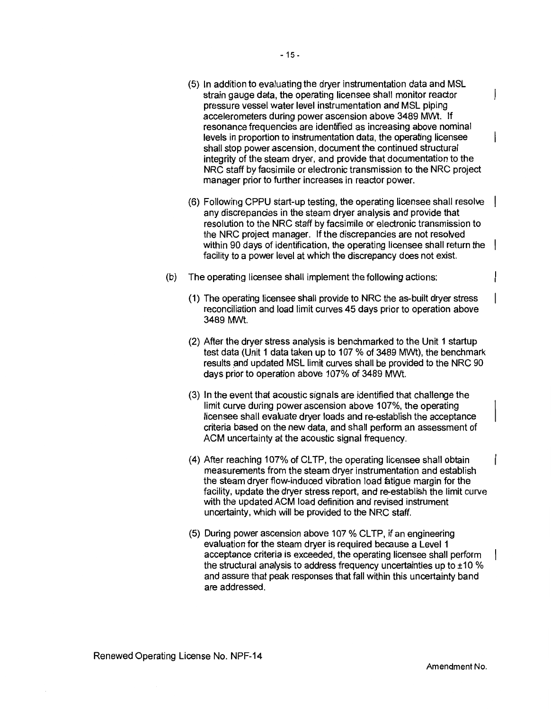- (5) In addition to evaluating the dryer instrumentation data and MSL strain gauge data, the operating licensee shall monitor reactor pressure vessel water level instrumentation and MSL piping accelerometers during power ascension above 3489 MWt. If resonance frequencies are identified as increasing above nominal levels in proportion to instrumentation data, the operating licensee shall stop power ascension, document the continued structural integrity of the steam dryer, and provide that documentation to the NRC staff by facsimile or electronic transmission to the NRC project manager prior to further increases in reactor power.
- (6) Following CPPU start-up testing, the operating licensee shall resolve any discrepancies in the steam dryer analysis and provide that resolution to the NRC staff by facsimile or electronic transmission to the NRC project manager. If the discrepancies are not resolved within 90 days of identification, the operating licensee shall return the facility to a power level at which the discrepancy does not exist.
- (b) The operating licensee shall implement the following actions:
	- (1) The operating licensee shall provide to NRC the as-built dryer stress reconciliation and load limit curves 45 days prior to operation above 3489 MWt.
	- (2) After the dryer stress analysis is benchmarked to the Unit 1 startup test data (Unit 1 data taken up to 107 % of 3489 MWt), the benchmark results and updated MSL limit curves shall be provided to the NRC 90 days prior to operation above 107% of 3489 MWt.
	- (3) In the event that acoustic signals are identified that challenge the limit curve during power ascension above 107%, the operating licensee shall evaluate dryer loads and re-establish the acceptance criteria based on the new data, and shall perform an assessment of ACM uncertainty at the acoustic signal frequency.
	- (4) After reaching 107% of CLTP, the operating licensee shall obtain measurements from the steam dryer instrumentation and establish the steam dryer flow-induced vibration load fatigue margin for the facility, update the dryer stress report, and re-establish the limit curve with the updated ACM load definition and revised instrument uncertainty, which will be provided to the NRC staff.
	- (5) During power ascension above 107 % CLTP, if an engineering evaluation for the steam dryer is required because a Level 1 acceptance criteria is exceeded, the operating licensee shall perform the structural analysis to address frequency uncertainties up to  $\pm 10\%$ and assure that peak responses that fall within this uncertainty band are addressed.

 $\mathbf{I}$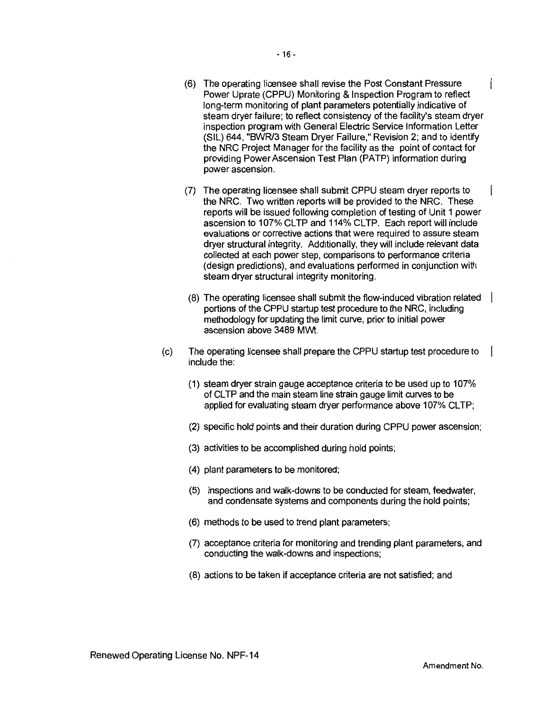- (6) The operating licensee shall revise the Post Constant Pressure Power Uprate (CPPU) Monitoring & Inspection Program to reflect long-term monitoring of plant parameters potentially indicative of steam dryer failure; to reflect consistency of the facility's steam dryer inspection program with General Electric Service Information Letter (SIL) 644, "BWR/3 Steam Dryer Failure," Revision 2; and to identify the NRC Project Manager for the facility as the point of contact for providing Power Ascension Test Plan (PATP) information during power ascension.
- (7) The operating licensee shall submit CPPU steam dryer reports to the NRC. Two written reports will be provided to the NRC. These reports will be issued following completion of testing of Unit 1 power ascension to 107% CLTP and 114% CLTP. Each report will include evaluations or corrective actions that were required to assure steam dryer structural integrity. Additionally, they will include relevant data collected at each power step, comparisons to performance criteria (design predictions), and evaluations performed in conjunction with steam dryer structural integrity monitoring.
- (8) The operating licensee shall submit the flow-induced vibration related portions of the CPPU startup test procedure to the NRC, including methodology for updating the limit curve, prior to initial power ascension above 3489 MWt.
- (c) The operating licensee shall prepare the CPPU startup test procedure to include the:
	- (1) steam dryer strain gauge acceptance criteria to be used up to 107% of CL TP and the main steam line strain gauge limit curves to be applied for evaluating steam dryer performance above 107% CLTP;
	- (2) specific hold points and their duration during CPPU power ascension;
	- (3) activities to be accomplished during hold points;
	- (4) plant parameters to be monitored;
	- (5) inspections and walk-downs to be conducted for steam, feedwater, and condensate systems and components during the hold points;
	- (6) methods to be used to trend plant parameters;
	- (7) acceptance criteria for monitoring and trending plant parameters, and conducting the walk-downs and inspections;
	- (8) actions to be taken if acceptance criteria are not satisfied; and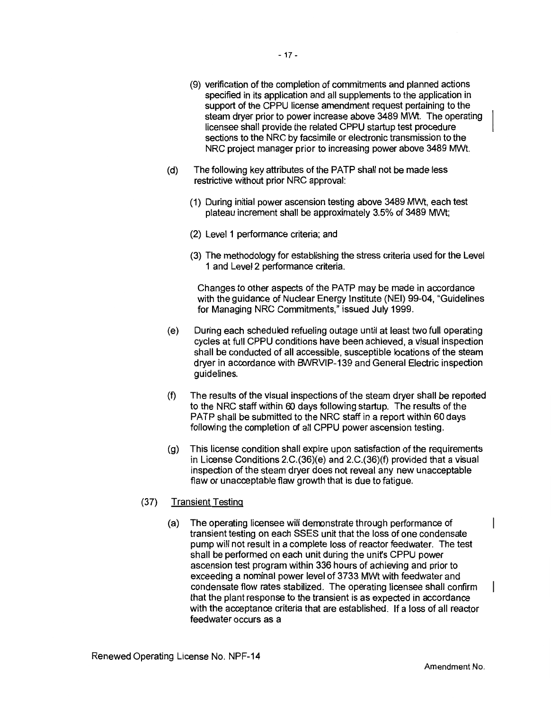- (9) verification of the completion of commitments and planned actions specified in its application and all supplements to the application in support of the CPPU license amendment request pertaining to the steam dryer prior to power increase above 3489 Mwt. The operating licensee shall provide the related CPPU startup test procedure sections to the NRC by facsimile or electronic transmission to the NRC project manager prior to increasing power above 3489 MWt.
- (d) The following key attributes of the PATP shall not be made less restrictive without prior NRC approval:
	- (1) During initial power ascension testing above 3489 MWt, each test plateau increment shall be approximately 3.5% of 3489 MWt;
	- (2) Level 1 performance criteria; and
	- (3) The methodology for establishing the stress criteria used for the Level 1 and Level 2 performance criteria.

Changes to other aspects of the PATP may be made in accordance with the guidance of Nuclear Energy Institute (NEI) 99-04, "Guidelines for Managing NRC Commitments," issued July 1999.

- (e) During each scheduled refueling outage until at least two full operating cycles at full CPPU conditions have been achieved, a visual inspection shall be conducted of all accessible, susceptible bcations of the steam dryer in accordance with BVVRVIP-139 and General Electric inspection guidelines.
- (f) The results of the visual inspections of the steam dryer shall be reported to the NRC staff within 60 days following startup. The results of the PATP shall be submitted to the NRC staff in a report within 60 days following the completion of all CPPU power ascension testing.
- (g) This license condition shall expire upon satisfaction of the requirements in License Conditions 2.C.(36)(e) and 2.C.(36)(f) provided that a visual inspection of the steam dryer does not reveal any new unacceptable flaw or unacceptable flaw growth that is due to fatigue.

### (37) Transient Testing

(a) The operating licensee will demonstrate through performance of transient testing on each SSES unit that the loss of one condensate pump will not result in a complete loss of reactor feedwater. The test shall be performed on each unit during the unifs CPPU power ascension test program within 336 hours of achieving and prior to exceeding a nominal power level of 3733 MWt with feedwater and condensate flow rates stabilized. The operating licensee shall confirm that the plant response to the transient is as expected in accordance with the acceptance criteria that are established. If a loss of all reactor feedwater occurs as a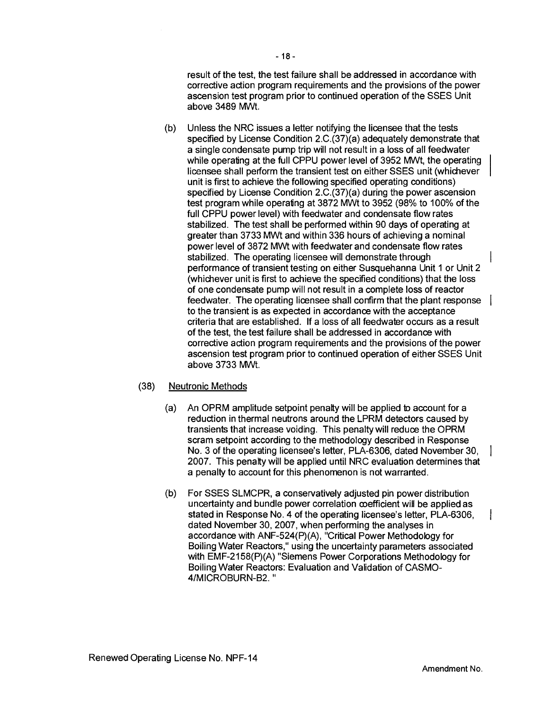result of the test, the test failure shall be addressed in accordance with corrective action program requirements and the provisions of the power ascension test program prior to continued operation of the SSES Unit above 3489 MWt.

- (b) Unless the NRC issues a letter notifying the licensee that the tests specified by License Condition 2.C.(37)(a) adequately demonstrate that a single condensate pump trip will not result in a loss of all feedwater while operating at the full CPPU power level of 3952 MWt, the operating licensee shall perform the transient test on either SSES unit (whichever unit is first to achieve the following specified operating conditions) specified by License Condition 2.C.(37)(a) during the power ascension test program while operating at 3872 MWt to 3952 (98% to 100% of the full CPPU power level) with feedwater and condensate flow rates stabilized. The test shall be performed within 90 days of operating at greater than 3733 MWt and within 336 hours of achieving a nominal power level of 3872 MWt with feedwater and condensate flow rates stabilized. The operating licensee will demonstrate through performance of transient testing on either Susquehanna Unit 1 or Unit 2 (whichever unit is first to achieve the specified conditions) that the loss of one condensate pump will not result in a complete loss of reactor feedwater. The operating licensee shall confirm that the plant response to the transient is as expected in accordance with the acceptance criteria that are established. If a loss of all feedwater occurs as a result of the test, the test failure shall be addressed in accordance with corrective action program requirements and the provisions of the power ascension test program prior to continued operation of either SSES Unit above 3733 MWt.
- (38) Neutronic Methods
	- (a) An OPRM amplitude setpoint penalty will be applied 1o account for a reduction in thermal neutrons around the LPRM detectors caused by transients that increase voiding. This penalty will reduce the OPRM scram setpoint according to the methodology described in Response No. 3 of the operating licensee's letter, PLA-6306, dated November 30, 2007. This penalty will be applied until NRC evaluation determines that a penalty to account for this phenomenon is not warranted.
	- (b) For SSES SLMCPR, a conservatively adjusted pin power distribution uncertainty and bundle power correlation ooefficient will be applied as stated in Response No. 4 of the operating licensee's letter, PLA-6306, dated November 30, 2007, when performing the analyses in accordance with ANF-524(P)(A), "Critical Power Methodology for Boiling Water Reactors," using the uncertainty parameters associated with EMF-2158(P)(A) "Siemens Power Corporations Methodology for Boiling Water Reactors: Evaluation and Validation of CASM0- 4/MICROBURN-B2."

ł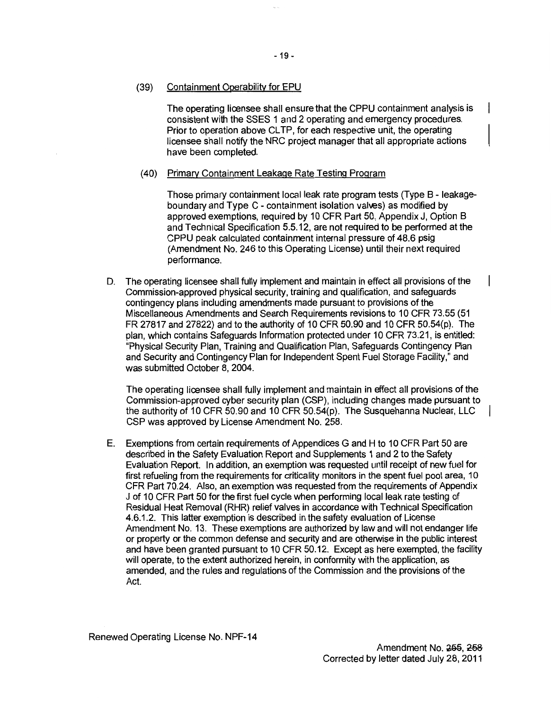#### (39) Containment Operability for EPU

The operating licensee shall ensure that the CPPU containment analysis is consistent with the SSES 1 and 2 operating and emergency procedures. Prior to operation above CL TP, for each respective unit, the operating licensee shall notify the NRC project manager that all appropriate actions have been completed.

#### (40) Primary Containment Leakage Rate Testing Program

Those primary containment local leak rate program tests (Type B - leakageboundary and Type C - containment isolation valves) as modified by approved exemptions, required by 10 CFR Part 50, Appendix J, Option B and Technical Specification 5.5.12, are not required to be performed at the CPPU peak calculated containment internal pressure of 48.6 psig (Amendment No. 246 to this Operating License) until their next required performance.

D. The operating licensee shall fully implement and maintain in effect all provisions of the Commission-approved physical security, training and qualification, and safeguards contingency plans including amendments made pursuant to provisions of the Miscellaneous Amendments and Search Requirements revisions to 10 CFR 73.55 (51 FR 27817 and 27822) and to the authority of 10 CFR 50.90 and 10 CFR 50.54(p). The plan, which contains Safeguards Information protected under 10 CFR 73.21, is entitled: "Physical Security Plan, Training and Qualification Plan, Safeguards Contingency Plan and Security and Contingency Plan for Independent Spent Fuel Storage Facility," and was submitted October 8, 2004.

The operating licensee shall fully implement and maintain in effect all provisions of the Commission-approved cyber security plan (CSP), including changes made pursuant to the authority of 10 CFR 50.90 and 10 CFR 50.54(p). The Susquehanna Nuclear, LLC CSP was approved by License Amendment No. 258.

E. Exemptions from certain requirements of Appendices G and H to 10 CFR Part 50 are described in the Safety Evaluation Report and Supplements 1 and 2 to the Safety Evaluation Report. In addition, an exemption was requested until receipt of new fuel for first refueling from the requirements for criticality monitors in the spent fuel pool area, 10 CFR Part 70.24. Also, an exemption was requested from the requirements of Appendix J of 10 CFR Part 50 for the first fuel cycle when performing local leak rate testing of Residual Heat Removal (RHR) relief valves in accordance with Technical Specification 4.6.1.2. This latter exemption is described in the safety evaluation of License Amendment No. 13. These exemptions are authorized by law and will not endanger life or property or the common defense and security and are otherwise in the public interest and have been granted pursuant to 10 CFR 50.12. Except as here exempted, the facility will operate, to the extent authorized herein, in conformity with the application, as amended, and the rules and regulations of the Commission and the provisions of the Act.

Renewed Operating License No. NPF-14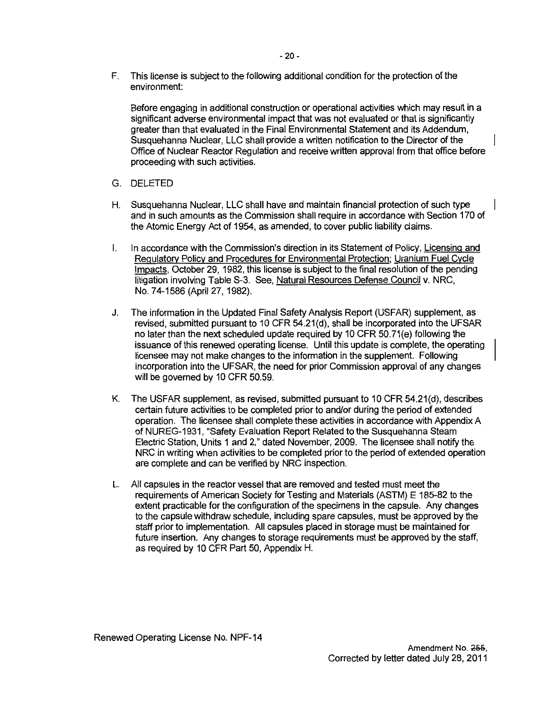F. This license is subject to the following additional condition for the protection of the environment:

Before engaging in additional construction or operational activities which may result in a significant adverse environmental impact that was not evaluated or that is significantly greater than that evaluated in the Final Environmental Statement and its Addendum, Susquehanna Nuclear, LLC shall provide a written notification to the Director of the Office of Nuclear Reactor Regulation and receive written approval from that office before proceeding with such activities.

- G. DELETED
- H. Susquehanna Nuclear, LLC shall have and maintain financial protection of such type and in such amounts as the Commission shall require in accordance with Section 170 of the Atomic Energy Act of 1954, as amended, to cover public liability claims.
- I. In accordance with the Commission's direction in its Statement of Policy, Licensing and Regulatory Policy and Procedures for Environmental Protection; Uranium Fuel Cycle Impacts, October 29, 1982, this license is subject to the final resolution of the pending litigation involving Table S-3. See, Natural Resources Defense Council v. NRG, No. 74-1586 (April 27, 1982).
- J. The information in the Updated Final Safety Analysis Report (USFAR) supplement, as revised, submitted pursuant to 10 CFR 54.21(d), shall be incorporated into the UFSAR no later than the next scheduled update required by 10 CFR 50. 71 (e) following the issuance of this renewed operating license. Until this update is complete, the operating licensee may not make changes to the information in the supplement. Following incorporation into the UFSAR, the need for prior Commission approval of any changes will be governed by 10 CFR 50.59.
- K. The USFAR supplement, as revised, submitted pursuant to 10 CFR 54.21(d), describes certain future activities to be completed prior to and/or during the period of extended operation. The licensee shall complete these activities in accordance with Appendix A of NUREG-1931, "Safety Evaluation Report Related to the Susquehanna Steam Electric Station, Units 1 and 2," dated November, 2009. The licensee shall notify the NRG in writing when activities to be completed prior to the period of extended operation are complete and can be verified by NRG inspection.
- L. All capsules in the reactor vessel that are removed and tested must meet the requirements of American Society for Testing and Materials (ASTM) E 185-82 to the extent practicable for the configuration of the specimens in the capsule. Any changes to the capsule withdraw schedule, including spare capsules, must be approved by the staff prior to implementation. All capsules placed in storage must be maintained for future insertion. Any changes to storage requirements must be approved by the staff, as required by 10 CFR Part 50, Appendix H.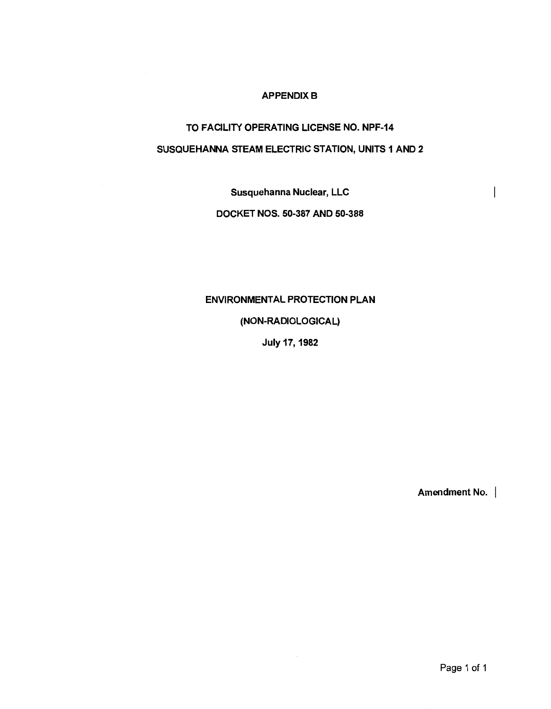### **APPENDIX B**

# TO FACILITY OPERATING LICENSE NO. NPF-14 SUSQUEHANNA STEAM ELECTRIC STATION, UNITS 1 AND 2

Susquehanna Nuclear, LLC

## DOCKET NOS. 50-387 AND 50-388

## ENVIRONMENTAL PROTECTION PLAN

## (NON-RADIOLOGICAL)

July 17, 1982

Amendment No. |

 $\overline{\phantom{a}}$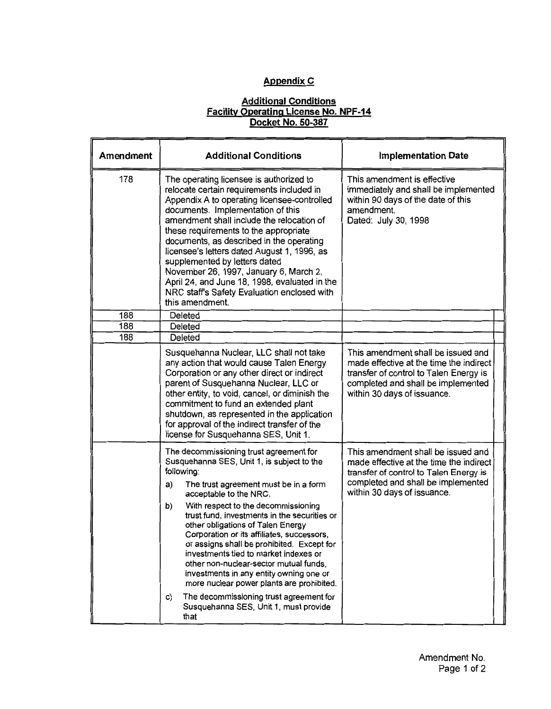## **Appendix C**

#### **Additional Conditions Facility Operating License No. NPF-14 Docket No. 50-387**

| Amendment | <b>Additional Conditions</b>                                                                                                                                                                                                                                                                                                                                                                                                                                                                                                                                                                                                                                                            | <b>Implementation Date</b>                                                                                                                                                                   |
|-----------|-----------------------------------------------------------------------------------------------------------------------------------------------------------------------------------------------------------------------------------------------------------------------------------------------------------------------------------------------------------------------------------------------------------------------------------------------------------------------------------------------------------------------------------------------------------------------------------------------------------------------------------------------------------------------------------------|----------------------------------------------------------------------------------------------------------------------------------------------------------------------------------------------|
| 178       | The operating licensee is authorized to<br>relocate certain requirements included in<br>Appendix A to operating licensee-controlled<br>documents. Implementation of this<br>amendment shall include the relocation of<br>these requirements to the appropriate<br>documents, as described in the operating<br>licensee's letters dated August 1, 1996, as<br>supplemented by letters dated<br>November 26, 1997, January 6, March 2,<br>April 24, and June 18, 1998, evaluated in the<br>NRC staff's Safety Evaluation enclosed with<br>this amendment.                                                                                                                                 | This amendment is effective<br>immediately and shall be implemented<br>within 90 days of the date of this<br>amendment.<br>Dated: July 30, 1998                                              |
| 188       | Deleted                                                                                                                                                                                                                                                                                                                                                                                                                                                                                                                                                                                                                                                                                 |                                                                                                                                                                                              |
| 188       | Deleted                                                                                                                                                                                                                                                                                                                                                                                                                                                                                                                                                                                                                                                                                 |                                                                                                                                                                                              |
| 188       | Deleted                                                                                                                                                                                                                                                                                                                                                                                                                                                                                                                                                                                                                                                                                 |                                                                                                                                                                                              |
|           | Susquehanna Nuclear, LLC shall not take<br>any action that would cause Talen Energy<br>Corporation or any other direct or indirect<br>parent of Susquehanna Nuclear, LLC or<br>other entity, to void, cancel, or diminish the<br>commitment to fund an extended plant<br>shutdown, as represented in the application<br>for approval of the indirect transfer of the<br>license for Susquehanna SES, Unit 1.                                                                                                                                                                                                                                                                            | This amendment shall be issued and<br>made effective at the time the indirect<br>transfer of control to Talen Energy is<br>completed and shall be implemented<br>within 30 days of issuance. |
|           | The decommissioning trust agreement for<br>Susquehanna SES, Unit 1, is subject to the<br>following:<br>The trust agreement must be in a form<br>a)<br>acceptable to the NRC.<br>With respect to the decommissioning<br>b)<br>trust fund, investments in the securities or<br>other obligations of Talen Energy<br>Corporation or its affiliates, successors,<br>or assigns shall be prohibited. Except for<br>investments tied to market indexes or<br>other non-nuclear-sector mutual funds,<br>investments in any entity owning one or<br>more nuclear power plants are prohibited.<br>The decommissioning trust agreement for<br>C)<br>Susquehanna SES, Unit 1, must provide<br>that | This amendment shall be issued and<br>made effective at the time the indirect<br>transfer of control to Talen Energy is<br>completed and shall be implemented<br>within 30 days of issuance. |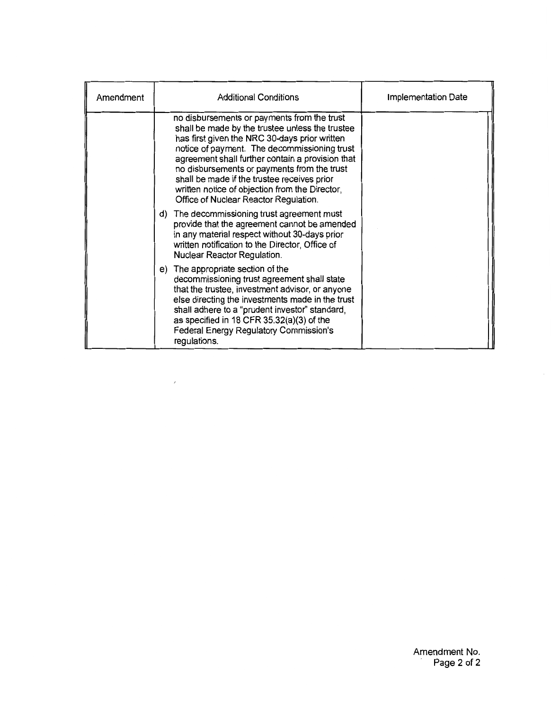| Amendment | <b>Additional Conditions</b>                                                                                                                                                                                                                                                                                                                                                                                                                 | <b>Implementation Date</b> |
|-----------|----------------------------------------------------------------------------------------------------------------------------------------------------------------------------------------------------------------------------------------------------------------------------------------------------------------------------------------------------------------------------------------------------------------------------------------------|----------------------------|
|           | no disbursements or payments from the trust<br>shall be made by the trustee unless the trustee<br>has first given the NRC 30-days prior written<br>notice of payment. The decommissioning trust<br>agreement shall further contain a provision that<br>no disbursements or payments from the trust<br>shall be made if the trustee receives prior<br>written notice of objection from the Director,<br>Office of Nuclear Reactor Regulation. |                            |
|           | The decommissioning trust agreement must<br>d)<br>provide that the agreement cannot be amended<br>in any material respect without 30-days prior<br>written notification to the Director, Office of<br>Nuclear Reactor Regulation.                                                                                                                                                                                                            |                            |
|           | The appropriate section of the<br>e)<br>decommissioning trust agreement shall state<br>that the trustee, investment advisor, or anyone<br>else directing the investments made in the trust<br>shall adhere to a "prudent investor" standard,<br>as specified in 18 CFR 35.32(a)(3) of the<br>Federal Energy Regulatory Commission's<br>regulations.                                                                                          |                            |

 $\overline{\phantom{a}}$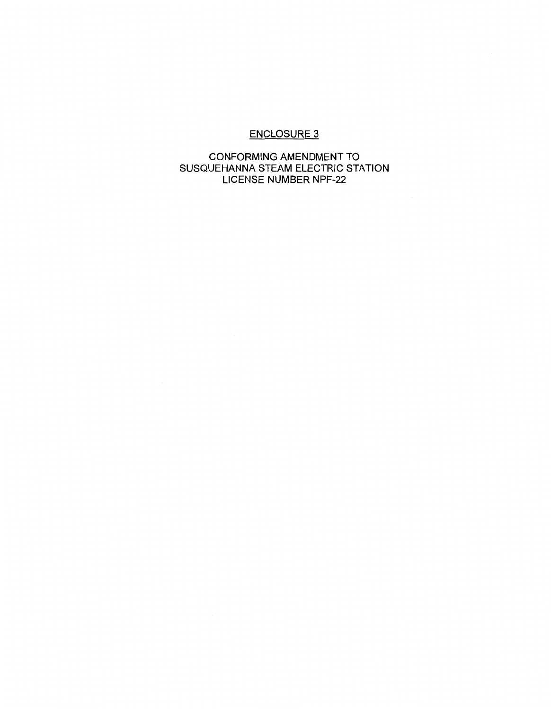## ENCLOSURE 3

## CONFORMING AMENDMENT TO SUSQUEHANNA STEAM ELECTRIC STATION LICENSE NUMBER NPF-22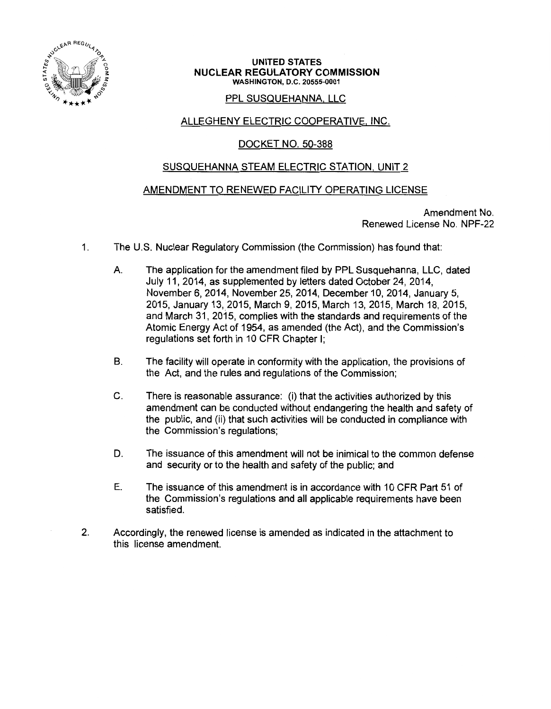

#### UNITED STATES NUCLEAR REGULATORY COMMISSION WASHINGTON, D.C. 20555-0001

## PPL SUSQUEHANNA, LLC

## ALLEGHENY ELECTRIC COOPERATIVE. INC.

## DOCKET NO. 50-388

## SUSQUEHANNA STEAM ELECTRIC STATION. UNIT 2

## AMENDMENT TO RENEWED FACILITY OPERATING LICENSE

Amendment No. Renewed License No. NPF-22

- 1. The U.S. Nuclear Regulatory Commission (the Commission) has found that:
	- A. The application for the amendment filed by PPL Susquehanna, LLC, dated July 11, 2014, as supplemented by letters dated October 24, 2014, November 6, 2014, November 25, 2014, December 10, 2014, January 5, 2015, January 13, 2015, March 9, 2015, March 13, 2015, March 18, 2015, and March 31, 2015, complies with the standards and requirements of the Atomic Energy Act of 1954, as amended (the Act), and the Commission's regulations set forth in 10 CFR Chapter I;
	- B. The facility will operate in conformity with the application, the provisions of the Act, and the rules and regulations of the Commission;
	- C. There is reasonable assurance: (i) that the activities authorized by this amendment can be conducted without endangering the health and safety of the public, and (ii) that such activities will be conducted in compliance with the Commission's regulations;
	- D. The issuance of this amendment will not be inimical to the common defense and security or to the health and safety of the public; and
	- E. The issuance of this amendment is in accordance with 10 CFR Part 51 of the Commission's regulations and all applicable requirements have been satisfied.
- 2. Accordingly, the renewed license is amended as indicated in the attachment to this license amendment.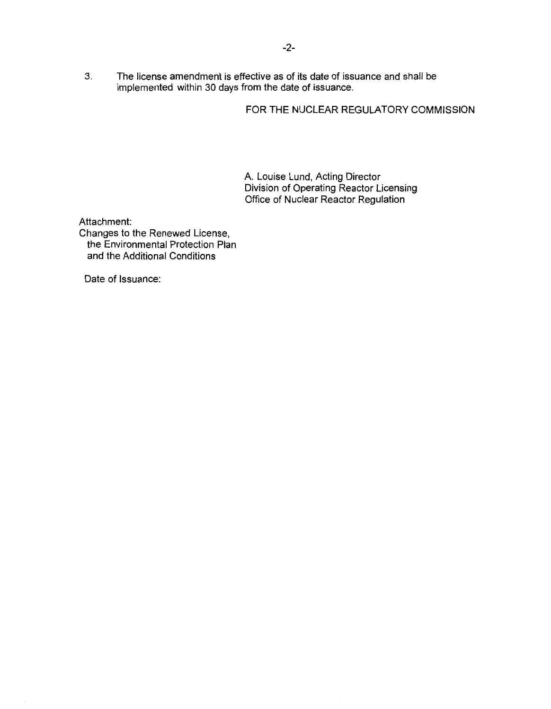3. The license amendment is effective as of its date of issuance and shall be implemented within 30 days from the date of issuance.

FOR THE NUCLEAR REGULATORY COMMISSION

A. Louise Lund, Acting Director Division of Operating Reactor Licensing Office of Nuclear Reactor Regulation

Attachment: Changes to the Renewed License, the Environmental Protection Plan and the Additional Conditions

Date of Issuance: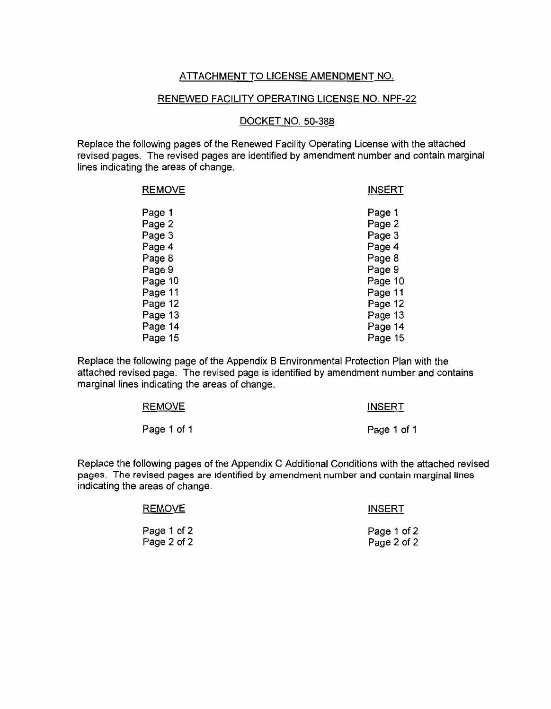## ATTACHMENT TO LICENSE AMENDMENT NO.

#### RENEWED FACILITY OPERATING LICENSE NO. NPF-22

#### DOCKET NO. 50-388

Replace the following pages of the Renewed Facility Operating License with the attached revised pages. The revised pages are identified by amendment number and contain marginal lines indicating the areas of change.

| <b>REMOVE</b> | <b>INSERT</b> |
|---------------|---------------|
| Page 1        | Page 1        |
| Page 2        | Page 2        |
| Page 3        | Page 3        |
| Page 4        | Page 4        |
| Page 8        | Page 8        |
| Page 9        | Page 9        |
| Page 10       | Page 10       |
| Page 11       | Page 11       |
| Page 12       | Page 12       |
| Page 13       | Page 13       |
| Page 14       | Page 14       |
| Page 15       | Page 15       |

Replace the following page of the Appendix B Environmental Protection Plan with the attached revised page. The revised page is identified by amendment number and contains marginal lines indicating the areas of change.

| <b>REMOVE</b> | <b>INSERT</b> |
|---------------|---------------|
| Page 1 of 1   | Page 1 of 1   |

Replace the following pages of the Appendix C Additional Conditions with the attached revised pages. The revised pages are identified by amendment number and contain marginal lines indicating the areas of change.

| <b>REMOVE</b> | <b>INSERT</b> |
|---------------|---------------|
| Page 1 of 2   | Page 1 of 2   |
| Page 2 of 2   | Page 2 of 2   |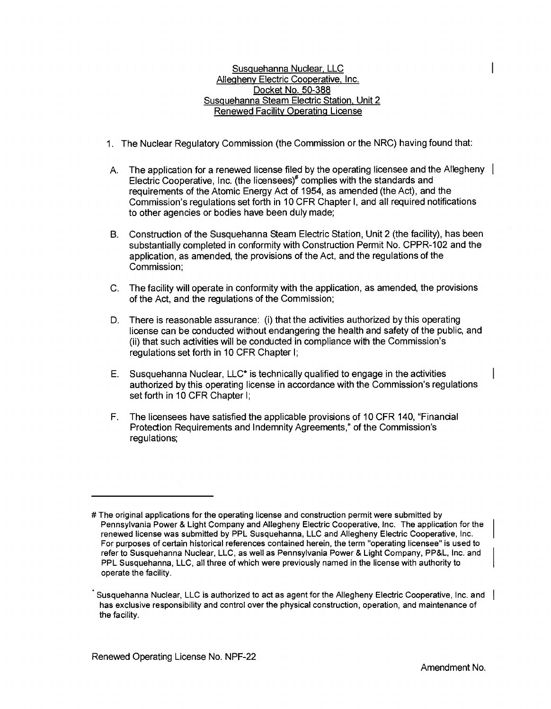Susquehanna Nuclear. LLC Allegheny Electric Cooperative. Inc. Docket No. 50-388 Susquehanna Steam Electric Station. Unit 2 Renewed Facility Operating License

- 1. The Nuclear Regulatory Commission (the Commission or the NRC) having found that:
- A. The application for a renewed license filed by the operating licensee and the Allegheny Electric Cooperative, Inc. (the licensees)<sup>#</sup> complies with the standards and requirements of the Atomic Energy Act of 1954, as amended (the Act), and the Commission's regulations set forth in 10 CFR Chapter I, and all required notifications to other agencies or bodies have been duly made;
- B. Construction of the Susquehanna Steam Electric Station, Unit 2 (the facility), has been substantially completed in conformity with Construction Permit No. CPPR-102 and the application, as amended, the provisions of the Act, and the regulations of the Commission;
- C. The facility will operate in conformity with the application, as amended, the provisions of the Act, and the regulations of the Commission;
- D. There is reasonable assurance: (i) that the activities authorized by this operating license can be conducted without endangering the health and safety of the public, and (ii) that such activities will be conducted in compliance with the Commission's regulations set forth in 10 CFR Chapter I;
- E. Susquehanna Nuclear, LLC\* is technically qualified to engage in the activities authorized by this operating license in accordance with the Commission's regulations set forth in 10 CFR Chapter I;
- F. The licensees have satisfied the applicable provisions of 1 O CFR 140, "Financial Protection Requirements and Indemnity Agreements," of the Commission's regulations;

<sup>#</sup>The original applications for the operating license and construction permit were submitted by Pennsylvania Power & Light Company and Allegheny Electric Cooperative, Inc. The application for the renewed license was submitted by PPL Susquehanna, LLC and Allegheny Electric Cooperative, Inc. For purposes of certain historical references contained herein, the term "operating licensee" is used to refer to Susquehanna Nuclear, LLC, as well as Pennsylvania Power & Light Company, PP&L, Inc. and PPL Susquehanna, LLC, all three of which were previously named in the license with authority to operate the facility.

Susquehanna Nuclear, LLC is authorized to act as agent for the Allegheny Electric Cooperative, Inc. and has exclusive responsibility and control over the physical construction, operation, and maintenance of the facility.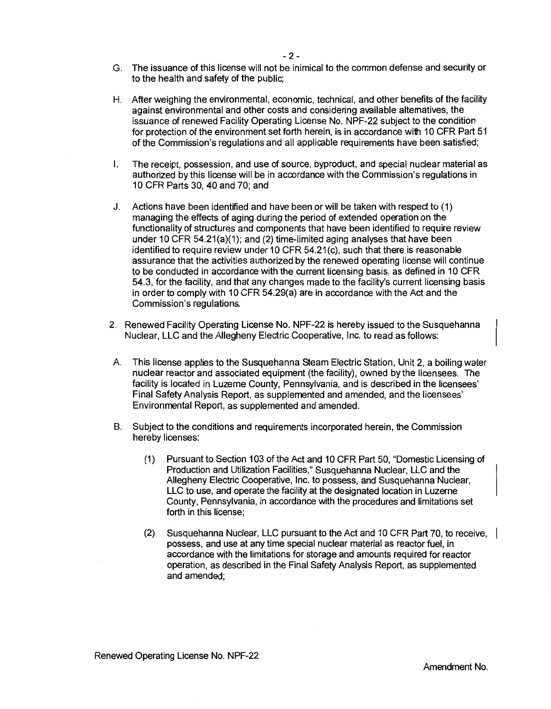- H. After weighing the environmental, economic, technical, and other benefits of the facility against environmental and other costs and considering available alternatives, the issuance of renewed Facility Operating License No. NPF-22 subject to the condition for protection of the environment set forth herein, is in accordance with 10 CFR Part 51 of the Commission's regulations and all applicable requirements have been satisfied;
- I. The receipt, possession, and use of source, byproduct, and special nudear material as authorized by this license will be in accordance with the Commission's regulations in 10 CFR Parts 30, 40 and 70; and
- J. Actions have been identified and have been or will be taken with respect to (1) managing the effects of aging during the period of extended operation on the functionality of structures and components that have been identified to require review under 10 CFR 54.21(a)(1); and (2) time-limited aging analyses that have been identified to require review under 10 CFR 54.21 (c), such that there is reasonable assurance that the activities authorized by the renewed operating license will continue to be conducted in accordance with the current licensing basis, as defined in 10 CFR 54.3, for the facility, and that any changes made to the facility's current licensing basis in order to comply with 10 CFR 54.29(a) are in accordance with the Act and the Commission's regulations.
- 2. Renewed Facility Operating License No. NPF-22 is hereby issued to the Susquehanna Nuclear, LLC and the Allegheny Electric Cooperative, Inc. to read as follows:
- A. This license applies to the Susquehanna Steam Electric Station, Unit 2, a boiling water nuclear reactor and associated equipment (the facility), owned by the licensees. The facility is located in Luzerne County, Pennsylvania, and is described in the licensees' Final Safety Analysis Report, as supplemented and amended, and the licensees' Environmental Report, as supplemented and amended.
- B. Subject to the conditions and requirements incorporated herein, the Commission hereby licenses:
	- ( 1) Pursuant to Section 103 of the Act and 10 CFR Part 50, "Domestic Licensing of Production and Utilization Facilities," Susquehanna Nuclear, LLC and the Allegheny Electric Cooperative, Inc. to possess, and Susquehanna Nuclear, LLC to use, and operate the facility at the designated location in Luzerne County, Pennsylvania, in accordance with the procedures and limitations set forth in this license;
	- (2) Susquehanna Nuclear, LLC pursuant to the Act and 10 CFR Part 70, to receive, possess, and use at any time special nuclear material as reactor fuel, in accordance with the limitations for storage and amounts required for reactor operation, as described in the Final Safety Analysis Report, as supplemented and amended;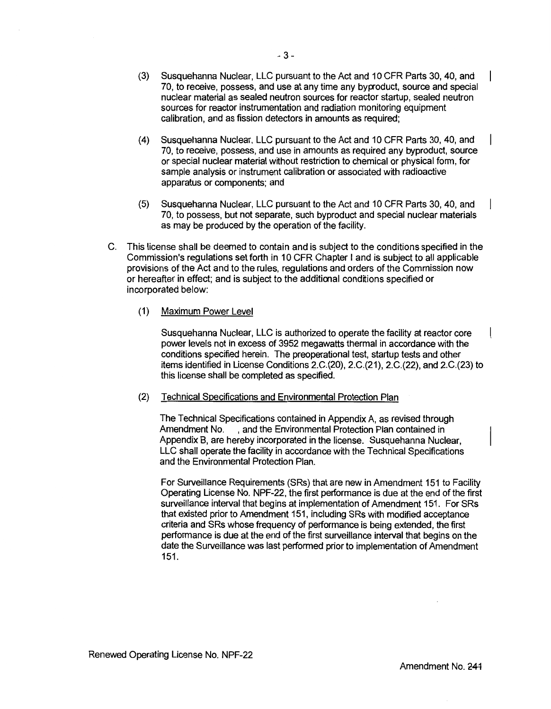- (4) Susquehanna Nuclear, LLC pursuant to the Act and 10 CFR Parts 30, 40, and 70, to receive, possess, and use in amounts as required any byproduct, source or special nuclear material without restriction to chemical or physical form, for sample analysis or instrument calibration or associated with radioactive apparatus or components; and
- (5) Susquehanna Nuclear, LLC pursuant to the Act and 10 CFR Parts 30, 40, and 70, to possess, but not separate, such byproduct and special nuclear materials as may be produced by the operation of the facility.
- C. This license shall be deemed to contain and is subject to the conditions specified in the Commission's regulations set forth in 10 CFR Chapter I and is subject to all applicable provisions of the Act and to the rules, regulations and orders of the Commission now or hereafter in effect; and is subject to the additional conditions specified or incorporated below:
	- (1) Maximum Power Level

Susquehanna Nuclear, LLC is authorized to operate the facility at reactor core power levels not in excess of 3952 megawatts thermal in accordance with the conditions specified herein. The preoperational test, startup tests and other items identified in License Conditions 2.C.(20), 2.C.(21), 2.C.(22), and 2.C.(23) to this license shall be completed as specified.

(2) Technical Specifications and Environmental Protection Plan

The Technical Specifications contained in Appendix A, as revised through Amendment No. , and the Environmental Protection Plan contained in Appendix B, are hereby incorporated in the license. Susquehanna Nuclear, LLC shall operate the facility in accordance with the Technical Specifications and the Environmental Protection Plan.

For Surveillance Requirements (SRs) that are new in Amendment 151 to Facility Operating License No. NPF-22, the first performance is due at the end of the first surveillance interval that begins at implementation of Amendment 151. For SRs that existed prior to Amendment 151, including SRs with modified acceptance criteria and SRs whose frequency of performance is being extended, the first performance is due at the end of the first surveillance interval that begins on the date the Surveillance was last performed prior to implementation of Amendment 151.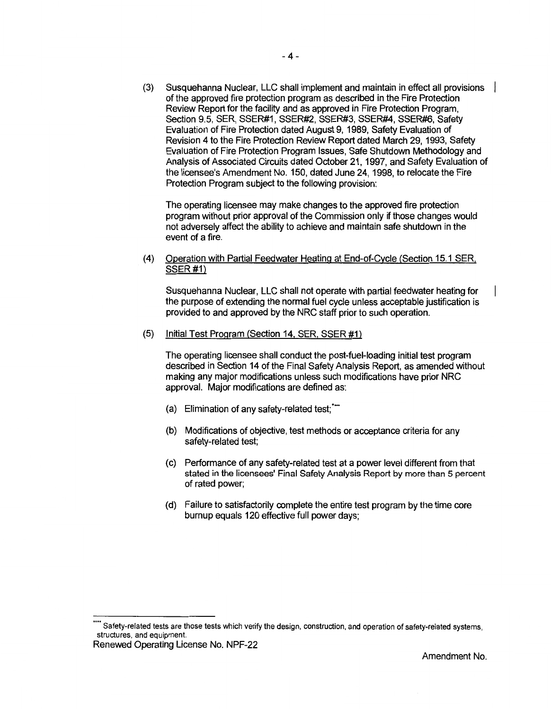(3) Susquehanna Nuclear, LLC shall implement and maintain in effect all provisions of the approved fire protection program as described in the Fire Protection Review Report for the facility and as approved in Fire Protection Program, Section 9.5, SER, SSER#1, SSER#2, SSER#3, SSER#4, SSER#6, Safety Evaluation of Fire Protection dated August 9, 1989, Safety Evaluation of Revision 4 to the Fire Protection Review Report dated March 29, 1993, Safety Evaluation of Fire Protection Program Issues, Safe Shutdown Methodology and Analysis of Associated Circuits dated October 21, 1997, and Safety Evaluation of the licensee's Amendment No. 150, dated June 24, 1998, to relocate the Fire Protection Program subject to the following provision:

The operating licensee may make changes to the approved fire protection program without prior approval of the Commission only if those changes would not adversely affect the ability to achieve and maintain safe shutdown in the event of a fire.

(4) Operation with Partial Feedwater Heating at End-of-Cycle (Section 15.1 SER. SSER#1)

Susquehanna Nuclear, LLC shall not operate with partial feedwater heating for the purpose of extending the normal fuel cycle unless acceptable justification is provided to and approved by the NRC staff prior to such operation.

(5) Initial Test Program (Section 14. SER. SSER #1)

The operating licensee shall conduct the post-fuel-loading initial test program described in Section 14 of the Final Safety Analysis Report, as amended without making any major modifications unless such modifications have prior NRC approval. Major modifications are defined as:

- (a) Elimination of any safety-related test;"
- (b) Modifications of objective, test methods or acceptance criteria for any safety-related test;
- (c) Performance of any safety-related test at a power level different from that stated in the licensees' Final Safety Analysis Report by more than 5 percent of rated power;
- (d) Failure to satisfactorily complete the entire test program by the time core burnup equals 120 effective full power days;

Renewed Operating License No. NPF-22

<sup>\*\*\*\*</sup> Safety-related tests are those tests which verify the design, construction, and operation of safety-related systems, structures, and equipment.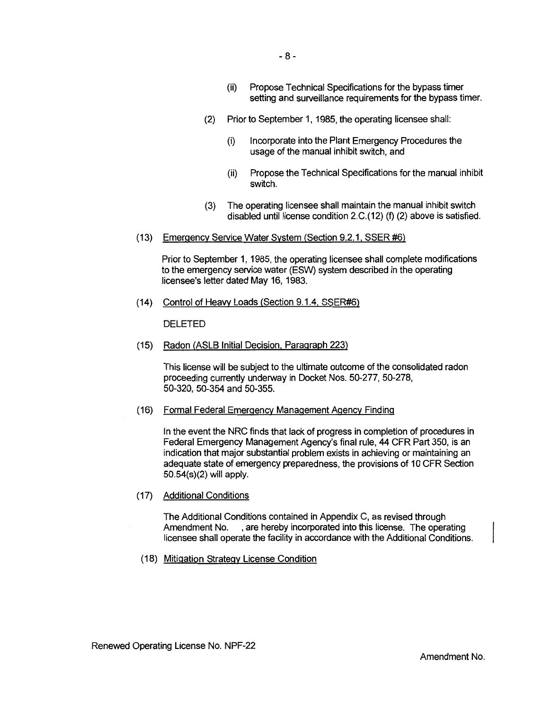- (2) Prior to September 1, 1985, the operating licensee shall:
	- (i) Incorporate into the Plant Emergency Procedures the usage of the manual inhibit swttch, and
	- (ii) Propose the Technical Specifications for the manual inhibit switch.
- (3) The operating licensee shall maintain the manual inhibit switch disabled until license condition 2.C.(12) (f) (2) above is satisfied.
- (13) Emergency Service Water System (Section 9.2.1. SSER #6)

Prior to September 1, 1985, the operating licensee shall complete modifications to the emergency service water (ESW) system described in the operating licensee's letter dated May 16, 1983.

(14) Control of Heavy Loads (Section 9.1.4. SSER#6)

DELETED

(15) Radon (ASLB Initial Decision. Paragraph 223)

This license will be subject to the ultimate outcome of the consolidated radon proceeding currently underway in Docket Nos. 50-277, 50-278, 50-320, 50-354 and 50-355.

(16) Formal Federal Emergency Management Agency Finding

In the event the NRC finds that lack of progress in completion of procedures in Federal Emergency Management Agency's final rule, 44 CFR Part 350, is an indication that major substantial problem exists in achieving or maintaining an adequate state of emergency preparedness, the provisions of 10 CFR Section 50.54(s)(2) will apply.

(17) Additional Conditions

The Additional Conditions contained in Appendix C, as revised through Amendment No. , are hereby incorporated into this license. The operating licensee shall operate the facility in accordance with the Additional Conditions.

(18) Mitigation Strategy License Condition

Amendment No.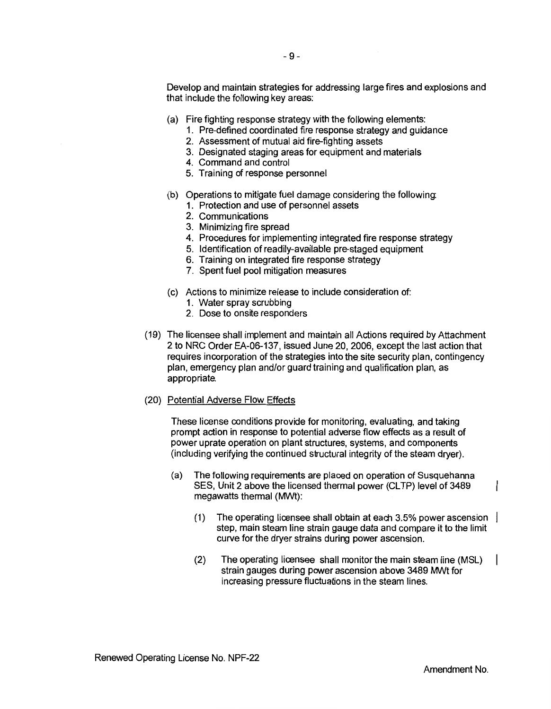Develop and maintain strategies for addressing large fires and explosions and that include the following key areas:

- (a) Fire fighting response strategy with the following elements:
	- 1. Pre-defined coordinated fire response strategy and guidance
	- 2. Assessment of mutual aid fire-fighting assets
	- 3. Designated staging areas for equipment and materials
	- 4. Command and control
	- 5. Training of response personnel
- (b) Operations to mitigate fuel damage considering the following:
	- 1. Protection and use of personnel assets
	- 2. Communications
	- 3. Minimizing fire spread
	- 4. Procedures for implementing integrated fire response strategy
	- 5. Identification of readily-available pre-staged equipment
	- 6. Training on integrated fire response strategy
	- 7. Spent fuel pool mitigation measures
- (c) Actions to minimize release to include consideration of:
	- 1. Water spray scrubbing
	- 2. Dose to onsite responders
- (19) The licensee shall implement and maintain all Actions required by Attachment 2 to NRC Order EA-06-137, issued June 20, 2006, except the last action that requires incorporation of the strategies into the site security plan, contingency plan, emergency plan and/or guard training and qualification plan, as appropriate.
- (20) Potential Adverse Flow Effects

These license conditions provide for monitoring, evaluating, and taking prompt action in response to potential adverse flow effects as a result of power uprate operation on plant structures, systems, and components (including verifying the continued structural integrity of the steam dryer).

- (a) The following requirements are placed on operation of Susquehanna SES, Unit 2 above the licensed thermal power (CLTP) level of 3489 megawatts thermal (MWt):
	- (1) The operating licensee shall obtain at each 3.5% power ascension step, main steam line strain gauge data and compare it to the limit curve for the dryer strains during power ascension.
	- (2) The operating licensee shall monitor the main steam line (MSL) strain gauges during power ascension above 3489 MWt for increasing pressure fluctuations in the steam lines.

 $\overline{\phantom{a}}$ 

I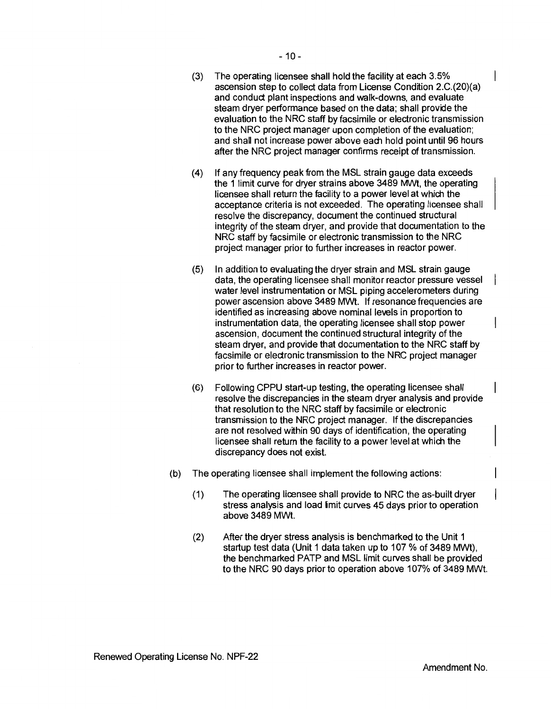- (3) The operating licensee shall hold the facility at each 3.5% ascension step to collect data from License Condition 2.C.(20)(a) and conduct plant inspections and walk-downs, and evaluate steam dryer performance based on the data; shall provide the evaluation to the NRC staff by facsimile or electronic transmission to the NRC project manager upon completion of the evaluation; and shall not increase power above each hold point until 96 hours after the NRC project manager confirms receipt of transmission.
- (4) If any frequency peak from the MSL strain gauge data exceeds the 1 limit curve for dryer strains above 3489 MWt, the operating licensee shall return the facility to a power level at which the acceptance criteria is not exceeded. The operating licensee shall resolve the discrepancy, document the continued structural integrity of the steam dryer, and provide that documentation to the NRC staff by facsimile or electronic transmission to the NRC project manager prior to further increases in reactor power.
- (5) In addition to evaluating the dryer strain and MSL strain gauge data, the operating licensee shall monitor reactor pressure vessel water level instrumentation or MSL piping accelerometers during power ascension above 3489 MWt. If resonance frequencies are identified as increasing above nominal levels in proportion to instrumentation data, the operating licensee shall stop power ascension, document the continued structural integrity of the steam dryer, and provide that documentation to the NRC staff by facsimile or electronic transmission to the NRC project manager prior to further increases in reactor power.
- (6) Following CPPU start-up testing, the operating licensee shall resolve the discrepancies in the steam dryer analysis and provide that resolution to the NRC staff by facsimile or electronic transmission to the NRC project manager. If the discrepancies are not resolved within 90 days of identification, the operating licensee shall return the facility to a power level at which the discrepancy does not exist.
- (b) The operating licensee shall implement the following actions:
	- (1) The operating licensee shall provide to NRC the as-built dryer stress analysis and load imit curves 45 days prior to operation above 3489 MWt.
	- (2) After the dryer stress analysis is benchmarked to the Unit 1 startup test data (Unit 1 data taken up to 107 % of 3489 MWt), the benchmarked PATP and MSL limit curves shall be provided to the NRC 90 days prior to operation above 107% of 3489 MWt.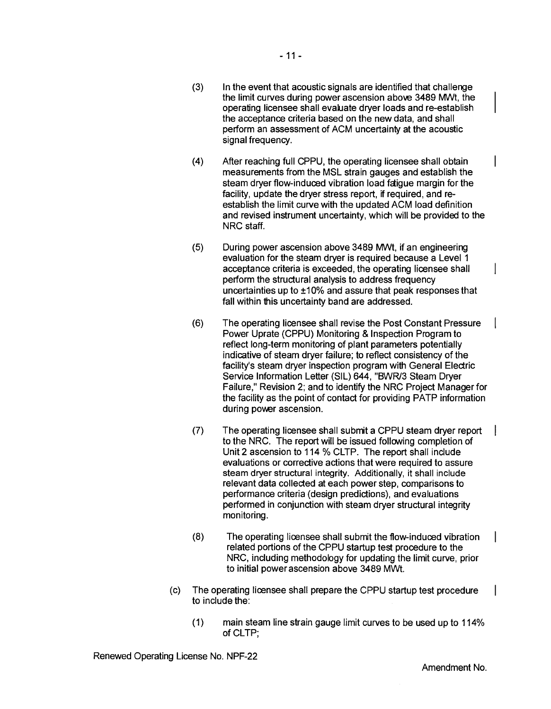- (3) In the event that acoustic signals are identified that challenge the limit curves during power ascension above 3489 MNt, the operating licensee shall evaluate dryer loads and re-establish the acceptance criteria based on the new data, and shall perform an assessment of ACM uncertainty at the acoustic signal frequency.
- (4) After reaching full CPPU, the operating licensee shall obtain measurements from the MSL strain gauges and establish the steam dryer flow-induced vibration load fatigue margin for the facility, update the dryer stress report, if required, and reestablish the limit curve with the updated ACM load definition and revised instrument uncertainty, which will be provided to the NRC staff.
- (5) During power ascension above 3489 MNt, if an engineering evaluation for the steam dryer is required because a Level 1 acceptance criteria is exceeded, the operating licensee shall perform the structural analysis to address frequency uncertainties up to ±10% and assure that peak responses that fall within this uncertainty band are addressed.
- (6) The operating licensee shall revise the Post Constant Pressure Power Uprate (CPPU) Monitoring & Inspection Program to reflect long-term monitoring of plant parameters potentially indicative of steam dryer failure; to reflect consistency of the facility's steam dryer inspection program with General Electric Service Information Letter (SIL) 644, "BWR/3 Steam Dryer Failure," Revision 2; and to identify the NRC Project Manager for the facility as the point of contact for providing PATP information during power ascension.
- (7) The operating licensee shall submit a CPPU steam dryer report to the NRC. The report will be issued following completion of Unit 2 ascension to 114 % CLTP. The report shall include evaluations or corrective actions that were required to assure steam dryer structural integrity. Additionally, it shall include relevant data collected at each power step, comparisons to performance criteria (design predictions), and evaluations performed in conjunction with steam dryer structural integrity monitoring.
- (8) The operating licensee shall submit the flow-induced vibration related portions of the CPPU startup test procedure to the NRC, including methodology for updating the limit curve, prior to initial power ascension above 3489 MWt.
- (c) The operating licensee shall prepare the CPPU startup test procedure to include the:
	- (1) main steam line strain gauge limit curves to be used up to 114% of CLTP;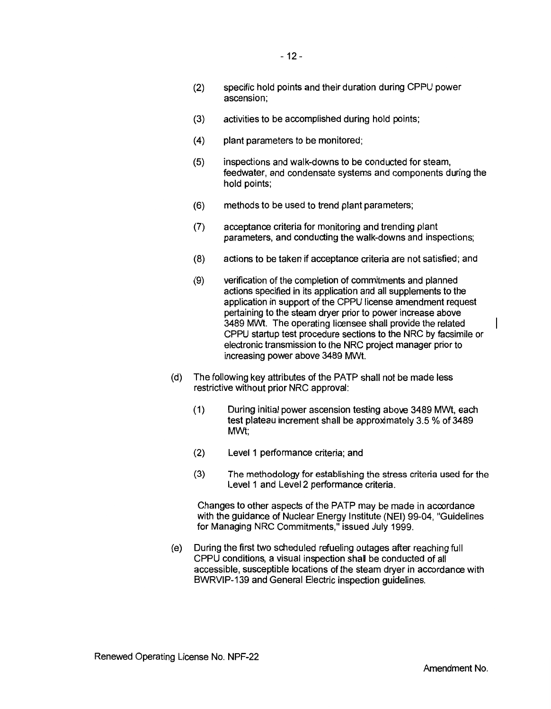- (2) specific hold points and their duration during CPPU power ascension;
- (3) activities to be accomplished during hold points;
- (4) plant parameters to be monitored;
- (5) inspections and walk-downs to be conducted for steam, feedwater, and condensate systems and components during the hold points;
- (6) methods to be used to trend plant parameters;
- (7) acceptance criteria for monitoring and trending plant parameters, and conducting the walk-downs and inspections;
- (8) actions to be taken if acceptance criteria are not satisfied; and
- (9) verification of the completion of commitments and planned actions specified in its application and all supplements to the application in support of the CPPU license amendment request pertaining to the steam dryer prior to power increase above 3489 MWt. The operating licensee shall provide the related CPPU startup test procedure sections to the NRC by facsimile or electronic transmission to the NRC project manager prior to increasing power above 3489 MWt.
- (d) The following key attributes of the PATP shall not be made less restrictive without prior NRC approval:
	- (1) During initial power ascension testing above 3489 MWt, each test plateau increment shall be approximately 3.5 % of 3489 MWt;
	- (2) Level 1 performance criteria; and
	- (3) The methodology for establishing the stress criteria used for the Level 1 and Level 2 performance criteria.

Changes to other aspects of the PATP may be made in accordance with the guidance of Nuclear Energy Institute (NEI) 99-04, "Guidelines for Managing NRC Commitments," issued July 1999.

(e) During the first two scheduled refueling outages after reaching full CPPU conditions, a visual inspection shall be conducted of all accessible, susceptible locations of the steam dryer in accordance with BWRVIP-139 and General Electric inspection guidelines.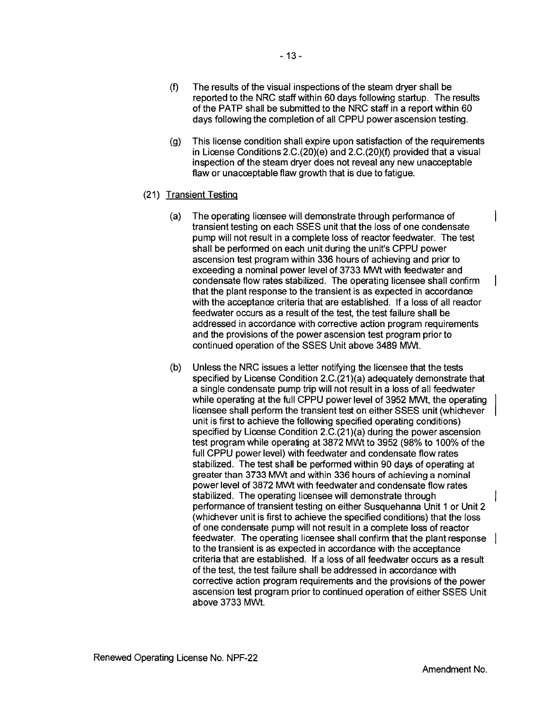- (f) The results of the visual inspections of the steam dryer shall be reported to the NRC staff within 60 days following startup. The results of the PATP shall be submitted to the NRC staff in a report within 60 days following the completion of all CPPU power ascension testing.
- (g) This license condition shall expire upon satisfaction of the requirements in License Conditions 2.C.(20)(e) and 2.C.(20)(f) provided that a visual inspection of the steam dryer does not reveal any new unacceptable flaw or unacceptable flaw growth that is due to fatigue.

### (21) Transient Testing

- (a) The operating licensee will demonstrate through performance of transient testing on each SSES unit that the loss of one condensate pump will not result in a complete loss of reactor feedwater. The test shall be performed on each unit during the unit's CPPU power ascension test program within 336 hours of achieving and prior to exceeding a nominal power level of 3733 MWt with feedwater and condensate flow rates stabilized. The operating licensee shall confirm that the plant response to the transient is as expected in accordance with the acceptance criteria that are established. If a loss of all reactor feedwater occurs as a result of the test, the test failure shall be addressed in accordance with corrective action program requirements and the provisions of the power ascension test program prior to continued operation of the SSES Unit above 3489 MWt.
- (b) Unless the NRC issues a letter notifying the licensee that the tests specified by License Condition 2.C.(21)(a) adequately demonstrate that a single condensate pump trip will not result in a loss of all feedwater while operating at the full CPPU power level of 3952 MWt, the operating licensee shall perform the transient test on either SSES unit (whichever unit is first to achieve the following specified operating conditions) specified by License Condition 2.C.(21)(a) during the power ascension test program while operating at 3872 MWt to 3952 (98% to 100% of the full CPPU power level) with feedwater and condensate flow rates stabilized. The test shall be performed within 90 days of operating at greater than 3733 MWt and within 336 hours of achieving a nominal power level of 3872 MWt with feedwater and condensate flow rates stabilized. The operating licensee will demonstrate through performance of transient testing on either Susquehanna Unit 1 or Unit 2 (whichever unit is first to achieve the specified conditions) that the loss of one condensate pump will not result in a complete loss of reactor feedwater. The operating licensee shall confirm that the plant response to the transient is as expected in accordance with the acceptance criteria that are established. If a loss of all feedwater occurs as a result of the test, the test failure shall be addressed in accordance with corrective action program requirements and the provisions of the power ascension test program prior to continued operation of either SSES Unit above 3733 MWt.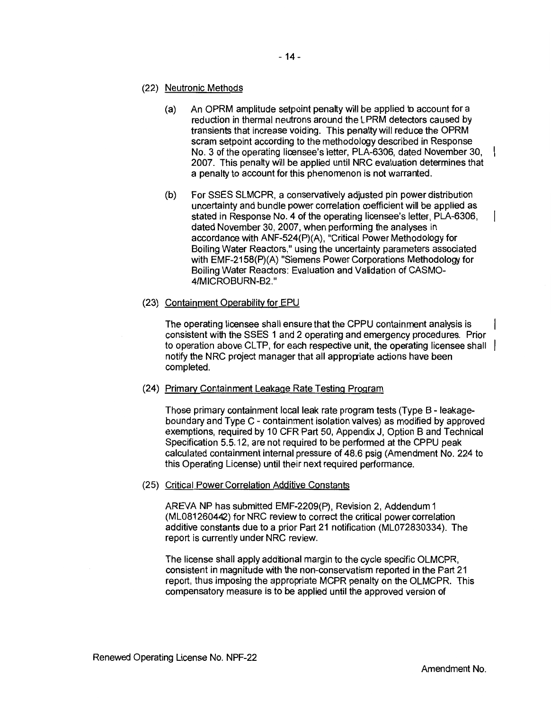- (22) Neutronic Methods
	- (a) An OPRM amplitude setpoint penalty will be applied to account for a reduction in thermal neutrons around the LPRM detectors caused by transients that increase voiding. This penalty will reduce the OPRM scram setpoint according to the methodology described in Response No. 3 of the operating licensee's letter, PLA-6306, dated November 30, 2007. This penalty will be applied until NRC evaluation determines that a penalty to account for this phenomenon is not warranted.
	- (b) For SSES SLMCPR, a conservatively adjusted pin power distribution uncertainty and bundle power correlation coefficient will be applied as stated in Response No. 4 of the operating licensee's letter, PLA-6306, dated November 30, 2007, when performing the analyses in accordance with ANF-524(P)(A), "Critical Power Methodology for Boiling Water Reactors," using the uncertainty parameters associated with EMF-2158(P)(A) "Siemens Power Corporations Methodology for Boiling Water Reactors: Evaluation and Validation of CASM0- 4/MICROBURN-B2."
- (23) Containment Operability for EPU

The operating licensee shall ensure that the CPPU containment analysis is consistent with the SSES 1 and 2 operating and emergency procedures. Prior to operation above CLTP, for each respective unit, the operating licensee shall  $\vert$ notify the NRC project manager that all appropriate actions have been completed.

(24) Primary Containment Leakage Rate Testing Program

Those primary containment local leak rate program tests (Type B - leakageboundary and Type C - containment isolation valves) as modified by approved exemptions, required by 10 CFR Part 50, Appendix J, Option Band Technical Specification 5.5.12, are not required to be performed at the CPPU peak calculated containment internal pressure of 48.6 psig (Amendment No. 224 to this Operating License) until their next required performance.

(25) Critical Power Correlation Additive Constants

AREVA NP has submitted EMF-2209(P), Revision 2, Addendum 1 (MLOS 1260442) for NRC review to correct the critical power correlation additive constants due to a prior Part 21 notification (ML072830334). The report is currently under NRC review.

The license shall apply additional margin to the cycle specific OLMCPR, consistent in magnitude with the non-conservatism reported in the Part 21 report, thus imposing the appropriate MCPR penalty on the OLMCPR. This compensatory measure is to be applied until the approved version of

 $\overline{1}$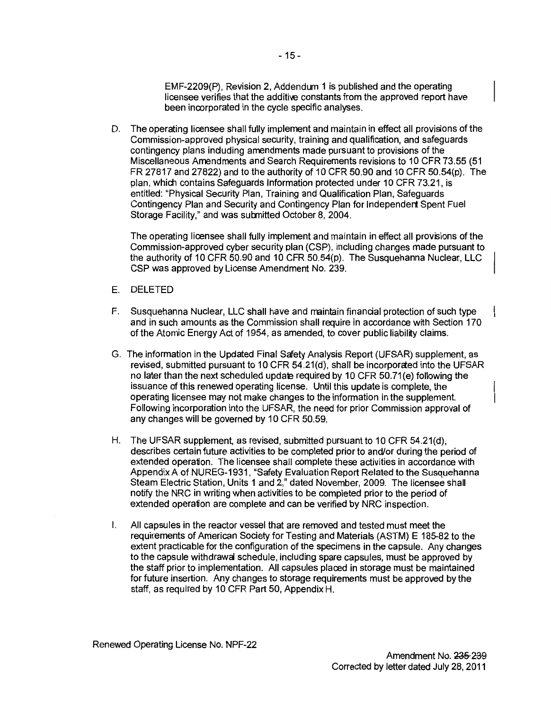EMF-2209(P), Revision 2, Addendum 1 is published and the operating licensee verifies that the additive constants from the approved report have been incorporated in the cycle specific analyses.

D. The operating licensee shall fully implement and maintain in effect all provisions of the Commission-approved physical security, training and qualification, and safeguards contingency plans including amendments made pursuant to provisions of the Miscellaneous Amendments and Search Requirements revisions to 10 CFR 73.55 (51 FR 27817 and 27822) and to the authority of 10 CFR 50.90 and 10 CFR 50.54 $(p)$ . The plan, which contains Safeguards Information protected under 10 CFR 73.21, is entitled: "Physical Security Plan, Training and Qualification Plan, Safeguards Contingency Plan and Security and Contingency Plan for lndependert Spent Fuel Storage Facility," and was sutmitted October 8, 2004.

The operating licensee shall fully implement and maintain in effect all provisions of the Commission-approved cyber security plan (CSP), including changes made pursuant to the authority of 10 CFR 50.90 and 10 CFR 50.54(p). The Susquehanna Nuclear, LLC CSP was approved by License Amendment No. 239.

- E. DELETED
- F. Susquehanna Nuclear, LLC shall have and maintain financial protection of such type and in such amounts as the Commission shall require in accordance with Section 170 of the Atomic Energy Act of 1954, as amended, to cover public liability claims.
- G. The information in the Updated Final Safety Analysis Report (UFSAR) supplement, as revised, submitted pursuant to 10 CFR 54.21(d), shall be incorporated into the UFSAR no later than the next scheduled update required by 10 CFR 50.71(e) following the issuance of this renewed operating license. Until this update is complete, the operating licensee may not make changes to the information in the supplement. Following incorporation into the UFSAR, the need for prior Commission approval of any changes will be governed by 10 CFR 50.59.
- H. The UFSAR supplement, as revised, submitted pursuant to 10 CFR 54.21(d}, describes certain future activities to be completed prior to and/or during the period of extended operation. The licensee shall complete these activities in accordance with Appendix A of NUREG-1931, "Safety Evaluation Report Related to the Susquehanna Steam Electric Station, Units 1 and 2," dated November, 2009. The licensee shall notify the NRC in writing when activities to be completed prior to the period of extended operation are complete and can be verified by NRC inspection.
- I. All capsules in the reactor vessel that are removed and tested must meet the requirements of American Society for Testing and Materials (ASTM) E 185-82 to the extent practicable for the configuration of the specimens in the capsule. Any changes to the capsule withdrawal schedule, including spare capsules, must be approved by the staff prior to implementation. All capsules placed in storage must be maintained for future insertion. Any changes to storage requirements must be approved by the staff, as required by 10 CFR Part 50, Appendix H.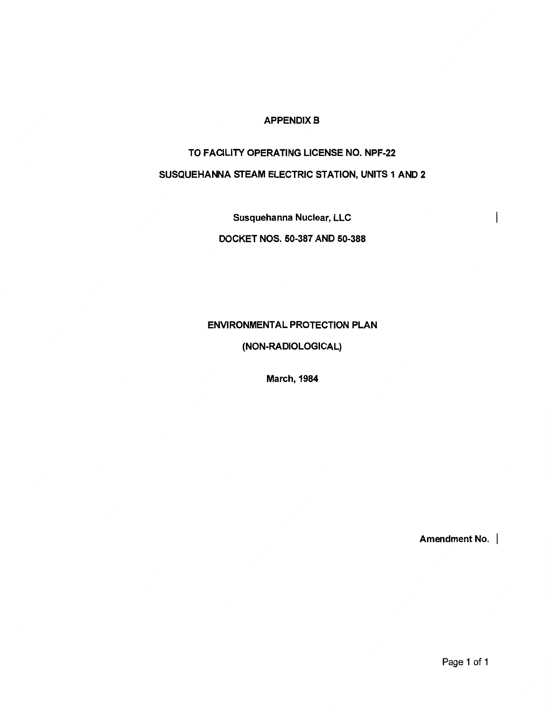## **APPENDIX B**

## TO FACLITY OPERATING LICENSE NO. NPF-22

## SUSQUEHANNA STEAM ELECTRIC STATION, UNITS 1 AND 2

Susquehanna Nuclear, LLC

DOCKET NOS. 50-387 AND 50-388

ENVIRONMENTAL PROTECTION PLAN

(NON-RADIOLOGICAL)

March, 1984

Amendment No. |

 $\overline{\phantom{a}}$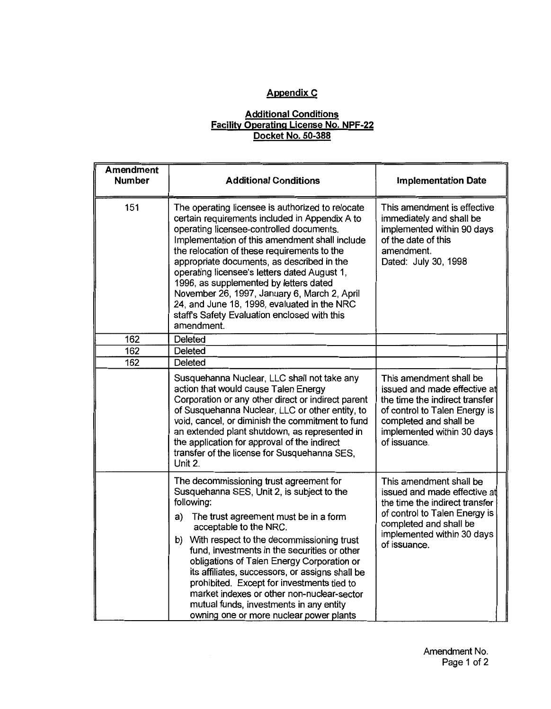# **Appendix C**

## **Additional Conditions Facility Operating License No. NPF-22 Docket No. 50-388**

| <b>Amendment</b><br><b>Number</b> | <b>Additional Conditions</b>                                                                                                                                                                                                                                                                                                                                                                                                                                                                                                                                    | <b>Implementation Date</b>                                                                                                                                                                         |  |
|-----------------------------------|-----------------------------------------------------------------------------------------------------------------------------------------------------------------------------------------------------------------------------------------------------------------------------------------------------------------------------------------------------------------------------------------------------------------------------------------------------------------------------------------------------------------------------------------------------------------|----------------------------------------------------------------------------------------------------------------------------------------------------------------------------------------------------|--|
| 151                               | The operating licensee is authorized to relocate<br>certain requirements included in Appendix A to<br>operating licensee-controlled documents.<br>Implementation of this amendment shall include<br>the relocation of these requirements to the<br>appropriate documents, as described in the<br>operating licensee's letters dated August 1,<br>1996, as supplemented by letters dated<br>November 26, 1997, January 6, March 2, April<br>24, and June 18, 1998, evaluated in the NRC<br>staff's Safety Evaluation enclosed with this<br>amendment.            | This amendment is effective<br>immediately and shall be<br>implemented within 90 days<br>of the date of this<br>amendment.<br>Dated: July 30, 1998                                                 |  |
| 162                               | <b>Deleted</b>                                                                                                                                                                                                                                                                                                                                                                                                                                                                                                                                                  |                                                                                                                                                                                                    |  |
| 162                               | Deleted                                                                                                                                                                                                                                                                                                                                                                                                                                                                                                                                                         |                                                                                                                                                                                                    |  |
| 162                               | Deleted                                                                                                                                                                                                                                                                                                                                                                                                                                                                                                                                                         |                                                                                                                                                                                                    |  |
|                                   | Susquehanna Nuclear, LLC shall not take any<br>action that would cause Talen Energy<br>Corporation or any other direct or indirect parent<br>of Susquehanna Nuclear, LLC or other entity, to<br>void, cancel, or diminish the commitment to fund<br>an extended plant shutdown, as represented in<br>the application for approval of the indirect<br>transfer of the license for Susquehanna SES,<br>Unit 2.                                                                                                                                                    | This amendment shall be<br>issued and made effective at<br>the time the indirect transfer<br>of control to Talen Energy is<br>completed and shall be<br>implemented within 30 days<br>of issuance. |  |
|                                   | The decommissioning trust agreement for<br>Susquehanna SES, Unit 2, is subject to the<br>following:<br>The trust agreement must be in a form<br>a)<br>acceptable to the NRC.<br>b) With respect to the decommissioning trust<br>fund, investments in the securities or other<br>obligations of Talen Energy Corporation or<br>its affiliates, successors, or assigns shall be<br>prohibited. Except for investments tied to<br>market indexes or other non-nuclear-sector<br>mutual funds, investments in any entity<br>owning one or more nuclear power plants | This amendment shall be<br>issued and made effective at<br>the time the indirect transfer<br>of control to Talen Energy is<br>completed and shall be<br>implemented within 30 days<br>of issuance. |  |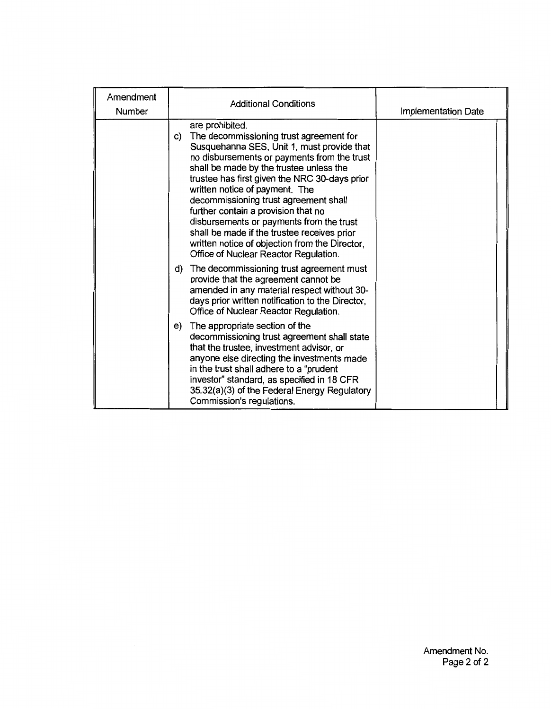| Amendment<br>Number | <b>Additional Conditions</b>                                                                                                                                                                                                                                                                                                                                                                                                                                                                                                                                      | Implementation Date |
|---------------------|-------------------------------------------------------------------------------------------------------------------------------------------------------------------------------------------------------------------------------------------------------------------------------------------------------------------------------------------------------------------------------------------------------------------------------------------------------------------------------------------------------------------------------------------------------------------|---------------------|
|                     | are prohibited.<br>The decommissioning trust agreement for<br>C)<br>Susquehanna SES, Unit 1, must provide that<br>no disbursements or payments from the trust<br>shall be made by the trustee unless the<br>trustee has first given the NRC 30-days prior<br>written notice of payment. The<br>decommissioning trust agreement shall<br>further contain a provision that no<br>disbursements or payments from the trust<br>shall be made if the trustee receives prior<br>written notice of objection from the Director,<br>Office of Nuclear Reactor Regulation. |                     |
|                     | The decommissioning trust agreement must<br>d)<br>provide that the agreement cannot be<br>amended in any material respect without 30-<br>days prior written notification to the Director,<br>Office of Nuclear Reactor Regulation.                                                                                                                                                                                                                                                                                                                                |                     |
|                     | The appropriate section of the<br>e)<br>decommissioning trust agreement shall state<br>that the trustee, investment advisor, or<br>anyone else directing the investments made<br>in the trust shall adhere to a "prudent"<br>investor" standard, as specified in 18 CFR<br>35.32(a)(3) of the Federal Energy Regulatory<br>Commission's regulations.                                                                                                                                                                                                              |                     |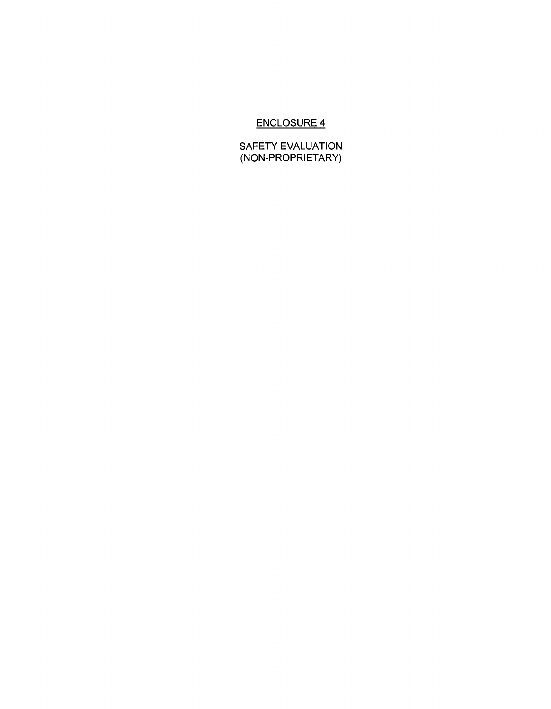## ENCLOSURE 4

SAFETY EVALUATION (NON-PROPRIETARY)

 $\sim 10^6$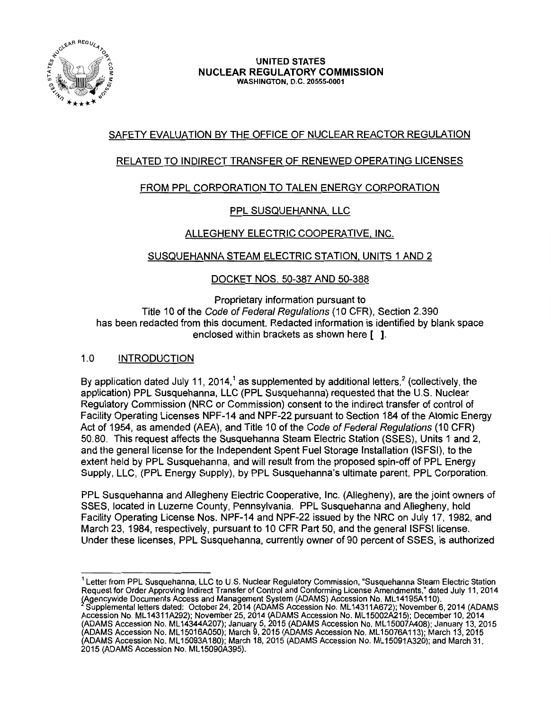

#### UNITED STATES NUCLEAR REGULATORY COMMISSION WASHINGTON, D.C. 20555-0001

## SAFETY EVALUATION BY THE OFFICE OF NUCLEAR REACTOR REGULATION

## RELATED TO INDIRECT TRANSFER OF RENEWED OPERATING LICENSES

## FROM PPL CORPORATION TO TALEN ENERGY CORPORATION

## PPL SUSQUEHANNA, LLC

## ALLEGHENY ELECTRIC COOPERATIVE. INC.

## SUSQUEHANNA STEAM ELECTRIC STATION, UNITS 1 AND 2

## DOCKET NOS. 50-387 AND 50-388

Proprietary information pursuant to Title 10 of the Code of Federal Regulations (10 CFR), Section 2.390 has been redacted from this document. Redacted information is identified by blank space enclosed within brackets as shown here [ ].

## 1.0 INTRODUCTION

By application dated July 11, 2014,<sup>1</sup> as supplemented by additional letters,<sup>2</sup> (collectively, the application) PPL Susquehanna, LLC (PPL Susquehanna) requested that the U.S. Nuclear Regulatory Commission (NRC or Commission) consent to the indirect transfer of control of Facility Operating Licenses NPF-14 and NPF-22 pursuant to Section 184 of the Atomic Energy Act of 1954, as amended (AEA), and Title 10 of the Code of Federal Regulations (10 CFR) 50.80. This request affects the Susquehanna Steam Electric Station (SSES), Units 1 and 2, and the general license for the Independent Spent Fuel Storage Installation (ISFSI), to the extent held by PPL Susquehanna, and will result from the proposed spin-off of PPL Energy Supply, LLC, (PPL Energy Supply), by PPL Susquehanna's ultimate parent, PPL Corporation.

PPL Susquehanna and Allegheny Electric Cooperative, Inc. (Allegheny), are the joint owners of SSES, located in Luzerne County, Pennsylvania. PPL Susquehanna and Allegheny, hold Facility Operating License Nos. NPF-14 and NPF-22 issued by the NRC on July 17, 1982, and March 23, 1984, respectively, pursuant to 10 CFR Part 50, and the general ISFSI license. Under these licenses, PPL Susquehanna, currently owner of 90 percent of SSES, is authorized

<sup>1</sup> Letter from PPL Susquehanna, LLC to U.S. Nuclear Regulatory Commission, "Susquehanna Steam Electric Station Request for Order Approving Indirect Transfer of Control and Conforming License Amendments," dated July 11, 2014 (Agencywide Documents Access and Management System (ADAMS) Accession No. ML14195A110).

Supplemental letters dated: October 24, 2014 (ADAMS Accession No. ML 14311A672); November 6, 2014 (ADAMS Accession No. ML 14311A292); November 25, 2014 (ADAMS Accession No. ML 15002A215); December 10, 2014 (ADAMS Accession No. ML 14344A207); January 5, 2015 (ADAMS Accession No. ML 15007A408); January 13, 2015 (ADAMS Accession No. ML 15016A050}; March 9, 2015 (ADAMS Accession No. ML 15076A 113); March 13, 2015 (ADAMS Accession No. ML 15093A180); March 18, 2015 (ADAMS Accession No. ML 15091A320); and March 31, 2015 (ADAMS Accession No. ML 15090A395).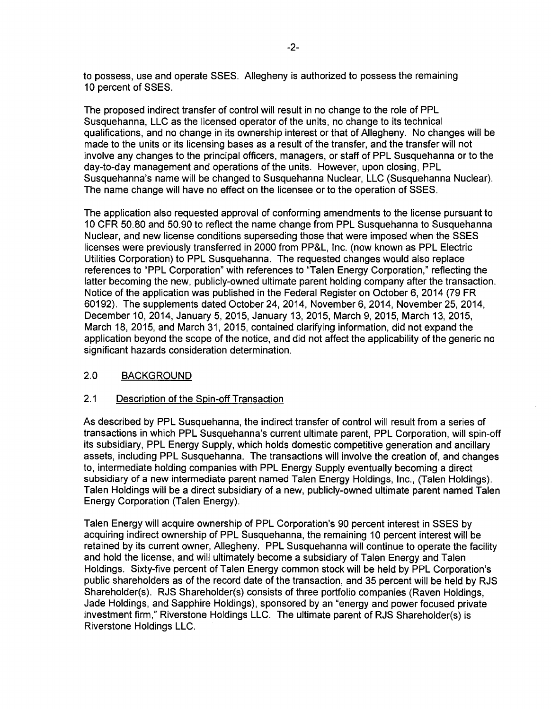to possess, use and operate SSES. Allegheny is authorized to possess the remaining 10 percent of SSES.

The proposed indirect transfer of control will result in no change to the role of PPL Susquehanna, LLC as the licensed operator of the units, no change to its technical qualifications, and no change in its ownership interest or that of Allegheny. No changes will be made to the units or its licensing bases as a result of the transfer, and the transfer will not involve any changes to the principal officers, managers, or staff of PPL Susquehanna or to the day-to-day management and operations of the units. However, upon closing, PPL Susquehanna's name will be changed to Susquehanna Nuclear, LLC (Susquehanna Nuclear). The name change will have no effect on the licensee or to the operation of SSES.

The application also requested approval of conforming amendments to the license pursuant to 10 CFR 50.80 and 50.90 to reflect the name change from PPL Susquehanna to Susquehanna Nuclear, and new license conditions superseding those that were imposed when the SSES licenses were previously transferred in 2000 from PP&L, Inc. (now known as PPL Electric Utilities Corporation) to PPL Susquehanna. The requested changes would also replace references to "PPL Corporation" with references to "Talen Energy Corporation," reflecting the latter becoming the new, publicly-owned ultimate parent holding company after the transaction. Notice of the application was published in the Federal Register on October 6, 2014 (79 FR 60192). The supplements dated October 24, 2014, November 6, 2014, November 25, 2014, December 10, 2014, January 5, 2015, January 13, 2015, March 9, 2015, March 13, 2015, March 18, 2015, and March 31, 2015, contained clarifying information, did not expand the application beyond the scope of the notice, and did not affect the applicability of the generic no significant hazards consideration determination.

## 2.0 BACKGROUND

### 2.1 Description of the Spin-off Transaction

As described by PPL Susquehanna, the indirect transfer of control will result from a series of transactions in which PPL Susquehanna's current ultimate parent, PPL Corporation, will spin-off its subsidiary, PPL Energy Supply, which holds domestic competitive generation and ancillary assets, including PPL Susquehanna. The transactions will involve the creation of, and changes to, intermediate holding companies with PPL Energy Supply eventually becoming a direct subsidiary of a new intermediate parent named Talen Energy Holdings, Inc., (Talen Holdings). Talen Holdings will be a direct subsidiary of a new, publicly-owned ultimate parent named Talen Energy Corporation (Talen Energy).

Talen Energy will acquire ownership of PPL Corporation's 90 percent interest in SSES by acquiring indirect ownership of PPL Susquehanna, the remaining 10 percent interest will be retained by its current owner, Allegheny. PPL Susquehanna will continue to operate the facility and hold the license, and will ultimately become a subsidiary of Talen Energy and Talen Holdings. Sixty-five percent of Talen Energy common stock will be held by PPL Corporation's public shareholders as of the record date of the transaction, and 35 percent will be held by RJS Shareholder(s). RJS Shareholder(s) consists of three portfolio companies (Raven Holdings, Jade Holdings, and Sapphire Holdings), sponsored by an "energy and power focused private investment firm," Riverstone Holdings LLC. The ultimate parent of RJS Shareholder(s) is Riverstone Holdings LLC.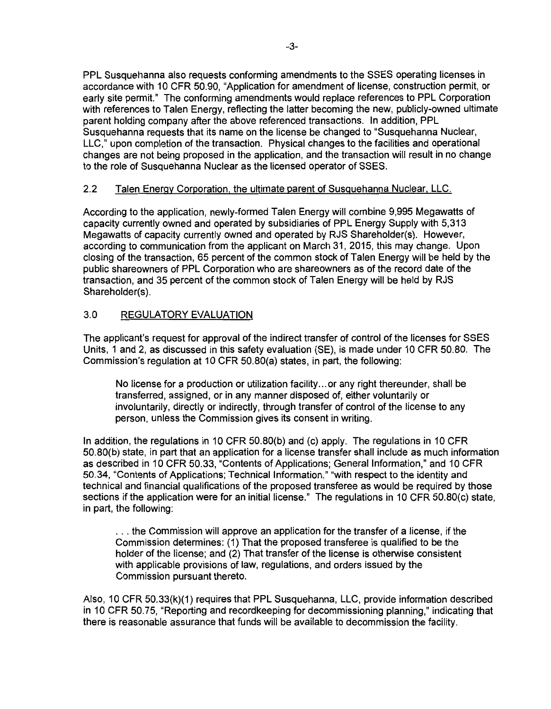PPL Susquehanna also requests conforming amendments to the SSES operating licenses in accordance with 10 CFR 50.90, "Application for amendment of license, construction permit, or early site permit." The conforming amendments would replace references to PPL Corporation with references to Talen Energy, reflecting the latter becoming the new, publicly-owned ultimate parent holding company after the above referenced transactions. In addition, PPL Susquehanna requests that its name on the license be changed to "Susquehanna Nuclear, LLC," upon completion of the transaction. Physical changes to the facilities and operational changes are not being proposed in the application, and the transaction will result in no change to the role of Susquehanna Nuclear as the licensed operator of SSES.

## 2.2 Talen Energy Corporation, the ultimate parent of Susquehanna Nuclear, LLC.

According to the application, newly-formed Talen Energy will combine 9,995 Megawatts of capacity currently owned and operated by subsidiaries of PPL Energy Supply with 5,313 Megawatts of capacity currently owned and operated by RJS Shareholder(s). However, according to communication from the applicant on March 31, 2015, this may change. Upon closing of the transaction, 65 percent of the common stock of Talen Energy will be held by the public shareowners of PPL Corporation who are shareowners as of the record date of the transaction, and 35 percent of the common stock of Talen Energy will be held by RJS Shareholder(s).

## 3.0 REGULATORY EVALUATION

The applicant's request for approval of the indirect transfer of control of the licenses for SSES Units, 1 and 2, as discussed in this safety evaluation (SE), is made under 10 CFR 50.80. The Commission's regulation at 10 CFR 50.80(a) states, in part, the following:

No license for a production or utilization facility ... or any right thereunder, shall be transferred, assigned, or in any manner disposed of, either voluntarily or involuntarily, directly or indirectly, through transfer of control of the license to any person, unless the Commission gives its consent in writing.

In addition, the regulations in 10 CFR 50.80(b) and (c) apply. The regulations in 10 CFR 50.80(b) state, in part that an application for a license transfer shall include as much information as described in 10 CFR 50.33, "Contents of Applications; General Information," and 10 CFR 50.34, "Contents of Applications; Technical Information," "with respect to the identity and technical and financial qualifications of the proposed transferee as would be required by those sections if the application were for an initial license." The regulations in 10 CFR 50.80(c) state, in part, the following:

... the Commission will approve an application for the transfer of a license, if the Commission determines: (1) That the proposed transferee is qualified to be the holder of the license; and (2) That transfer of the license is otherwise consistent with applicable provisions of law, regulations, and orders issued by the Commission pursuant thereto.

Also, 10 CFR 50.33(k)(1) requires that PPL Susquehanna, LLC, provide information described in 10 CFR 50.75, "Reporting and recordkeeping for decommissioning planning," indicating that there is reasonable assurance that funds will be available to decommission the facility.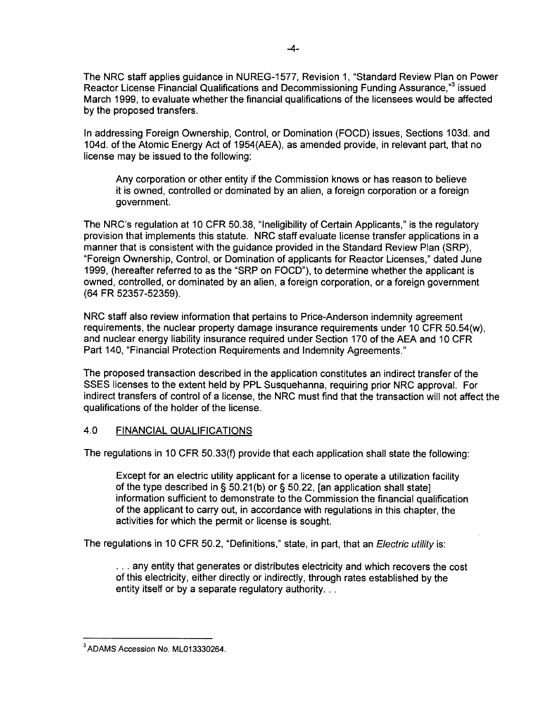The NRC staff applies guidance in NUREG-1577, Revision 1, "Standard Review Plan on Power Reactor License Financial Qualifications and Decommissioning Funding Assurance,<sup>33</sup> issued March 1999, to evaluate whether the financial qualifications of the licensees would be affected by the proposed transfers.

In addressing Foreign Ownership, Control, or Domination (FOCD) issues, Sections 103d. and 104d. of the Atomic Energy Act of 1954(AEA), as amended provide, in relevant part, that no license may be issued to the following:

Any corporation or other entity if the Commission knows or has reason to believe it is owned, controlled or dominated by an alien, a foreign corporation or a foreign government.

The NRC's regulation at 10 CFR 50.38, "Ineligibility of Certain Applicants," is the regulatory provision that implements this statute. NRC staff evaluate license transfer applications in a manner that is consistent with the guidance provided in the Standard Review Plan (SRP), "Foreign Ownership, Control, or Domination of applicants for Reactor Licenses," dated June 1999, (hereafter referred to as the "SRP on FOCD"), to determine whether the applicant is owned, controlled, or dominated by an alien, a foreign corporation, or a foreign government (64 FR 52357-52359).

NRC staff also review information that pertains to Price-Anderson indemnity agreement requirements, the nuclear property damage insurance requirements under 10 CFR 50.54(w), and nuclear energy liability insurance required under Section 170 of the AEA and 10 CFR Part 140, "Financial Protection Requirements and Indemnity Agreements."

The proposed transaction described in the application constitutes an indirect transfer of the SSES licenses to the extent held by PPL Susquehanna, requiring prior NRC approval. For indirect transfers of control of a license, the NRC must find that the transaction will not affect the qualifications of the holder of the license.

## 4.0 FINANCIAL QUALIFICATIONS

The regulations in 10 CFR 50.33(f) provide that each application shall state the following:

Except for an electric utility applicant for a license to operate a utilization facility of the type described in§ 50.21 (b) or§ 50.22, [an application shall state] information sufficient to demonstrate to the Commission the financial qualification of the applicant to carry out, in accordance with regulations in this chapter, the activities for which the permit or license is sought.

The regulations in 10 CFR 50.2, "Definitions," state, in part, that an *Electric utility* is:

... any entity that generates or distributes electricity and which recovers the cost of this electricity, either directly or indirectly, through rates established by the entity itself or by a separate regulatory authority...

<sup>3</sup>ADAMS Accession No. ML013330264.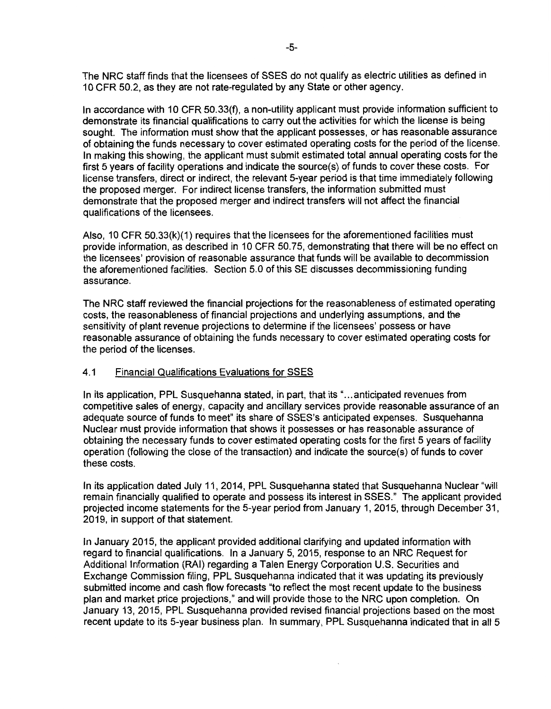The NRC staff finds that the licensees of SSES do not qualify as electric utilities as defined in 10 CFR 50.2, as they are not rate-regulated by any State or other agency.

In accordance with 10 CFR 50.33(f), a non-utility applicant must provide information sufficient to demonstrate its financial qualifications to carry out the activities for which the license is being sought. The information must show that the applicant possesses, or has reasonable assurance of obtaining the funds necessary to cover estimated operating costs for the period of the license. In making this showing, the applicant must submit estimated total annual operating costs for the first 5 years of facility operations and indicate the source(s) of funds to cover these costs. For license transfers, direct or indirect, the relevant 5-year period is that time immediately following the proposed merger. For indirect license transfers, the information submitted must demonstrate that the proposed merger and indirect transfers will not affect the financial qualifications of the licensees.

Also, 10 CFR 50.33(k)(1) requires that the licensees for the aforementioned facilities must provide information, as described in 10 CFR 50.75, demonstrating that there will be no effect on the licensees' provision of reasonable assurance that funds will be available to decommission the aforementioned facilities. Section 5.0 of this SE discusses decommissioning funding assurance.

The NRC staff reviewed the financial projections for the reasonableness of estimated operating costs, the reasonableness of financial projections and underlying assumptions, and the sensitivity of plant revenue projections to determine if the licensees' possess or have reasonable assurance of obtaining the funds necessary to cover estimated operating costs for the period of the licenses.

### 4.1 Financial Qualifications Evaluations for SSES

In its application, PPL Susquehanna stated, in part, that its "... anticipated revenues from competitive sales of energy, capacity and ancillary services provide reasonable assurance of an adequate source of funds to meet" its share of SSES's anticipated expenses. Susquehanna Nuclear must provide information that shows it possesses or has reasonable assurance of obtaining the necessary funds to cover estimated operating costs for the first 5 years of facility operation (following the close of the transaction) and indicate the source(s) of funds to cover these costs.

In its application dated July 11, 2014, PPL Susquehanna stated that Susquehanna Nuclear "will remain financially qualified to operate and possess its interest in SSES." The applicant provided projected income statements for the 5-year period from January 1, 2015, through December 31, 2019, in support of that statement.

In January 2015, the applicant provided additional clarifying and updated information with regard to financial qualifications. In a January 5, 2015, response to an NRC Request for Additional Information (RAI) regarding a Talen Energy Corporation U.S. Securities and Exchange Commission filing, PPL Susquehanna indicated that it was updating its previously submitted income and cash flow forecasts "to reflect the most recent update to the business plan and market price projections," and will provide those to the NRC upon completion. On January 13, 2015, PPL Susquehanna provided revised financial projections based on the most recent update to its 5-year business plan. In summary, PPL Susquehanna indicated that in all 5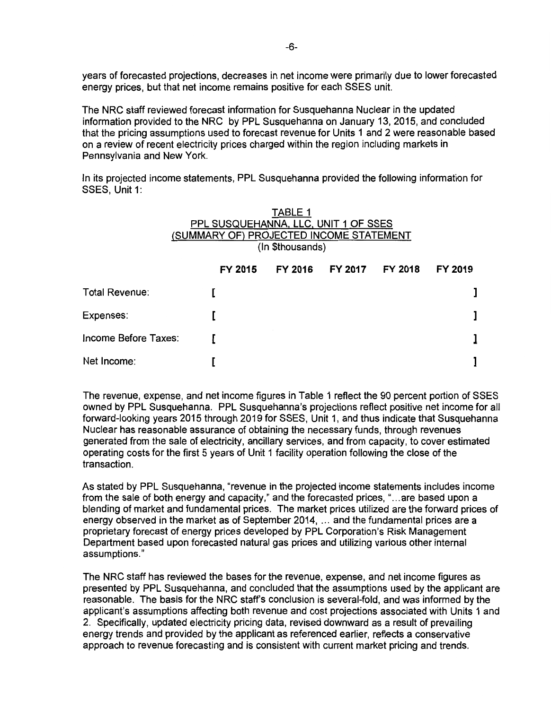years of forecasted projections, decreases in net income were primarily due to lower forecasted energy prices, but that net income remains positive for each SSES unit.

The NRC staff reviewed forecast information for Susquehanna Nuclear in the updated information provided to the NRC by PPL Susquehanna on January 13, 2015, and concluded that the pricing assumptions used to forecast revenue for Units 1 and 2 were reasonable based on a review of recent electricity prices charged within the region including markets in Pennsylvania and New York.

In its projected income statements, PPL Susquehanna provided the following information for SSES, Unit 1:

|                                         |                  | <b>TABLE 1</b> |         |         |         |
|-----------------------------------------|------------------|----------------|---------|---------|---------|
| PPL SUSQUEHANNA, LLC, UNIT 1 OF SSES    |                  |                |         |         |         |
| (SUMMARY OF) PROJECTED INCOME STATEMENT |                  |                |         |         |         |
|                                         | (In \$thousands) |                |         |         |         |
|                                         | FY 2015          | FY 2016        | FY 2017 | FY 2018 | FY 2019 |
| Total Revenue:                          |                  |                |         |         |         |
| Expenses:                               |                  |                |         |         |         |
| Income Before Taxes:                    |                  |                |         |         |         |
| Net Income:                             |                  |                |         |         |         |

The revenue, expense, and net income figures in Table 1 reflect the 90 percent portion of SSES owned by PPL Susquehanna. PPL Susquehanna's projections reflect positive net income for all forward-looking years 2015 through 2019 for SSES, Unit 1, and thus indicate that Susquehanna Nuclear has reasonable assurance of obtaining the necessary funds, through revenues generated from the sale of electricity, ancillary services, and from capacity, to cover estimated operating costs for the first 5 years of Unit 1 facility operation following the close of the transaction.

As stated by PPL Susquehanna, "revenue in the projected income statements includes income from the sale of both energy and capacity," and the forecasted prices, "... are based upon a blending of market and fundamental prices. The market prices utilized are the forward prices of energy observed in the market as of September 2014, ... and the fundamental prices are a proprietary forecast of energy prices developed by PPL Corporation's Risk Management Department based upon forecasted natural gas prices and utilizing various other internal assumptions."

The NRC staff has reviewed the bases for the revenue, expense, and net income figures as presented by PPL Susquehanna, and concluded that the assumptions used by the applicant are reasonable. The basis for the NRC staffs conclusion is several-fold, and was informed by the applicant's assumptions affecting both revenue and cost projections associated with Units 1 and 2. Specifically, updated electricity pricing data, revised downward as a result of prevailing energy trends and provided by the applicant as referenced earlier, reflects a conservative approach to revenue forecasting and is consistent with current market pricing and trends.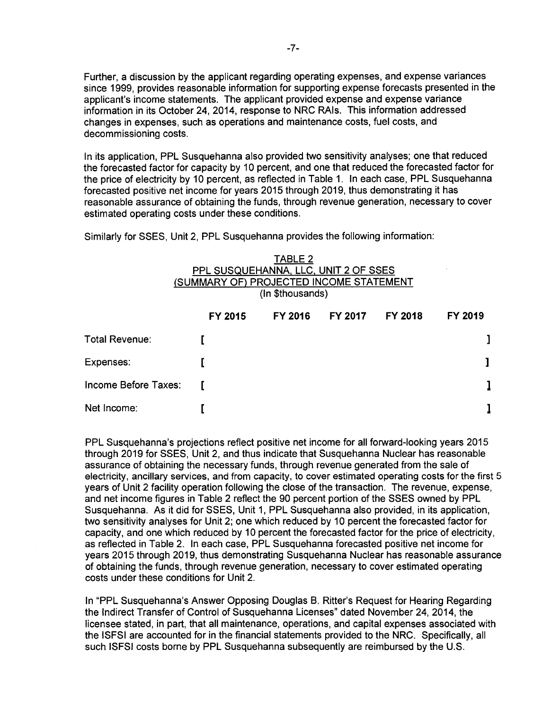Further, a discussion by the applicant regarding operating expenses, and expense variances since 1999, provides reasonable information for supporting expense forecasts presented in the applicant's income statements. The applicant provided expense and expense variance information in its October 24, 2014, response to NRC RAls. This information addressed changes in expenses, such as operations and maintenance costs, fuel costs, and decommissioning costs.

In its application, PPL Susquehanna also provided two sensitivity analyses; one that reduced the forecasted factor for capacity by 10 percent, and one that reduced the forecasted factor for the price of electricity by 10 percent, as reflected in Table 1. In each case, PPL Susquehanna forecasted positive net income for years 2015 through 2019, thus demonstrating it has reasonable assurance of obtaining the funds, through revenue generation, necessary to cover estimated operating costs under these conditions.

Similarly for SSES, Unit 2, PPL Susquehanna provides the following information:

## TABLE 2 PPL SUSQUEHANNA, LLC, UNIT 2 OF SSES (SUMMARY OF) PROJECTED INCOME STATEMENT (In \$thousands)

|                      | FY 2015      | FY 2016 | FY 2017 | FY 2018 | FY 2019 |
|----------------------|--------------|---------|---------|---------|---------|
| Total Revenue:       |              |         |         |         |         |
| Expenses:            |              |         |         |         |         |
| Income Before Taxes: | $\mathbf{r}$ |         |         |         |         |
| Net Income:          |              |         |         |         |         |

PPL Susquehanna's projections reflect positive net income for all forward-looking years 2015 through 2019 for SSES, Unit 2, and thus indicate that Susquehanna Nuclear has reasonable assurance of obtaining the necessary funds, through revenue generated from the sale of electricity, ancillary services, and from capacity, to cover estimated operating costs for the first 5 years of Unit 2 facility operation following the close of the transaction. The revenue, expense, and net income figures in Table 2 reflect the 90 percent portion of the SSES owned by PPL Susquehanna. As it did for SSES, Unit 1, PPL Susquehanna also provided, in its application, two sensitivity analyses for Unit 2; one which reduced by 10 percent the forecasted factor for capacity, and one which reduced by 10 percent the forecasted factor for the price of electricity, as reflected in Table 2. In each case, PPL Susquehanna forecasted positive net income for years 2015 through 2019, thus demonstrating Susquehanna Nuclear has reasonable assurance of obtaining the funds, through revenue generation, necessary to cover estimated operating costs under these conditions for Unit 2.

In "PPL Susquehanna's Answer Opposing Douglas B. Ritter's Request for Hearing Regarding the Indirect Transfer of Control of Susquehanna Licenses" dated November 24, 2014, the licensee stated, in part, that all maintenance, operations, and capital expenses associated with the ISFSI are accounted for in the financial statements provided to the NRC. Specifically, all such ISFSI costs borne by PPL Susquehanna subsequently are reimbursed by the U.S.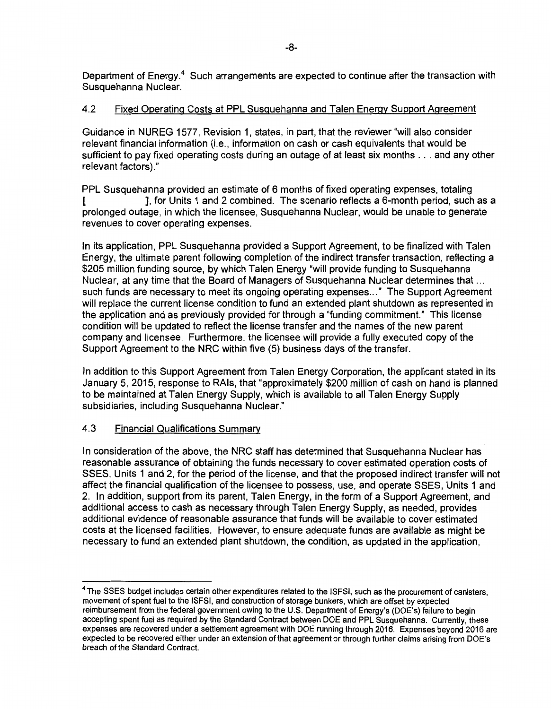Department of Energy.<sup>4</sup> Such arrangements are expected to continue after the transaction with Susquehanna Nuclear.

## 4.2 Fixed Operating Costs at PPL Susquehanna and Talen Energy Support Agreement

Guidance in NUREG 1577, Revision 1, states, in part, that the reviewer "will also consider relevant financial information (i.e., information on cash or cash equivalents that would be sufficient to pay fixed operating costs during an outage of at least six months ... and any other relevant factors)."

PPL Susquehanna provided an estimate of 6 months of fixed operating expenses, totaling [ ], for Units 1 and 2 combined. The scenario reflects a 6-month period, such as a prolonged outage, in which the licensee, Susquehanna Nuclear, would be unable to generate revenues to cover operating expenses.

In its application, PPL Susquehanna provided a Support Agreement, to be finalized with Talen Energy, the ultimate parent following completion of the indirect transfer transaction, reflecting a \$205 million funding source, by which Talen Energy "will provide funding to Susquehanna Nuclear, at any time that the Board of Managers of Susquehanna Nuclear determines that ... such funds are necessary to meet its ongoing operating expenses ... " The Support Agreement will replace the current license condition to fund an extended plant shutdown as represented in the application and as previously provided for through a "funding commitment." This license condition will be updated to reflect the license transfer and the names of the new parent company and licensee. Furthermore, the licensee will provide a fully executed copy of the Support Agreement to the NRC within five (5) business days of the transfer.

In addition to this Support Agreement from Talen Energy Corporation, the applicant stated in its January 5, 2015, response to RAls, that "approximately \$200 million of cash on hand is planned to be maintained at Talen Energy Supply, which is available to all Talen Energy Supply subsidiaries, including Susquehanna Nuclear."

### 4.3 Financial Qualifications Summary

In consideration of the above, the NRC staff has determined that Susquehanna Nuclear has reasonable assurance of obtaining the funds necessary to cover estimated operation costs of SSES, Units 1 and 2, for the period of the license, and that the proposed indirect transfer will not affect the financial qualification of the licensee to possess, use, and operate SSES, Units 1 and 2. In addition, support from its parent, Talen Energy, in the form of a Support Agreement, and additional access to cash as necessary through Talen Energy Supply, as needed, provides additional evidence of reasonable assurance that funds will be available to cover estimated costs at the licensed facilities. However, to ensure adequate funds are available as might be necessary to fund an extended plant shutdown, the condition, as updated in the application,

<sup>4</sup>The SSES budget includes certain other expenditures related to the ISFSI, such as the procurement of canisters, movement of spent fuel to the ISFSI, and construction of storage bunkers, which are offset by expected reimbursement from the federal government owing to the U.S. Department of Energy's (DOE's) failure to begin accepting spent fuel as required by the Standard Contract between DOE and PPL Susquehanna. Currently, these expenses are recovered under a settlement agreement with DOE running through 2016. Expenses beyond 2016 are expected to be recovered either under an extension of that agreement or through further claims arising from DOE's breach of the Standard Contract.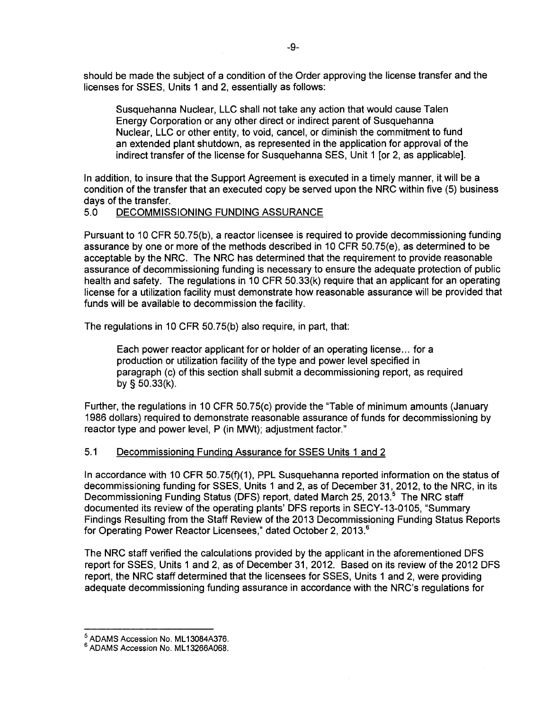should be made the subject of a condition of the Order approving the license transfer and the licenses for SSES, Units 1 and 2, essentially as follows:

Susquehanna Nuclear, LLC shall not take any action that would cause Talen Energy Corporation or any other direct or indirect parent of Susquehanna Nuclear, LLC or other entity, to void, cancel, or diminish the commitment to fund an extended plant shutdown, as represented in the application for approval of the indirect transfer of the license for Susquehanna SES, Unit 1 [or 2, as applicable].

In addition, to insure that the Support Agreement is executed in a timely manner, it will be a condition of the transfer that an executed copy be served upon the NRC within five (5) business days of the transfer.

## 5.0 DECOMMISSIONING FUNDING ASSURANCE

Pursuant to 10 CFR 50.75(b), a reactor licensee is required to provide decommissioning funding assurance by one or more of the methods described in 10 CFR 50. 75(e), as determined to be acceptable by the NRC. The NRC has determined that the requirement to provide reasonable assurance of decommissioning funding is necessary to ensure the adequate protection of public health and safety. The regulations in 10 CFR 50.33(k) require that an applicant for an operating license for a utilization facility must demonstrate how reasonable assurance will be provided that funds will be available to decommission the facility.

The regulations in 10 CFR 50.75(b) also require, in part, that:

Each power reactor applicant for or holder of an operating license ... for a production or utilization facility of the type and power level specified in paragraph (c) of this section shall submit a decommissioning report, as required by § 50.33(k).

Further, the regulations in 10 CFR 50.75(c) provide the ''Table of minimum amounts (January 1986 dollars) required to demonstrate reasonable assurance of funds for decommissioning by reactor type and power level, P (in MWt); adjustment factor."

### 5.1 Decommissioning Funding Assurance for SSES Units 1 and 2

In accordance with 10 CFR 50.75(f)(1), PPL Susquehanna reported information on the status of decommissioning funding for SSES, Units 1 and 2, as of December 31, 2012, to the NRC, in its Decommissioning Funding Status (DFS) report, dated March 25, 2013.<sup>5</sup> The NRC staff documented its review of the operating plants' DFS reports in SECY-13-0105, "Summary Findings Resulting from the Staff Review of the 2013 Decommissioning Funding Status Reports for Operating Power Reactor Licensees," dated October 2, 2013.<sup>6</sup>

The NRC staff verified the calculations provided by the applicant in the aforementioned DFS report for SSES, Units 1 and 2, as of December 31, 2012. Based on its review of the 2012 DFS report, the NRC staff determined that the licensees for SSES, Units 1 and 2, were providing adequate decommissioning funding assurance in accordance with the NRC's regulations for

 $^5$  ADAMS Accession No. ML13084A376.<br> $^6$  ADAMS Accession No. ML13266A068.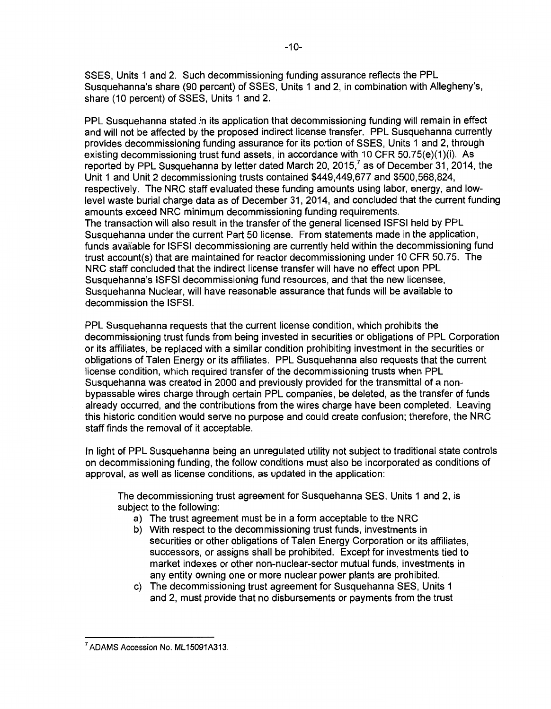SSES, Units 1 and 2. Such decommissioning funding assurance reflects the PPL Susquehanna's share (90 percent) of SSES, Units 1 and 2, in combination with Allegheny's, share (10 percent) of SSES, Units 1 and 2.

PPL Susquehanna stated in its application that decommissioning funding will remain in effect and will not be affected by the proposed indirect license transfer. PPL Susquehanna currently provides decommissioning funding assurance for its portion of SSES, Units 1 and 2, through existing decommissioning trust fund assets, in accordance with 10 CFR 50.75(e)(1)(i). As reported by PPL Susquehanna by letter dated March 20, 2015, $^7$  as of December 31, 2014, the Unit 1 and Unit 2 decommissioning trusts contained \$449,449,677 and \$500,568,824, respectively. The NRC staff evaluated these funding amounts using labor, energy, and lowlevel waste burial charge data as of December 31, 2014, and concluded that the current funding amounts exceed NRC minimum decommissioning funding requirements. The transaction will also result in the transfer of the general licensed ISFSI held by PPL Susquehanna under the current Part 50 license. From statements made in the application, funds available for ISFSI decommissioning are currently held within the decommissioning fund trust account(s) that are maintained for reactor decommissioning under 10 CFR 50.75. The NRC staff concluded that the indirect license transfer will have no effect upon PPL Susquehanna's ISFSI decommissioning fund resources, and that the new licensee, Susquehanna Nuclear, will have reasonable assurance that funds will be available to decommission the ISFSI.

PPL Susquehanna requests that the current license condition, which prohibits the decommissioning trust funds from being invested in securities or obligations of PPL Corporation or its affiliates, be replaced with a similar condition prohibiting investment in the securities or obligations of Talen Energy or its affiliates. PPL Susquehanna also requests that the current license condition, which required transfer of the decommissioning trusts when PPL Susquehanna was created in 2000 and previously provided for the transmittal of a nonbypassable wires charge through certain PPL companies, be deleted, as the transfer of funds already occurred, and the contributions from the wires charge have been completed. Leaving this historic condition would serve no purpose and could create confusion; therefore, the NRC staff finds the removal of it acceptable.

In light of PPL Susquehanna being an unregulated utility not subject to traditional state controls on decommissioning funding, the follow conditions must also be incorporated as conditions of approval, as well as license conditions, as updated in the application:

The decommissioning trust agreement for Susquehanna SES, Units 1 and 2, is subject to the following:

- a) The trust agreement must be in a form acceptable to the NRC
- b) With respect to the decommissioning trust funds, investments in securities or other obligations of Talen Energy Corporation or its affiliates, successors, or assigns shall be prohibited. Except for investments tied to market indexes or other non-nuclear-sector mutual funds, investments in any entity owning one or more nuclear power plants are prohibited.
- c) The decommissioning trust agreement for Susquehanna SES, Units 1 and 2, must provide that no disbursements or payments from the trust

<sup>&</sup>lt;sup>7</sup> ADAMS Accession No. ML15091A313.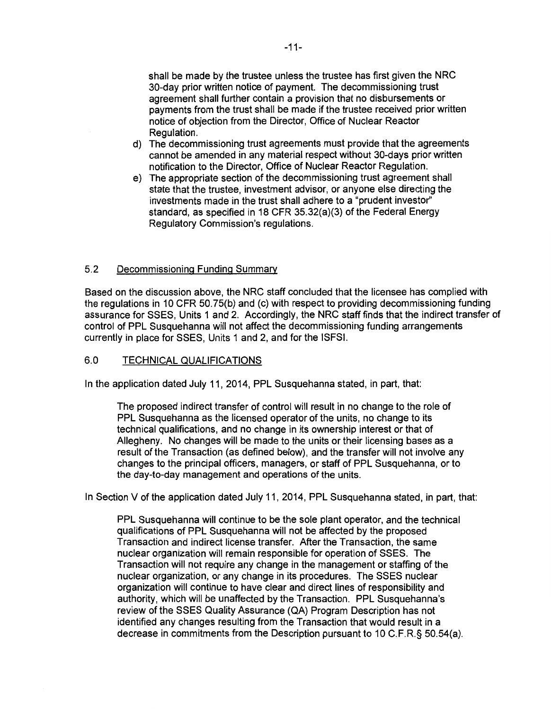shall be made by the trustee unless the trustee has first given the NRC 30-day prior written notice of payment. The decommissioning trust agreement shall further contain a provision that no disbursements or payments from the trust shall be made if the trustee received prior written notice of objection from the Director, Office of Nuclear Reactor Regulation.

- d) The decommissioning trust agreements must provide that the agreements cannot be amended in any material respect without 30-days prior written notification to the Director, Office of Nuclear Reactor Regulation.
- e) The appropriate section of the decommissioning trust agreement shall state that the trustee, investment advisor, or anyone else directing the investments made in the trust shall adhere to a "prudent investor" standard, as specified in 18 CFR 35.32(a)(3) of the Federal Energy Regulatory Commission's regulations.

## 5.2 Decommissioning Funding Summary

Based on the discussion above, the NRC staff concluded that the licensee has complied with the regulations in 10 CFR 50.75(b) and (c) with respect to providing decommissioning funding assurance for SSES, Units 1 and 2. Accordingly, the NRC staff finds that the indirect transfer of control of PPL Susquehanna will not affect the decommissioning funding arrangements currently in place for SSES, Units 1 and 2, and for the ISFSI.

### 6.0 TECHNICAL QUALIFICATIONS

In the application dated July 11, 2014, PPL Susquehanna stated, in part, that:

The proposed indirect transfer of control will result in no change to the role of PPL Susquehanna as the licensed operator of the units, no change to its technical qualifications, and no change in its ownership interest or that of Allegheny. No changes will be made to the units or their licensing bases as a result of the Transaction (as defined below), and the transfer will not involve any changes to the principal officers, managers, or staff of PPL Susquehanna, or to the day-to-day management and operations of the units.

In Section V of the application dated July 11, 2014, PPL Susquehanna stated, in part, that:

PPL Susquehanna will continue to be the sole plant operator, and the technical qualifications of PPL Susquehanna will not be affected by the proposed Transaction and indirect license transfer. After the Transaction, the same nuclear organization will remain responsible for operation of SSES. The Transaction will not require any change in the management or staffing of the nuclear organization, or any change in its procedures. The SSES nuclear organization will continue to have clear and direct lines of responsibility and authority, which will be unaffected by the Transaction. PPL Susquehanna's review of the SSES Quality Assurance (QA) Program Description has not identified any changes resulting from the Transaction that would result in a decrease in commitments from the Description pursuant to 10 C.F.R.§ 50.54(a).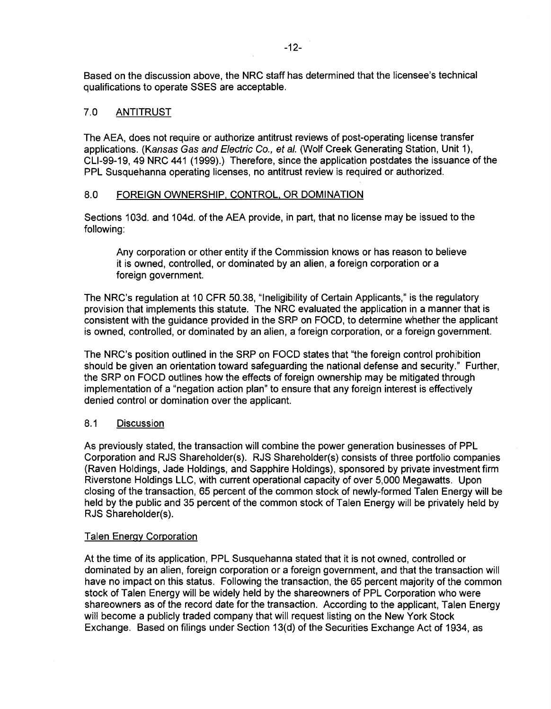Based on the discussion above, the NRC staff has determined that the licensee's technical qualifications to operate SSES are acceptable.

## 7.0 ANTITRUST

The AEA, does not require or authorize antitrust reviews of post-operating license transfer applications. (Kansas Gas and Electric Co., et al. (Wolf Creek Generating Station, Unit 1), CLl-99-19, 49 NRC 441 (1999).) Therefore, since the application postdates the issuance of the PPL Susquehanna operating licenses, no antitrust review is required or authorized.

### 8.0 FOREIGN OWNERSHIP, CONTROL. OR DOMINATION

Sections 103d. and 104d. of the AEA provide, in part, that no license may be issued to the following:

Any corporation or other entity if the Commission knows or has reason to believe it is owned, controlled, or dominated by an alien, a foreign corporation or a foreign government.

The NRC's regulation at 10 CFR 50.38, "Ineligibility of Certain Applicants," is the regulatory provision that implements this statute. The NRC evaluated the application in a manner that is consistent with the guidance provided in the SRP on FOCD, to determine whether the applicant is owned, controlled, or dominated by an alien, a foreign corporation, or a foreign government.

The NRC's position outlined in the SRP on FOCD states that "the foreign control prohibition should be given an orientation toward safeguarding the national defense and security." Further, the SRP on FOCD outlines how the effects of foreign ownership may be mitigated through implementation of a "negation action plan" to ensure that any foreign interest is effectively denied control or domination over the applicant.

### 8.1 Discussion

As previously stated, the transaction will combine the power generation businesses of PPL Corporation and RJS Shareholder(s). RJS Shareholder(s) consists of three portfolio companies (Raven Holdings, Jade Holdings, and Sapphire Holdings), sponsored by private investment firm Riverstone Holdings LLC, with current operational capacity of over 5,000 Megawatts. Upon closing of the transaction, 65 percent of the common stock of newly-formed Talen Energy will be held by the public and 35 percent of the common stock of Talen Energy will be privately held by RJS Shareholder(s).

#### Talen Energy Corporation

At the time of its application, PPL Susquehanna stated that it is not owned, controlled or dominated by an alien, foreign corporation or a foreign government, and that the transaction will have no impact on this status. Following the transaction, the 65 percent majority of the common stock of Talen Energy will be widely held by the shareowners of PPL Corporation who were shareowners as of the record date for the transaction. According to the applicant, Talen Energy will become a publicly traded company that will request listing on the New York Stock Exchange. Based on filings under Section 13(d) of the Securities Exchange Act of 1934, as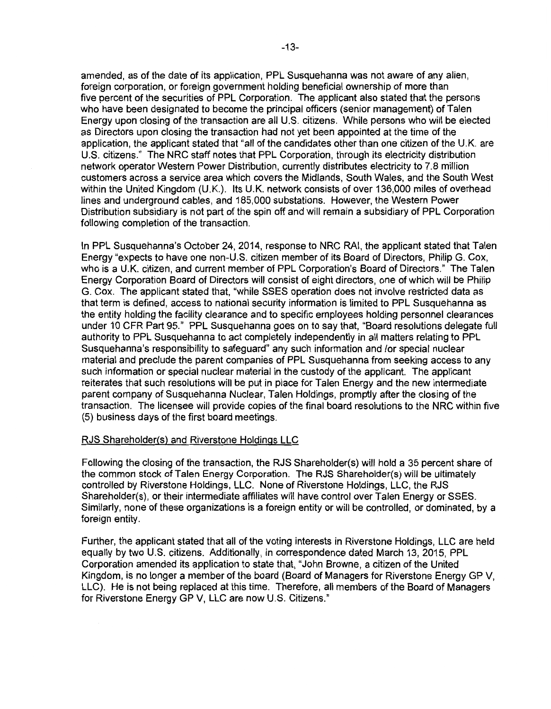amended, as of the date of its application, PPL Susquehanna was not aware of any alien, foreign corporation, or foreign government holding beneficial ownership of more than five percent of the securities of PPL Corporation. The applicant also stated that the persons who have been designated to become the principal officers (senior management) of Talen Energy upon closing of the transaction are all U.S. citizens. While persons who will be elected as Directors upon closing the transaction had not yet been appointed at the time of the application, the applicant stated that "all of the candidates other than one citizen of the U.K. are U.S. citizens." The NRC staff notes that PPL Corporation, through its electricity distribution network operator Western Power Distribution, currently distributes electricity to 7.8 million customers across a service area which covers the Midlands, South Wales, and the South West within the United Kingdom (U.K.). Its U.K. network consists of over 136,000 miles of overhead lines and underground cables, and 185,000 substations. However, the Western Power Distribution subsidiary is not part of the spin off and will remain a subsidiary of PPL Corporation following completion of the transaction.

In PPL Susquehanna's October 24, 2014, response to NRC RAI, the applicant stated that Talen Energy "expects to have one non-U.S. citizen member of its Board of Directors, Philip G. Cox, who is a U.K. citizen, and current member of PPL Corporation's Board of Directors." The Talen Energy Corporation Board of Directors will consist of eight directors, one of which will be Philip G. Cox. The applicant stated that, "while SSES operation does not involve restricted data as that term is defined, access to national security information is limited to PPL Susquehanna as the entity holding the facility clearance and to specific employees holding personnel clearances under 10 CFR Part 95." PPL Susquehanna goes on to say that, "Board resolutions delegate full authority to PPL Susquehanna to act completely independently in all matters relating to PPL Susquehanna's responsibility to safeguard" any such information and /or special nuclear material and preclude the parent companies of PPL Susquehanna from seeking access to any such information or special nuclear material in the custody of the applicant. The applicant reiterates that such resolutions will be put in place for Talen Energy and the new intermediate parent company of Susquehanna Nuclear, Talen Holdings, promptly after the closing of the transaction. The licensee will provide copies of the final board resolutions to the NRC within five (5) business days of the first board meetings.

#### RJS Shareholder(s) and Riverstone Holdings LLC

Following the closing of the transaction, the RJS Shareholder(s) will hold a 35 percent share of the common stock of Talen Energy Corporation. The RJS Shareholder(s) will be ultimately controlled by Riverstone Holdings, LLC. None of Riverstone Holdings, LLC, the RJS Shareholder(s), or their intermediate affiliates will have control over Talen Energy or SSES. Similarly, none of these organizations is a foreign entity or will be controlled, or dominated, by a foreign entity.

Further, the applicant stated that all of the voting interests in Riverstone Holdings, LLC are held equally by two U.S. citizens. Additionally, in correspondence dated March 13, 2015, PPL Corporation amended its application to state that, "John Browne, a citizen of the United Kingdom, is no longer a member of the board (Board of Managers for Riverstone Energy GP V, LLC). He is not being replaced at this time. Therefore, all members of the Board of Managers for Riverstone Energy GP V, LLC are now U.S. Citizens."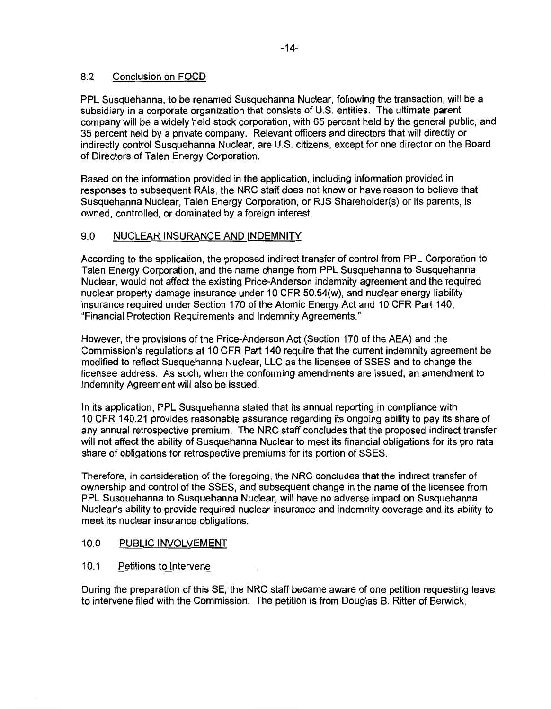## 8.2 Conclusion on FOCD

PPL Susquehanna, to be renamed Susquehanna Nuclear, following the transaction, will be a subsidiary in a corporate organization that consists of U.S. entities. The ultimate parent company will be a widely held stock corporation, with 65 percent held by the general public, and 35 percent held by a private company. Relevant officers and directors that will directly or indirectly control Susquehanna Nuclear, are U.S. citizens, except for one director on the Board of Directors of Talen Energy Corporation.

Based on the information provided in the application, including information provided in responses to subsequent RAls, the NRC staff does not know or have reason to believe that Susquehanna Nuclear, Talen Energy Corporation, or RJS Shareholder(s) or its parents, is owned, controlled, or dominated by a foreign interest.

## 9.0 NUCLEAR INSURANCE AND INDEMNITY

According to the application, the proposed indirect transfer of control from PPL Corporation to Talen Energy Corporation, and the name change from PPL Susquehanna to Susquehanna Nuclear, would not affect the existing Price-Anderson indemnity agreement and the required nuclear property damage insurance under 10 CFR 50.54(w), and nuclear energy liability insurance required under Section 170 of the Atomic Energy Act and 10 CFR Part 140, "Financial Protection Requirements and Indemnity Agreements."

However, the provisions of the Price-Anderson Act (Section 170 of the AEA) and the Commission's regulations at 10 CFR Part 140 require that the current indemnity agreement be modified to reflect Susquehanna Nuclear, LLC as the licensee of SSES and to change the licensee address. As such, when the conforming amendments are issued, an amendment to Indemnity Agreement will also be issued.

In its application, PPL Susquehanna stated that its annual reporting in compliance with 10 CFR 140.21 provides reasonable assurance regarding its ongoing ability to pay its share of any annual retrospective premium. The NRC staff concludes that the proposed indirect transfer will not affect the ability of Susquehanna Nuclear to meet its financial obligations for its pro rata share of obligations for retrospective premiums for its portion of SSES.

Therefore, in consideration of the foregoing, the NRC concludes that the indirect transfer of ownership and control of the SSES, and subsequent change in the name of the licensee from PPL Susquehanna to Susquehanna Nuclear, will have no adverse impact on Susquehanna Nuclear's ability to provide required nuclear insurance and indemnity coverage and its ability to meet its nuclear insurance obligations.

## 10.0 PUBLIC INVOLVEMENT

## 10.1 Petitions to Intervene

During the preparation of this SE, the NRC staff became aware of one petition requesting leave to intervene filed with the Commission. The petition is from Douglas B. Ritter of Berwick,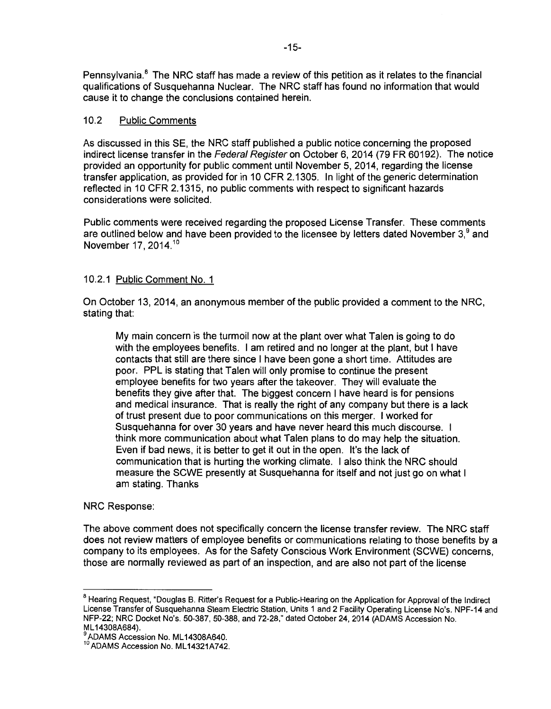Pennsylvania.<sup>8</sup> The NRC staff has made a review of this petition as it relates to the financial qualifications of Susquehanna Nuclear. The NRC staff has found no information that would cause it to change the conclusions contained herein.

## 10.2 Public Comments

As discussed in this SE, the NRC staff published a public notice concerning the proposed indirect license transfer in the Federal Register on October 6, 2014 (79 FR 60192). The notice provided an opportunity for public comment until November 5, 2014, regarding the license transfer application, as provided for in 10 CFR 2.1305. In light of the generic determination reflected in 10 CFR 2.1315, no public comments with respect to significant hazards considerations were solicited.

Public comments were received regarding the proposed License Transfer. These comments are outlined below and have been provided to the licensee by letters dated November  $3<sup>9</sup>$  and November 17, 2014.<sup>10</sup>

## 10.2.1 Public Comment No. 1

On October 13, 2014, an anonymous member of the public provided a comment to the NRC, stating that:

My main concern is the turmoil now at the plant over what Talen is going to do with the employees benefits. I am retired and no longer at the plant, but I have contacts that still are there since I have been gone a short time. Attitudes are poor. PPL is stating that Talen will only promise to continue the present employee benefits for two years after the takeover. They will evaluate the benefits they give after that. The biggest concern I have heard is for pensions and medical insurance. That is really the right of any company but there is a lack of trust present due to poor communications on this merger. I worked for Susquehanna for over 30 years and have never heard this much discourse. I think more communication about what Talen plans to do may help the situation. Even if bad news, it is better to get it out in the open. It's the lack of communication that is hurting the working climate. I also think the NRC should measure the SCWE presently at Susquehanna for itself and not just go on what I am stating. Thanks

### NRC Response:

The above comment does not specifically concern the license transfer review. The NRC staff does not review matters of employee benefits or communications relating to those benefits by a company to its employees. As for the Safety Conscious Work Environment (SCWE) concerns, those are normally reviewed as part of an inspection, and are also not part of the license

<sup>&</sup>lt;sup>8</sup> Hearing Request, "Douglas B. Ritter's Request for a Public-Hearing on the Application for Approval of the Indirect License Transfer of Susquehanna Steam Electric Station, Units 1 and 2 Facility Operating License No's. NPF-14 and NFP-22; NRC Docket No's. 50-387, 50-388, and 72-28," dated October 24, 2014 (ADAMS Accession No.

<sup>&</sup>lt;sup>9</sup> ADAMS Accession No. ML14308A640.<br><sup>10</sup> ADAMS Accession No. ML14321A742.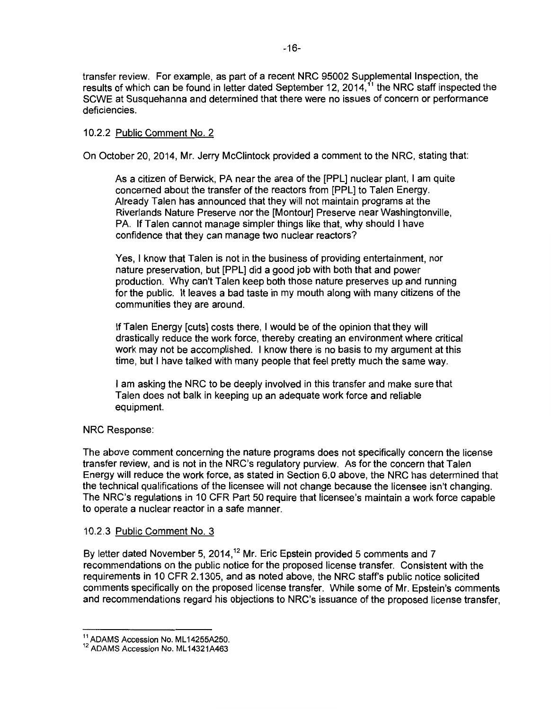transfer review. For example, as part of a recent NRC 95002 Supplemental Inspection, the results of which can be found in letter dated September 12, 2014,<sup>11</sup> the NRC staff inspected the SCWE at Susquehanna and determined that there were no issues of concern or performance deficiencies.

## 10.2.2 Public Comment No. 2

On October 20, 2014, Mr. Jerry McClintock provided a comment to the NRC, stating that:

As a citizen of Berwick, PA near the area of the [PPL] nuclear plant, I am quite concerned about the transfer of the reactors from [PPL] to Talen Energy. Already Talen has announced that they will not maintain programs at the Riverlands Nature Preserve nor the [Montour] Preserve near Washingtonville, PA. If Talen cannot manage simpler things like that, why should I have confidence that they can manage two nuclear reactors?

Yes, I know that Talen is not in the business of providing entertainment, nor nature preservation, but [PPL] did a good job with both that and power production. Why can't Talen keep both those nature preserves up and running for the public. It leaves a bad taste in my mouth along with many citizens of the communities they are around.

If Talen Energy [cuts] costs there, I would be of the opinion that they will drastically reduce the work force, thereby creating an environment where critical work may not be accomplished. I know there is no basis to my argument at this time, but I have talked with many people that feel pretty much the same way.

I am asking the NRC to be deeply involved in this transfer and make sure that Talen does not balk in keeping up an adequate work force and reliable equipment.

### NRC Response:

The above comment concerning the nature programs does not specifically concern the license transfer review, and is not in the NRC's regulatory purview. As for the concern that Talen Energy will reduce the work force, as stated in Section 6.0 above, the NRC has determined that the technical qualifications of the licensee will not change because the licensee isn't changing. The NRC's regulations in 10 CFR Part 50 require that licensee's maintain a work force capable to operate a nuclear reactor in a safe manner.

### 10.2.3 Public Comment No. 3

By letter dated November 5, 2014,<sup>12</sup> Mr. Eric Epstein provided 5 comments and 7 recommendations on the public notice for the proposed license transfer. Consistent with the requirements in 10 CFR 2.1305, and as noted above, the NRC staff's public notice solicited comments specifically on the proposed license transfer. While some of Mr. Epstein's comments and recommendations regard his objections to NRC's issuance of the proposed license transfer,

 $^{11}$  ADAMS Accession No. ML14255A250.<br> $^{12}$  ADAMS Accession No. ML14321A463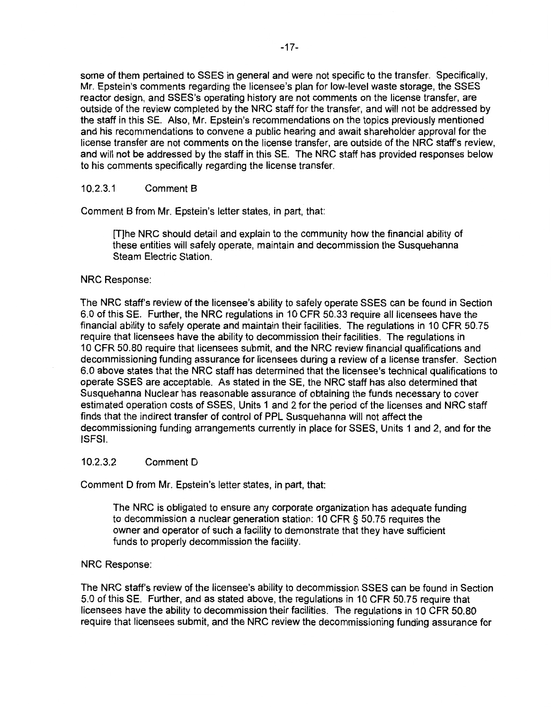some of them pertained to SSES in general and were not specific to the transfer. Specifically, Mr. Epstein's comments regarding the licensee's plan for low-level waste storage, the SSES reactor design, and SSES's operating history are not comments on the license transfer, are outside of the review completed by the NRC staff for the transfer, and will not be addressed by the staff in this SE. Also, Mr. Epstein's recommendations on the topics previously mentioned and his recommendations to convene a public hearing and await shareholder approval for the license transfer are not comments on the license transfer, are outside of the NRC staff's review, and will not be addressed by the staff in this SE. The NRC staff has provided responses below to his comments specifically regarding the license transfer.

### 10.2.3.1 Comment 8

Comment B from Mr. Epstein's letter states, in part, that:

[T]he NRC should detail and explain to the community how the financial ability of these entities will safely operate, maintain and decommission the Susquehanna Steam Electric Station.

#### NRC Response:

The NRC staff's review of the licensee's ability to safely operate SSES can be found in Section 6.0 of this SE. Further, the NRC regulations in 10 CFR 50.33 require all licensees have the financial ability to safely operate and maintain their facilities. The regulations in 10 CFR 50.75 require that licensees have the ability to decommission their facilities. The regulations in 1 O CFR 50.80 require that licensees submit, and the NRC review financial qualifications and decommissioning funding assurance for licensees during a review of a license transfer. Section 6.0 above states that the NRC staff has determined that the licensee's technical qualifications to operate SSES are acceptable. As stated in the SE, the NRC staff has also determined that Susquehanna Nuclear has reasonable assurance of obtaining the funds necessary to cover estimated operation costs of SSES, Units 1 and 2 for the period of the licenses and NRC staff finds that the indirect transfer of control of PPL Susquehanna will not affect the decommissioning funding arrangements currently in place for SSES, Units 1 and 2, and for the ISFSI.

#### 10.2.3.2 Comment D

Comment D from Mr. Epstein's letter states, in part, that:

The NRC is obligated to ensure any corporate organization has adequate funding to decommission a nuclear generation station: 10 CFR § 50. 75 requires the owner and operator of such a facility to demonstrate that they have sufficient funds to properly decommission the facility.

### NRC Response:

The NRC staff's review of the licensee's ability to decommission SSES can be found in Section 5.0 of this SE. Further, and as stated above, the regulations in 10 CFR 50.75 require that licensees have the ability to decommission their facilities. The regulations in 10 CFR 50.80 require that licensees submit, and the NRC review the decommissioning funding assurance for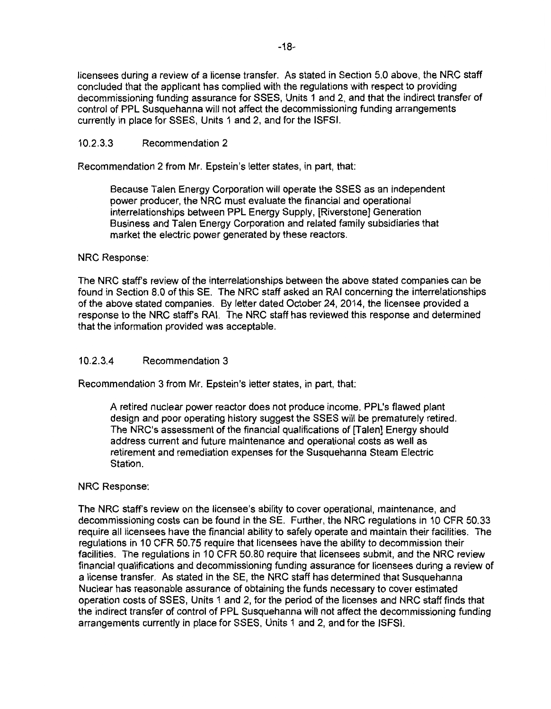licensees during a review of a license transfer. As stated in Section 5.0 above, the NRC staff concluded that the applicant has complied with the regulations with respect to providing decommissioning funding assurance for SSES, Units 1 and 2, and that the indirect transfer of control of PPL Susquehanna will not affect the decommissioning funding arrangements currently in place for SSES, Units 1 and 2, and for the ISFSI.

### 10.2.3.3 Recommendation 2

Recommendation 2 from Mr. Epstein's letter states, in part, that:

Because Talen Energy Corporation will operate the SSES as an independent power producer, the NRC must evaluate the financial and operational interrelationships between PPL Energy Supply, [Riverstone] Generation Business and Talen Energy Corporation and related family subsidiaries that market the electric power generated by these reactors.

### NRC Response:

The NRC staff's review of the interrelationships between the above stated companies can be found in Section 8.0 of this SE. The NRC staff asked an RAI concerning the interrelationships of the above stated companies. By letter dated October 24, 2014, the licensee provided a response to the NRC staff's RAI. The NRC staff has reviewed this response and determined that the information provided was acceptable.

## 10.2.3.4 Recommendation 3

Recommendation 3 from Mr. Epstein's letter states, in part, that:

A retired nuclear power reactor does not produce income. PPL's flawed plant design and poor operating history suggest the SSES will be prematurely retired. The NRC's assessment of the financial qualifications of [Talen] Energy should address current and future maintenance and operational costs as well as retirement and remediation expenses for the Susquehanna Steam Electric Station.

### NRC Response:

The NRC staff's review on the licensee's ability to cover operational, maintenance, and decommissioning costs can be found in the SE. Further, the NRC regulations in 10 CFR 50.33 require all licensees have the financial ability to safely operate and maintain their facilities. The regulations in 10 CFR 50. 75 require that licensees have the ability to decommission their facilities. The regulations in 10 CFR 50.80 require that licensees submit, and the NRC review financial qualifications and decommissioning funding assurance for licensees during a review of a license transfer. As stated in the SE, the NRC staff has determined that Susquehanna Nuclear has reasonable assurance of obtaining the funds necessary to cover estimated operation costs of SSES, Units 1 and 2, for the period of the licenses and NRC staff finds that the indirect transfer of control of PPL Susquehanna will not affect the decommissioning funding arrangements currently in place for SSES, Units 1 and 2, and for the ISFSI.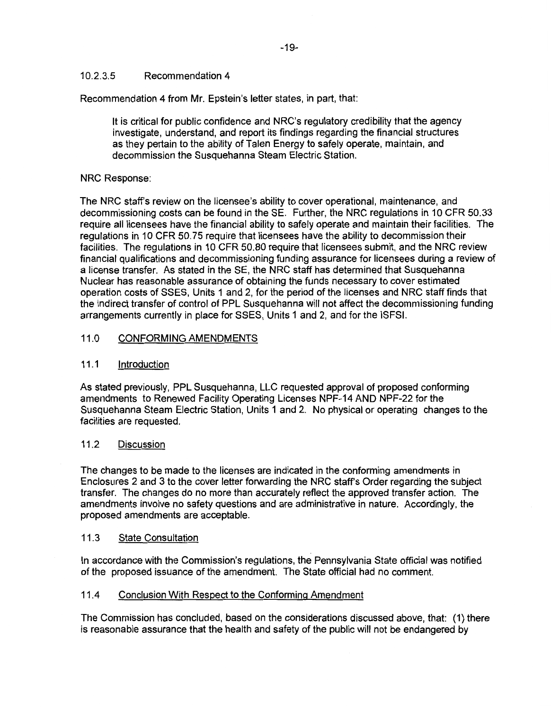## 10.2.3.5 Recommendation 4

Recommendation 4 from Mr. Epstein's letter states, in part, that:

It is critical for public confidence and NRC's regulatory credibility that the agency investigate, understand, and report its findings regarding the financial structures as they pertain to the ability of Talen Energy to safely operate, maintain, and decommission the Susquehanna Steam Electric Station.

## NRC Response:

The NRC staff's review on the licensee's ability to cover operational, maintenance, and decommissioning costs can be found in the SE. Further, the NRC regulations in 10 CFR 50.33 require all licensees have the financial ability to safely operate and maintain their facilities. The regulations in 10 CFR 50. 75 require that licensees have the ability to decommission their facilities. The regulations in 10 CFR 50.80 require that licensees submit, and the NRC review financial qualifications and decommissioning funding assurance for licensees during a review of a license transfer. As stated in the SE, the NRC staff has determined that Susquehanna Nuclear has reasonable assurance of obtaining the funds necessary to cover estimated operation costs of SSES, Units 1 and 2, for the period of the licenses and NRC staff finds that the indirect transfer of control of PPL Susquehanna will not affect the decommissioning funding arrangements currently in place for SSES, Units 1 and 2, and for the ISFSI.

## 11.0 CONFORMING AMENDMENTS

### 11.1 Introduction

As stated previously, PPL Susquehanna, LLC requested approval of proposed conforming amendments to Renewed Facility Operating Licenses NPF-14 AND NPF-22 for the Susquehanna Steam Electric Station, Units 1 and 2. No physical or operating changes to the facilities are requested.

## 11.2 Discussion

The changes to be made to the licenses are indicated in the conforming amendments in Enclosures 2 and 3 to the cover letter forwarding the NRC staff's Order regarding the subject transfer. The changes do no more than accurately reflect the approved transfer action. The amendments involve no safety questions and are administrative in nature. Accordingly, the proposed amendments are acceptable.

### 11.3 State Consultation

In accordance with the Commission's regulations, the Pennsylvania State official was notified of the proposed issuance of the amendment. The State official had no comment.

### 11.4 Conclusion With Respect to the Conforming Amendment

The Commission has concluded, based on the considerations discussed above, that: (1) there is reasonable assurance that the health and safety of the public will not be endangered by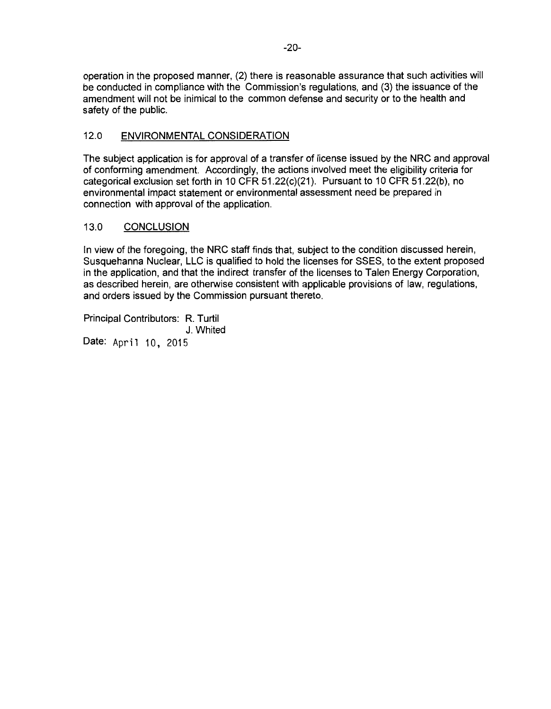operation in the proposed manner, (2) there is reasonable assurance that such activities will be conducted in compliance with the Commission's regulations, and (3) the issuance of the amendment will not be inimical to the common defense and security or to the health and safety of the public.

## 12.0 ENVIRONMENTAL CONSIDERATION

The subject application is for approval of a transfer of license issued by the NRC and approval of conforming amendment. Accordingly, the actions involved meet the eligibility criteria for categorical exclusion set forth in 10 CFR 51.22(c)(21). Pursuant to 10 CFR 51.22(b}, no environmental impact statement or environmental assessment need be prepared in connection with approval of the application.

## 13.0 CONCLUSION

In view of the foregoing, the NRC staff finds that, subject to the condition discussed herein, Susquehanna Nuclear, LLC is qualified to hold the licenses for SSES, to the extent proposed in the application, and that the indirect transfer of the licenses to Talen Energy Corporation, as described herein, are otherwise consistent with applicable provisions of law, regulations, and orders issued by the Commission pursuant thereto.

Principal Contributors: R. Turtil J. Whited Date: April 10, 2015